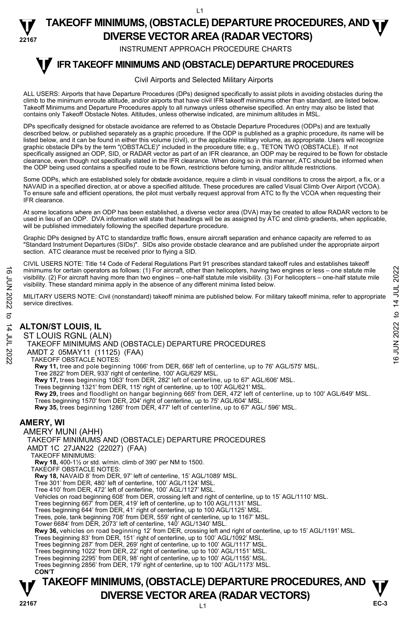#### **22167 TAKEOFF MINIMUMS, (OBSTACLE) DEPARTURE PROCEDURES, AND <b>WE**<br>DIVERSE VESTOR AREA (BARAR VESTORS) **DIVERSE VECTOR AREA (RADAR VECTORS)**

INSTRUMENT APPROACH PROCEDURE CHARTS

#### **IFR TAKEOFF MINIMUMS AND (OBSTACLE) DEPARTURE PROCEDURES T**

#### Civil Airports and Selected Military Airports

ALL USERS: Airports that have Departure Procedures (DPs) designed specifically to assist pilots in avoiding obstacles during the climb to the minimum enroute altitude, and/or airports that have civil IFR takeoff minimums other than standard, are listed below. Takeoff Minimums and Departure Procedures apply to all runways unless otherwise specified. An entry may also be listed that contains only Takeoff Obstacle Notes. Altitudes, unless otherwise indicated, are minimum altitudes in MSL.

DPs specifically designed for obstacle avoidance are referred to as Obstacle Departure Procedures (ODPs) and are textually described below, or published separately as a graphic procedure. If the ODP is published as a graphic procedure, its name will be listed below, and it can be found in either this volume (civil), or the applicable military volume, as appropriate. Users will recognize graphic obstacle DPs by the term "(OBSTACLE)" included in the procedure title; e.g., TETON TWO (OBSTACLE). If not specifically assigned an ODP, SID, or RADAR vector as part of an IFR clearance, an ODP may be required to be flown for obstacle clearance, even though not specifically stated in the IFR clearance. When doing so in this manner, ATC should be informed when the ODP being used contains a specified route to be flown, restrictions before turning, and/or altitude restrictions.

Some ODPs, which are established solely for obstacle avoidance, require a climb in visual conditions to cross the airport, a fix, or a NAVAID in a specified direction, at or above a specified altitude. These procedures are called Visual Climb Over Airport (VCOA). To ensure safe and efficient operations, the pilot must verbally request approval from ATC to fly the VCOA when requesting their IFR clearance.

At some locations where an ODP has been established, a diverse vector area (DVA) may be created to allow RADAR vectors to be<br>used in lieu of an ODP. DVA information will state that headings will be as assigned by ATC and will be published immediately following the specified departure procedure.

Graphic DPs designed by ATC to standardize traffic flows, ensure aircraft separation and enhance capacity are referred to as "Standard Instrument Departures (SIDs)". SIDs also provide obstacle clearance and are published under the appropriate airport section. ATC clearance must be received prior to flying a SID.

CIVIL USERS NOTE: Title 14 Code of Federal Regulations Part 91 prescribes standard takeoff rules and establishes takeoff minimums for certain operators as follows: (1) For aircraft, other than helicopters, having two engines or less – one statute mile visibility. (2) For aircraft having more than two engines – one-half statute mile visibility. (3) For helicopters – one-half statute mile visibility. These standard minima apply in the absence of any different minima listed below. minimums for certain operators as follows: (1) For aircraft, other than helicopters, having two engines or less – one statute mile<br>
visibility. (2) For aircraft having more than two engines – one-half statute mile<br>
visibi

MILITARY USERS NOTE: Civil (nonstandard) takeoff minima are published below. For military takeoff minima, refer to appropriate service directives.

## **ALTON/ST LOUIS, IL**

ST LOUIS RGNL (ALN)

TAKEOFF MINIMUMS AND (OBSTACLE) DEPARTURE PROCEDURES

AMDT 2 05MAY11 (11125) (FAA)

TAKEOFF OBSTACLE NOTES:

**Rwy 11,** tree and pole beginning 1066' from DER, 668' left of centerline, up to 76' AGL/575' MSL.<br>Tree 2822' from DER, 933' right of centerline, 100' AGL/629' MSL.

**Rwy 17,** trees beginning 1063' from DER, 282' left of centerline, up to 67' AGL/606' MSL.

Trees beginning 1321' from DER, 115' right of centerline, up to 100' AGL/621' MSL.

**Rwy 29,** trees and floodlight on hangar beginning 665' from DER, 472' left of centerline, up to 100' AGL/649' MSL.<br>Trees beginning 1570' from DER, 204' right of centerline, up to 75' AGL/604' MSL.

**Rwy 35,** trees beginning 1286' from DER, 477' left of centerline, up to 67' AGL/ 596' MSL.

## **AMERY, WI**

AMERY MUNI (AHH) TAKEOFF MINIMUMS AND (OBSTACLE) DEPARTURE PROCEDURES AMDT 1C 27JAN22 (22027) (FAA) TAKEOFF MINIMUMS: **Rwy 18,** 400-1½ or std. w/min. climb of 390' per NM to 1500. TAKEOFF OBSTACLE NOTES: **Rwy 18,** NAVAID 8' from DER, 97' left of centerline, 15' AGL/1089' MSL. Tree 301' from DER, 480' left of centerline, 100' AGL/1124' MSL. Tree 410' from DER, 472' left of centerline, 100' AGL/1127' MSL. Vehicles on road beginning 608' from DER, crossing left and right of centerline, up to 15' AGL/1110' MSL. Trees beginning 667' from DER, 419' left of centerline, up to 100 AGL/1131' MSL. Trees beginning 644' from DER, 41' right of centerline, up to 100 AGL/1125' MSL.<br>Trees, pole, tank beginning 708' from DER, 559' right of centerline, up to 1167' MSL. Tower 6684' from DER, 2073' left of centerline, 140' AGL/1340' MSL. **Rwy 36,** vehicles on road beginning 12' from DER, crossing left and right of centerline, up to 15' AGL/1191' MSL.<br>Trees beginning 83' from DER, 151' right of centerline, up to 100' AGL/1092' MSL. Trees beginning 287' from DER, 269' right of centerline, up to 100' AGL/1117' MSL.<br>Trees beginning 1022' from DER, 22' right of centerline, up to 100' AGL/1151' MSL.<br>Trees beginning 2295' from DER, 98' right of centerline, Trees beginning 2856' from DER, 179' right of centerline, up to 100' AGL/1173' MSL. **CON'T**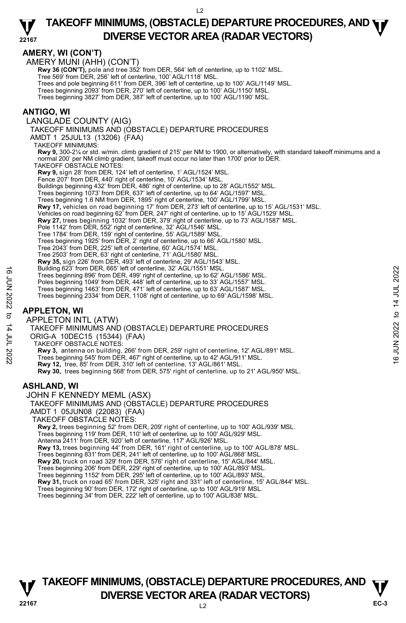## **AMERY, WI (CON'T)**

AMERY MUNI (AHH) (CON'T)

**Rwy 36 (CON'T),** pole and tree 352' from DER, 564' left of centerline, up to 1102' MSL.

Tree 569' from DER, 256' left of centerline, 100' AGL/1118' MSL.

Trees and pole beginning 611' from DER, 396' left of centerline, up to 100' AGL/1149' MSL.

Trees beginning 2093' from DER, 270' left of centerline, up to 100' AGL/1150' MSL. Trees beginning 3827' from DER, 387' left of centerline, up to 100' AGL/1190' MSL.

## **ANTIGO, WI**

LANGLADE COUNTY (AIG)

TAKEOFF MINIMUMS AND (OBSTACLE) DEPARTURE PROCEDURES

AMDT 1 25JUL13 (13206) (FAA)

TAKEOFF MINIMUMS:

**Rwy 9,** 300-2¼ or std. w/min. climb gradient of 215' per NM to 1900, or alternatively, with standard takeoff minimums and a normal 200' per NM climb gradient, takeoff must occur no later than 1700' prior to DER.

TAKEOFF OBSTACLE NOTES:

**Rwy 9,** sign 28' from DER, 124' left of centerline, 1' AGL/1524' MSL.

Fence 207' from DER, 440' right of centerline, 10' AGL/1534' MSL.

Buildings beginning 432' from DER, 486' right of centerline, up to 28' AGL/1552' MSL.

- Trees beginning 1073' from DER, 637' left of centerline, up to 64' AGL/1597' MSL.
- Trees beginning 1.6 NM from DER, 1895' right of centerline, 100' AGL/1799' MSL.

- **Rwy 17,** vehicles on road beginning 17' from DER, 273' left of centerline, up to 15' AGL/1531' MSL.<br>Vehicles on road beginning 62' from DER, 247' right of centerline, up to 15' AGL/1529' MSL.
- **Rwy 27,** trees beginning 1032' from DER, 379' right of centerline, up to 73' AGL/1587' MSL.<br>Pole 1142' from DER, 552' right of centerline, 32' AGL/1546' MSL.
- 
- 
- Tree 1784' from DER, 159' right of centerline, 55' AGL/1589' MSL. Trees beginning 1925' from DER, 2' right of centerline, up to 66' AGL/1580' MSL.

- Tree 2043' from DER, 225' left of centerline, 60' AGL/1574' MSL.
- Tree 2503' from DER, 63' right of centerline, 71' AGL/1580' MSL. **Rwy 35,** sign 226' from DER, 493' left of centerline, 29' AGL/1543' MSL.
- Building 623' from DER, 665' left of centerline, 32' AGL/1551' MSL.
- Trees beginning 896' from DER, 499' right of centerline, up to 62' AGL/1586' MSL.
- 
- Poles beginning 1049' from DER, 448' left of centerline, up to 33' AGL/1557' MSL. Trees beginning 1463' from DER, 471' left of centerline, up to 63' AGL/1587' MSL.

Trees beginning 2334' from DER, 1108' right of centerline, up to 69' AGL/1598' MSL.

## **APPLETON, WI**

APPLETON INTL (ATW) TAKEOFF MINIMUMS AND (OBSTACLE) DEPARTURE PROCEDURES ORIG-A 10DEC15 (15344) (FAA) TAKEOFF OBSTACLE NOTES: **Rwy 3,** antenna on building, 266' from DER, 259' right of centerline, 12' AGL/891' MSL. <br>Trees beginning 545' from DER, 467' right of centerline, up to 42' AGL/911' MSL. **Rwy 12,** tree, 85' from DER, 310' left of centerline, 13' AGL/861' MSL. **Rwy 30,** trees beginning 568' from DER, 575' right of centerline, up to 21' AGL/950' MSL. Trees beginning 896' from DER, 499' right of centerline, up to 82' AGL/1586' MSL.<br>
Trees beginning 1049' from DER, 499' right of centerline, up to 82' AGL/1586' MSL.<br>
Trees beginning 1049' from DER, 471' left of centerlin

## **ASHLAND, WI**

JOHN F KENNEDY MEML (ASX) TAKEOFF MINIMUMS AND (OBSTACLE) DEPARTURE PROCEDURES AMDT 1 05JUN08 (22083) (FAA) TAKEOFF OBSTACLE NOTES: **Rwy 2,** trees beginning 52' from DER, 209' right of centerline, up to 100' AGL/939' MSL. Trees beginning 119' from DER, 110' left of centerline, up to 100' AGL/929' MSL. Antenna 2411' from DER, 920' left of centerline, 117' AGL/926' MSL. **Rwy 13,** trees beginning 44' from DER, 161' right of centerline, up to 100' AGL/878' MSL. Trees beginning 831' from DER, 241' left of centerline, up to 100' AGL/868' MSL. **Rwy 20,** truck on road 329' from DER, 576' right of centerline, 15' AGL/844' MSL. Trees beginning 206' from DER, 229' right of centerline, up to 100' AGL/893' MSL. Trees beginning 1152' from DER, 295' left of centerline, up to 100' AGL/893' MSL. **Rwy 31,** truck on road 65' from DER, 325' right and 331' left of centerline, 15' AGL/844' MSL. Trees beginning 90' from DER, 172' right of centerline, up to 100' AGL/919' MSL.

Trees beginning 34' from DER, 222' left of centerline, up to 100' AGL/838' MSL.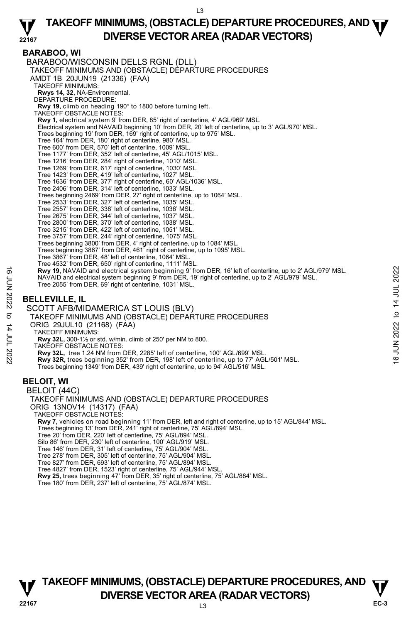## **BARABOO, WI**

BARABOO/WISCONSIN DELLS RGNL (DLL) TAKEOFF MINIMUMS AND (OBSTACLE) DEPARTURE PROCEDURES AMDT 1B 20JUN19 (21336) (FAA) TAKEOFF MINIMUMS: **Rwys 14, 32,** NA-Environmental. DEPARTURE PROCEDURE: **Rwy 19,** climb on heading 190° to 1800 before turning left. TAKEOFF OBSTACLE NOTES: **Rwy 1,** electrical system 9' from DER, 85' right of centerline, 4' AGL/969' MSL. Electrical system and NAVAID beginning 10' from DER, 20' left of centerline, up to 3' AGL/970' MSL. Trees beginning 19' from DER, 169' right of centerline, up to 975' MSL. Tree 164' from DER, 180' right of centerline, 980' MSL. Tree 600' from DER, 570' left of centerline, 1009' MSL. Tree 1177' from DER, 352' left of centerline, 45' AGL/1015' MSL. Tree 1216' from DER, 284' right of centerline, 1010' MSL. Tree 1269' from DER, 617' right of centerline, 1030' MSL. Tree 1423' from DER, 419' left of centerline, 1027' MSL. Tree 1636' from DER, 377' right of centerline, 60' AGL/1036' MSL. Tree 2406' from DER, 314' left of centerline, 1033' MSL. Trees beginning 2469' from DER, 27' right of centerline, up to 1064' MSL. Tree 2533' from DER, 327' left of centerline, 1035' MSL. Tree 2557' from DER, 338' left of centerline, 1036' MSL. Tree 2675' from DER, 344' left of centerline, 1037' MSL. Tree 2800' from DER, 370' left of centerline, 1038' MSL. Tree 3215' from DER, 422' left of centerline, 1051' MSL. Tree 3757' from DER, 244' right of centerline, 1075' MSL. Trees beginning 3800' from DER, 4' right of centerline, up to 1084' MSL. Trees beginning 3867' from DER, 461' right of centerline, up to 1095' MSL. Tree 3867' from DER, 48' left of centerline, 1064' MSL. Tree 4532' from DER, 650' right of centerline, 1111' MSL. **Rwy 19,** NAVAID and electrical system beginning 9' from DER, 16' left of centerline, up to 2' AGL/979' MSL. NAVAID and electrical system beginning 9' from DER, 19' right of centerline, up to 2' AGL/979' MSL. Tree 2055' from DER, 69' right of centerline, 1031' MSL. **BELLEVILLE, IL**  SCOTT AFB/MIDAMERICA ST LOUIS (BLV) TAKEOFF MINIMUMS AND (OBSTACLE) DEPARTURE PROCEDURES ORIG 29JUL10 (21168) (FAA) TAKEOFF MINIMUMS: **Rwy 32L,** 300-1½ or std. w/min. climb of 250' per NM to 800. TAKEOFF OBSTACLE NOTES: **EXAMPLE 12 AND ANNUMBER AND SOLUTION CONTROLLY AND ANNUMBER AND MANUSE THE SECTION OF THE SECTION OF THE SECTION OF THE SECTION OF THE SECTION OF THE SECTION OF THE SECTION OF THE SECTION OF THE SECTION OF THE SECTION OF** Trees beginning 1349' from DER, 439' right of centerline, up to 94' AGL/516' MSL. **BELOIT, WI**  BELOIT (44C) TAKEOFF MINIMUMS AND (OBSTACLE) DEPARTURE PROCEDURES ORIG 13NOV14 (14317) (FAA) TAKEOFF OBSTACLE NOTES: **Rwy 7,** vehicles on road beginning 11' from DER, left and right of centerline, up to 15' AGL/844' MSL.<br>Trees beginning 13' from DER, 241' right of centerline, 75' AGL/894' MSL. Tree 20' from DER, 220' left of centerline, 75' AGL/894' MSL. Silo 86' from DER, 230' left of centerline, 100' AGL/919' MSL. Tree 146' from DER, 31' left of centerline, 75' AGL/904' MSL. Tree 278' from DER, 305' left of centerline, 75' AGL/904' MSL. Tree 827' from DER, 693' left of centerline, 75' AGL/894' MSL. Tree 4827' from DER, 1523' right of centerline, 75' AGL/944' MSL.<br>**Rwy 25,** trees beginning 47' from DER, 35' right of centerline, 75' AGL/884' MSL.

Tree 180' from DER, 237' left of centerline, 75' AGL/874' MSL.

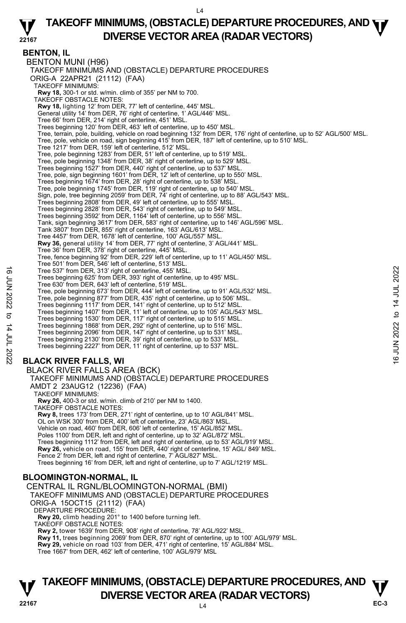$L<sub>4</sub>$ 

#### **22167 TAKEOFF MINIMUMS, (OBSTACLE) DEPARTURE PROCEDURES, AND <b>WE**<br>DIVERSE VESTOR AREA (BARAR VESTORS) **DIVERSE VECTOR AREA (RADAR VECTORS)**

**BENTON, IL**  BENTON MUNI (H96) TAKEOFF MINIMUMS AND (OBSTACLE) DEPARTURE PROCEDURES ORIG-A 22APR21 (21112) (FAA) TAKEOFF MINIMUMS:  **Rwy 18,** 300-1 or std. w/min. climb of 355' per NM to 700. TAKEOFF OBSTACLE NOTES: **Rwy 18,** lighting 12' from DER, 77' left of centerline, 445' MSL. General utility 14' from DER, 76' right of centerline, 1' AGL/446' MSL. Tree 66' from DER, 214' right of centerline, 451' MSL. Trees beginning 120' from DER, 463' left of centerline, up to 450' MSL. Tree, terrain, pole, building, vehicle on road beginning 132' from DER, 176' right of centerline, up to 52' AGL/500' MSL. Tree, pole, vehicle on road, sign beginning 415' from DER, 187' left of centerline, up to 510' MSL. Tree 1217' from DER, 159' left of centerline, 512' MSL. Tree, pole beginning 1283' from DER, 51' left of centerline, up to 519' MSL. Tree, pole beginning 1348' from DER, 38' right of centerline, up to 529' MSL. Trees beginning 1527' from DER, 440' right of centerline, up to 537' MSL. Tree, pole, sign beginning 1601' from DER, 12' left of centerline, up to 550' MSL. Trees beginning 1674' from DER, 28' right of centerline, up to 538' MSL. Tree, pole beginning 1745' from DER, 119' right of centerline, up to 540' MSL.<br>Sign, pole, tree beginning 2059' from DER, 74' right of centerline, up to 88' AGL/543' MSL. Trees beginning 2808' from DER, 49' left of centerline, up to 555' MSL. Trees beginning 2828' from DER, 543' right of centerline, up to 549' MSL. Trees beginning 3592' from DER, 1164' left of centerline, up to 556' MSL. Tank, sign beginning 3617' from DER, 583' right of centerline, up to 146' AGL/596' MSL. Tank 3807' from DER, 855' right of centerline, 163' AGL/613' MSL. Tree 4457' from DER, 1678' left of centerline, 100' AGL/557' MSL. **Rwy 36,** general utility 14' from DER, 77' right of centerline, 3' AGL/441' MSL. Tree 36' from DER, 378' right of centerline, 445' MSL. Tree, fence beginning 92' from DER, 229' left of centerline, up to 11' AGL/450' MSL. Tree 501' from DER, 546' left of centerline, 513' MSL. Tree 537' from DER, 313' right of centerline, 455' MSL. Trees beginning 625' from DER, 393' right of centerline, up to 495' MSL. Tree 630' from DER, 643' left of centerline, 519' MSL. Tree, pole beginning 673' from DER, 444' left of centerline, up to 91' AGL/532' MSL. Tree, pole beginning 877' from DER, 435' right of centerline, up to 506' MSL. Trees beginning 1117' from DER, 141' right of centerline, up to 512' MSL.<br>Trees beginning 1407' from DER, 11' left of centerline, up to 105' AGL/543' MSL.<br>Trees beginning 1530' from DER, 117' right of centerline, up to 515 Trees beginning 1868' from DER, 292' right of centerline, up to 516' MSL. Trees beginning 2096' from DER, 147' right of centerline, up to 531' MSL. Trees beginning 2130' from DER, 39' right of centerline, up to 533' MSL. Trees beginning 2227' from DER, 11' right of centerline, up to 537' MSL. **BLACK RIVER FALLS, WI**  BLACK RIVER FALLS AREA (BCK) TAKEOFF MINIMUMS AND (OBSTACLE) DEPARTURE PROCEDURES Tree 537' from DER, 313' right of centerline, 455' MSL.<br>
Tree beginning 625' from DER, 393' right of centerline, up to 495' MSL.<br>
Tree, pole beginning 673' from DER, 444' left of centerline, up to 91' AGL/532' MSL.<br>
Tree,

AMDT 2 23AUG12 (12236) (FAA) TAKEOFF MINIMUMS:

**Rwy 26,** 400-3 or std. w/min. climb of 210' per NM to 1400. TAKEOFF OBSTACLE NOTES: **Rwy 8,** trees 173' from DER, 271' right of centerline, up to 10' AGL/841' MSL. OL on WSK 300' from DER, 400' left of centerline, 23' AGL/863' MSL. Vehicle on road, 460' from DER, 606' left of centerline, 15' AGL/852' MSL. Poles 1100' from DER, left and right of centerline, up to 32' AGL/872' MSL. Trees beginning 1112' from DER, left and right of centerline, up to 53' AGL/919' MSL.<br>**Rwy 26,** vehicle on road, 155' from DER, 440' right of centerline, 15' AGL/ 849' MSL. Fence 2' from DER, left and right of centerline, 7' AGL/827' MSL Trees beginning 16' from DER, left and right of centerline, up to 7' AGL/1219' MSL.

## **BLOOMINGTON-NORMAL, IL**

CENTRAL IL RGNL/BLOOMINGTON-NORMAL (BMI) TAKEOFF MINIMUMS AND (OBSTACLE) DEPARTURE PROCEDURES ORIG-A 15OCT15 (21112) (FAA) DEPARTURE PROCEDURE **Rwy 20,** climb heading 201° to 1400 before turning left. TAKEOFF OBSTACLE NOTES: **Rwy 2,** tower 1639' from DER, 908' right of centerline, 78' AGL/922' MSL.

**Rwy 11,** trees beginning 2069' from DER, 870' right of centerline, up to 100' AGL/979' MSL.<br>**Rwy 29,** vehicle on road 103' from DER, 471' right of centerline, 15' AGL/884' MSL.

Tree 1667' from DER, 462' left of centerline, 100' AGL/979' MSL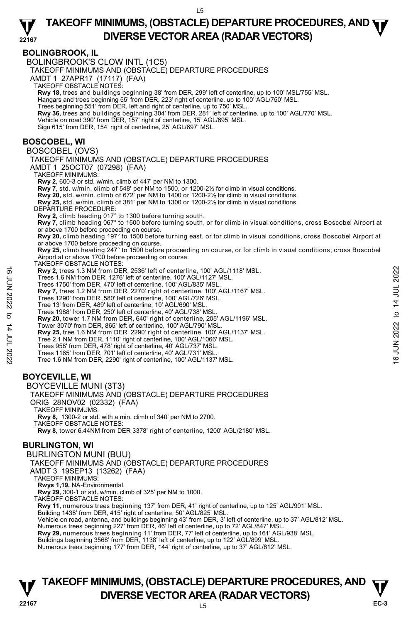#### **BOLINGBROOK, IL**  BOLINGBROOK'S CLOW INTL (1C5) TAKEOFF MINIMUMS AND (OBSTACLE) DEPARTURE PROCEDURES AMDT 1 27APR17 (17117) (FAA) TAKEOFF OBSTACLE NOTES: **Rwy 18,** trees and buildings beginning 38' from DER, 299' left of centerline, up to 100' MSL/755' MSL.<br>Hangars and trees beginning 55' from DER, 223' right of centerline, up to 100' AGL/750' MSL. Trees beginning 551' from DER, left and right of centerline, up to 750' MSL. **Rwy 36,** trees and buildings beginning 304' from DER, 281' left of centerline, up to 100' AGL/770' MSL. Vehicle on road 390' from DER, 157' right of centerline, 15' AGL/695' MSL. Sign 615' from DER, 154' right of centerline, 25' AGL/697' MSL. **BOSCOBEL, WI**  BOSCOBEL (OVS) TAKEOFF MINIMUMS AND (OBSTACLE) DEPARTURE PROCEDURES AMDT 1 25OCT07 (07298) (FAA) TAKEOFF MINIMUMS: **Rwy 2,** 600-3 or std. w/min. climb of 447' per NM to 1300. **Rwy 7,** std. w/min. climb of 548' per NM to 1500, or 1200-2½ for climb in visual conditions.<br>**Rwy 20,** std. w/min. climb of 672' per NM to 1400 or 1200-2½ for climb in visual conditions. **Rwy 25,** std. w/min. climb of 381' per NM to 1300 or 1200-2½ for climb in visual conditions. DEPARTURE PROCEDURE: **Rwy 2,** climb heading 017° to 1300 before turning south. **Rwy 7,** climb heading 067° to 1500 before turning south, or for climb in visual conditions, cross Boscobel Airport at or above 1700 before proceeding on course. **Rwy 20,** climb heading 197° to 1500 before turning east, or for climb in visual conditions, cross Boscobel Airport at or above 1700 before proceeding on course. **Rwy 25,** climb heading 247° to 1500 before proceeding on course, or for climb in visual conditions, cross Boscobel Airport at or above 1700 before proceeding on course. TAKEOFF OBSTACLE NOTES: **Rwy 2,** trees 1.3 NM from DER, 2536' left of centerline, 100' AGL/1118' MSL. Trees 1.6 NM from DER, 1276' left of centerline, 100' AGL/1127' MSL. Trees 1750' from DER, 470' left of centerline, 100' AGL/835' MSL. **Rwy 7,** trees 1.2 NM from DER, 2270' right of centerline, 100' AGL/1167' MSL. Trees 1290' from DER, 580' left of centerline, 100' AGL/726' MSL. Tree 13' from DER, 489' left of centerline, 10' AGL/690' MSL. Trees 1988' from DER, 250' left of centerline, 40' AGL/738' MSL. **Rwy 20,** tower 1.7 NM from DER, 640' right of centerline, 205' AGL/1196' MSL. Tower 3070' from DER, 865' left of centerline, 100' AGL/790' MSL. **Rwy 25,** tree 1.6 NM from DER, 2290' right of centerline, 100' AGL/1137' MSL. Tree 2.1 NM from DER, 1110' right of centerline, 100' AGL/1066' MSL. Trees 958' from DER, 478' right of centerline, 40' AGL/737' MSL. Trees 1165' from DER, 701' left of centerline, 40' AGL/731' MSL. Tree 1.6 NM from DER, 2290' right of centerline, 100' AGL/1137' MSL. **BOYCEVILLE, WI**  BOYCEVILLE MUNI (3T3) TAKEOFF MINIMUMS AND (OBSTACLE) DEPARTURE PROCEDURES ORIG 28NOV02 (02332) (FAA) TAKEOFF MINIMUMS: **Rwy 8,** 1300-2 or std. with a min. climb of 340' per NM to 2700. TAKEOFF OBSTACLE NOTES: **Rwy 8,** tower 6.44NM from DER 3378' right of centerline, 1200' AGL/2180' MSL. **BURLINGTON, WI**  BURLINGTON MUNI (BUU) TAKEOFF MINIMUMS AND (OBSTACLE) DEPARTURE PROCEDURES AMDT 3 19SEP13 (13262) (FAA) TAKEOFF MINIMUMS: **EVALUATE:** Trees 1.3 NM from DER, 2536' left of centerline, 100' AGL/1118' MSL.<br>
Trees 1750' from DER, 470' left of centerline, 100' AGL/127' MSL.<br> **EVALUATE:** Thes 1750' from DER, 470' left of centerline, 100' AGL/127'

**TAKEOFF MINIMUMS, (OBSTACLE) DEPARTURE PROCEDURES, AND**  $\mathbf{\nabla}$ **V**<br>22167 **DIVERSE VECTOR AREA (RADAR VECTORS)** PC-3

**Rwy 11,** numerous trees beginning 137' from DER, 41' right of centerline, up to 125' AGL/901' MSL.

Numerous trees beginning 227' from DER, 46' left of centerline, up to 72' AGL/847' MSL **Rwy 29,** numerous trees beginning 11' from DER, 77' left of centerline, up to 161' AGL/938' MSL. Buildings beginning 3568' from DER, 1138' left of centerline, up to 122' AGL/899' MSL.<br>Numerous trees beginning 177' from DER, 144' right of centerline, up to 37' AGL/812' MSL.

Vehicle on road, antenna, and buildings beginning 43' from DER, 3' left of centerline, up to 37' AGL/812' MSL.

**Rwys 1,19,** NA-Environmental.

**Rwy 29,** 300-1 or std. w/min. climb of 325' per NM to 1000. TAKEOFF OBSTACLE NOTES:

Building 1438' from DER, 415' right of centerline, 50' AGL/825' MSL.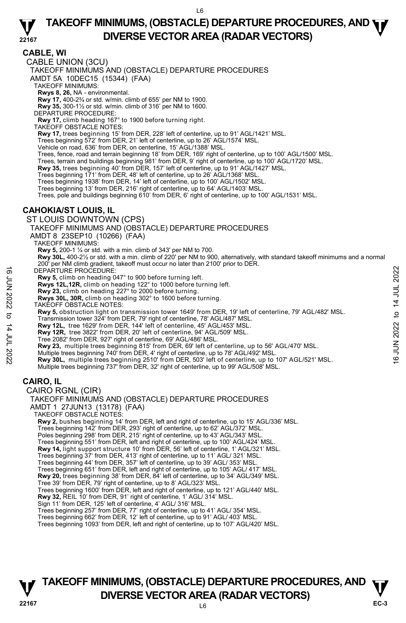#### **CABLE, WI**

CABLE UNION (3CU)

TAKEOFF MINIMUMS AND (OBSTACLE) DEPARTURE PROCEDURES

AMDT 5A 10DEC15 (15344) (FAA) TAKEOFF MINIMUMS:

**Rwys 8, 26,** NA - environmental.<br>**Rwy 17,** 400-2¾ or std. w/min. climb of 655' per NM to 1900.

**Rwy 35,** 300-1½ or std. w/min. climb of 316' per NM to 1600.

DEPARTURE PROCEDURE:

**Rwy 17,** climb heading 167° to 1900 before turning right. TAKEOFF OBSTACLE NOTES:

**Rwy 17,** trees beginning 15' from DER, 228' left of centerline, up to 91' AGL/1421' MSL.

Trees beginning 572' from DER, 21' left of centerline, up to 26' AGL/1574' MSL.

Vehicle on road, 636' from DER, on centerline, 15' AGL/1388' MSL.

Trees, fence, road and terrain beginning 18' from DER, 169' right of centerline, up to 100' AGL/1500' MSL.

Trees, terrain and buildings beginning 981' from DER, 9' right of centerline, up to 100' AGL/1720' MSL.

**Rwy 35,** trees beginning 40' from DER, 157' left of centerline, up to 91' AGL/1427' MSL.

Trees beginning 171' from DER, 48' left of centerline, up to 26' AGL/1368' MSL.

Trees beginning 1938' from DER, 14' left of centerline, up to 100' AGL/1502' MSL.

Trees beginning 13' from DER, 216' right of centerline, up to 64' AGL/1403' MSL. Trees, pole and buildings beginning 610' from DER, 6' right of centerline, up to 100' AGL/1531' MSL.

#### **CAHOKIA/ST LOUIS, IL**

ST LOUIS DOWNTOWN (CPS) TAKEOFF MINIMUMS AND (OBSTACLE) DEPARTURE PROCEDURES AMDT 8 23SEP10 (10266) (FAA) TAKEOFF MINIMUMS: **Rwy 5,** 200-1 ¼ or std. with a min. climb of 343' per NM to 700. **Rwy 30L,** 400-2½ or std. with a min. climb of 220' per NM to 900, alternatively, with standard takeoff minimums and a normal<br>200' per NM climb gradient, takeoff must occur no later than 2100' prior to DER. DEPARTURE PROCEDURE: **Rwy 5,** climb on heading 047° to 900 before turning left. **Rwys 12L,12R,** climb on heading 122° to 1000 before turning left. DEPARTURE PROČEDURE:<br> **EVALUATION** On heading 047° to 900 before turning left.<br> **EVALUATION** on heading 122° to 1000 before turning left.<br> **EVALUATION** on heading 227° to 2000 before turning.<br> **RWY 23**, climb on heading 2

**Rwy 23,** climb on heading 227° to 2000 before turning.

**Rwys 30L, 30R,** climb on heading 302° to 1600 before turning.

TAKEOFF OBSTACLE NOTES:

**Rwy 5,** obstruction light on transmission tower 1649' from DER, 19' left of centerline, 79' AGL/482' MSL. Transmission tower 324' from DER, 79' right of centerline, 78' AGL/487' MSL.

**Rwy 12L,** tree 1629' from DER, 144' left of centerline, 45' AGL/453' MSL. **Rwy 12R,** tree 3822' from DER, 20' left of centerline, 94' AGL/509' MSL.

Tree 2082' from DER, 927' right of centerline, 69' AGL/486' MSL.

**Rwy 23,** multiple trees beginning 815' from DER, 69' left of centerline, up to 56' AGL/470' MSL.

Multiple trees beginning 737' from DER, 32' right of centerline, up to 99' AGL/508' MSL.

## **CAIRO, IL**

CAIRO RGNL (CIR)

TAKEOFF MINIMUMS AND (OBSTACLE) DEPARTURE PROCEDURES AMDT 1 27JUN13 (13178) (FAA) TAKEOFF OBSTACLE NOTES: **Rwy 2,** bushes beginning 14' from DER, left and right of centerline, up to 15' AGL/336' MSL.<br>Trees beginning 142' from DER, 293' right of centerline, up to 62' AGL/372' MSL.<br>Poles beginning 298' from DER, 215' right of ce Trees beginning 551' from DER, left and right of centerline, up to 100' AGL/424' MSL. **Rwy 14,** light support structure 10' from DER, 56' left of centerline, 1' AGL/321' MSL. Trees beginning 37' from DER, 413' right of centerline, up to 11' AGL/ 321' MSL. Trees beginning 44' from DER, 357' left of centerline, up to 39' AGL/ 353' MSL. Trees beginning 651' from DER, left and right of centerline, up to 105' AGL/ 417' MSL.<br>**Rwy 20,** trees beginning 38' from DER, 84' left of centerline, up to 34' AGL/349' MSL. Tree 39' from DER, 79' right of centerline, up to 8' AGL/323' MSL. Trees beginning 1600' from DER, left and right of centerline, up to 121' AGL/440' MSL.<br>**Rwy 32,** REIL 10' from DER, 91' right of centerline, 1' AGL/ 314' MSL. Sign 11' from DER, 125' left of centerline, 4' AGL/ 316' MSL. Trees beginning 257' from DER, 77' right of centerline, up to 41' AGL/ 354' MSL. Trees beginning 662' from DER, 12' left of centerline, up to 91' AGL/ 403' MSL. Trees beginning 1093' from DER, left and right of centerline, up to 107' AGL/420' MSL.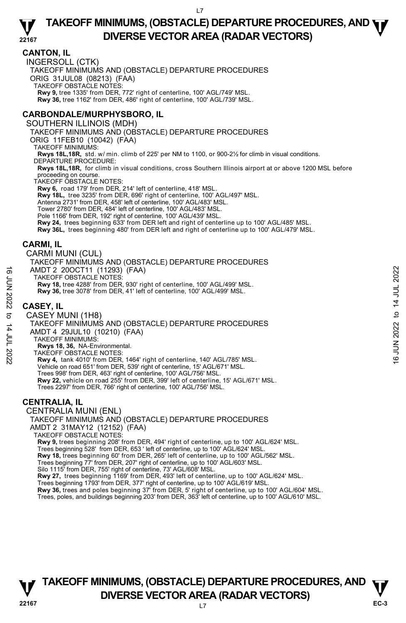### **CANTON, IL**

INGERSOLL (CTK) TAKEOFF MINIMUMS AND (OBSTACLE) DEPARTURE PROCEDURES ORIG 31JUL08 (08213) (FAA) TAKEOFF OBSTACLE NOTES: **Rwy 9,** tree 1335' from DER, 772' right of centerline, 100' AGL/749' MSL. **Rwy 36,** tree 1162' from DER, 486' right of centerline, 100' AGL/739' MSL.

## **CARBONDALE/MURPHYSBORO, IL**

#### SOUTHERN ILLINOIS (MDH)

TAKEOFF MINIMUMS AND (OBSTACLE) DEPARTURE PROCEDURES

ORIG 11FEB10 (10042) (FAA)

TAKEOFF MINIMUMS:

**Rwys 18L,18R,** std. w/ min. climb of 225' per NM to 1100, or 900-2½ for climb in visual conditions. DEPARTURE PROCEDURE:

**Rwys 18L,18R,** for climb in visual conditions, cross Southern Illinois airport at or above 1200 MSL before proceeding on course.

TAKEOFF OBSTACLE NOTES:

**Rwy 6,** road 179' from DER, 214' left of centerline, 418' MSL. **Rwy 18L,** tree 3235' from DER, 696' right of centerline, 100' AGL/497' MSL. Antenna 2731' from DER, 458' left of centerline, 100' AGL/483' MSL. Tower 2780' from DER, 484' left of centerline, 100' AGL/483' MSL.

Pole 1166' from DER, 192' right of centerline, 100' AGL/439' MSL.

**Rwy 24,** trees beginning 633' from DER left and right of centerline up to 100' AGL/485' MSL. **Rwy 36L,** trees beginning 480' from DER left and right of centerline up to 100' AGL/479' MSL.

## **CARMI, IL**

CARMI MUNI (CUL)

TAKEOFF MINIMUMS AND (OBSTACLE) DEPARTURE PROCEDURES AMDT 2 20OCT11 (11293) (FAA) TAKEOFF OBSTACLE NOTES: **Rwy 18,** tree 4288' from DER, 930' right of centerline, 100' AGL/499' MSL. **Rwy 36,** tree 3078' from DER, 41' left of centerline, 100' AGL/499' MSL. AMDT 2 200CT11 (11293) (FAA)<br>
TAKEOFF OBSTACLE NOTES:<br>
Favi 18, tree 4288 from DER, 930' right of centerline, 100' AGL/499' MSL.<br>
Rwy 36, tree 3078' from DER, 41' left of centerline, 100' AGL/499' MSL.<br>
CASEY IL<br>
CASEY

## **CASEY, IL**

#### CASEY MUNI (1H8)

TAKEOFF MINIMUMS AND (OBSTACLE) DEPARTURE PROCEDURES AMDT 4 29JUL10 (10210) (FAA)

TAKEOFF MINIMUMS:

**Rwys 18, 36,** NA-Environmental.

TAKEOFF OBSTACLE NOTES: **Rwy 4,** tank 4010' from DER, 1464' right of centerline, 140' AGL/785' MSL. Vehicle on road 651' from DER, 539' right of centerline, 15' AGL/671' MSL. Trees 998' from DER, 463' right of centerline, 100' AGL/756' MSL. **Rwy 22,** vehicle on road 255' from DER, 399' left of centerline, 15' AGL/671' MSL. Trees 2297' from DER, 766' right of centerline, 100' AGL/756' MSL.

## **CENTRALIA, IL**

CENTRALIA MUNI (ENL) TAKEOFF MINIMUMS AND (OBSTACLE) DEPARTURE PROCEDURES AMDT 2 31MAY12 (12152) (FAA) TAKEOFF OBSTACLE NOTES: **Rwy 9,** trees beginning 208' from DER, 494' right of centerline, up to 100' AGL/624' MSL. Trees beginning 528' from DER, 653 ' left of centerline, up to 100' AGL/624' MSL. **Rwy 18,** trees beginning 60' from DER, 265' left of centerline, up to 100' AGL/562' MSL. Trees beginning 77' from DER, 207' right of centerline, up to 100' AGL/603' MSL. Silo 1115' from DER, 755' right of centerline, 73' AGL/608' MSL.<br>**Rwy 27,** trees beginning 1169' from DER, 493' left of centerline, up to 100' AGL/624' MSL.

Trees beginning 1793' from DER, 377' right of centerline, up to 100' AGL/619' MSL.

**Rwy 36,** trees and poles beginning 37' from DER, 5' right of centerline, up to 100' AGL/604' MSL.<br>Trees, poles, and buildings beginning 203' from DER, 363' left of centerline, up to 100' AGL/610' MSL.

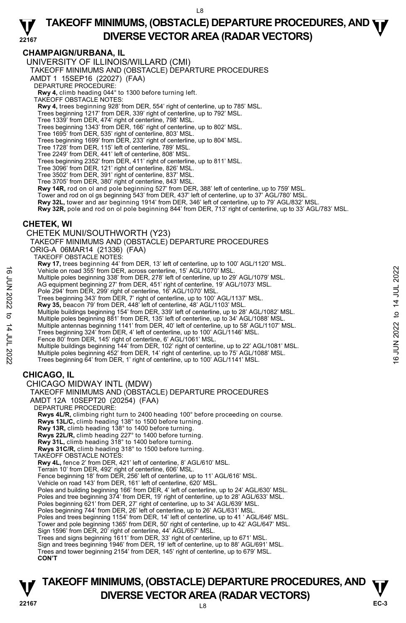### **CHAMPAIGN/URBANA, IL**

UNIVERSITY OF ILLINOIS/WILLARD (CMI)

TAKEOFF MINIMUMS AND (OBSTACLE) DEPARTURE PROCEDURES

AMDT 1 15SEP16 (22027) (FAA)

DEPARTURE PROCEDURE:

**Rwy 4,** climb heading 044° to 1300 before turning left. TAKEOFF OBSTACLE NOTES:

**Rwy 4,** trees beginning 928' from DER, 554' right of centerline, up to 785' MSL.

- Trees beginning 1217' from DER, 339' right of centerline, up to 792' MSL.
- Tree 1339' from DER, 474' right of centerline, 798' MSL. Trees beginning 1343' from DER, 166' right of centerline, up to 802' MSL.

Tree 1695' from DER, 535' right of centerline, 803' MSL.

Trees beginning 1699' from DER, 233' right of centerline, up to 804' MSL.

Tree 1728' from DER, 115' left of centerline, 789' MSL.

Tree 2249' from DER, 441' left of centerline, 808' MSL.

Trees beginning 2352' from DER, 411' right of centerline, up to 811' MSL.

Tree 3096' from DER, 121' right of centerline, 826' MSL.

Tree 3502' from DER, 391' right of centerline, 837' MSL.

Tree 3705' from DER, 380' right of centerline, 843' MSL.

**Rwy 14R,** rod on ol and pole beginning 527' from DER, 388' left of centerline, up to 759' MSL.<br>Tower and rod on ol gs beginning 543' from DER, 437' left of centerline, up to 37' AGL/780' MSL.

**Rwy 32L,** tower and asr beginning 1914' from DER, 346' left of centerline, up to 79' AGL/832' MSL.

**Rwy 32R,** pole and rod on ol pole beginning 844' from DER, 713' right of centerline, up to 33' AGL/783' MSL.

#### **CHETEK, WI**

#### CHETEK MUNI/SOUTHWORTH (Y23)

TAKEOFF MINIMUMS AND (OBSTACLE) DEPARTURE PROCEDURES

ORIG-A 06MAR14 (21336) (FAA)

TAKEOFF OBSTACLE NOTES:

**Rwy 17,** trees beginning 44' from DER, 13' left of centerline, up to 100' AGL/1120' MSL. Vehicle on road 355' from DER, across centerline, 15' AGL/1070' MSL.

Multiple poles beginning 338' from DER, 278' left of centerline, up to 29' AGL/1079' MSL. AG equipment beginning 27' from DER, 451' right of centerline, 19' AGL/1073' MSL.

Pole 294' from DER, 299' right of centerline, 16' AGL/1070' MSL.

Trees beginning 343' from DER, 7' right of centerline, up to 100' AGL/1137' MSL.

**Rwy 35,** beacon 79' from DER, 448' left of centerline, 48' AGL/1103' MSL.<br>Multiple buildings beginning 154' from DER, 339' left of centerline, up to 28' AGL/1082' MSL.<br>Multiple poles beginning 881' from DER, 135' left of

Multiple antennas beginning 1141' from DER, 40' left of centerline, up to 58' AGL/1107' MSL.<br>Trees beginning 324' from DER, 4' left of centerline, up to 100' AGL/1146' MSL.

Fence 80' from DER, 145' right of centerline, 6' AGL/1061' MSL.

Multiple buildings beginning 144' from DER, 102' right of centerline, up to 22' AGL/1081' MSL.<br>Multiple poles beginning 452' from DER, 14' right of centerline, up to 75' AGL/1088' MSL.<br>Trees beginning 64' from DER, 1' righ Vehicle on road 355' from DER, across centerline, 15' AGL/1070' MSL.<br>
Multiple poles beginning 32' from DER, 45' iet of centerline, 19' 0 29' AGL/1073' MSL.<br>
Pole 294' from DER, 299' right of centerline, 16' AGL/1070' MSL

## **CHICAGO, IL**

CHICAGO MIDWAY INTL (MDW) TAKEOFF MINIMUMS AND (OBSTACLE) DEPARTURE PROCEDURES AMDT 12A 10SEPT20 (20254) (FAA) DEPARTURE PROCEDURE: **Rwys 4L/R,** climbing right turn to 2400 heading 100° before proceeding on course. **Rwys 13L/C,** climb heading 138° to 1500 before turning. **Rwy 13R,** climb heading 138° to 1400 before turning. **Rwys 22L/R,** climb heading 227° to 1400 before turning. **Rwy 31L,** climb heading 318° to 1400 before turning. **Rwys 31C/R,** climb heading 318° to 1500 before turning. TAKEOFF OBSTACLE NOTES: **Rwy 4L,** fence 2' from DER, 421' left of centerline, 8' AGL/610' MSL. Terrain 10' from DER, 492' right of centerline, 606' MSL. Fence beginning 18' from DER, 256' left of centerline, up to 11' AGL/616' MSL. Vehicle on road 143' from DER, 161' left of centerline, 620' MSL. Poles and building beginning 166' from DER, 4' left of centerline, up to 24' AGL/630' MSL. Poles and tree beginning 374' from DER, 19' right of centerline, up to 28' AGL/633' MSL. Poles beginning 621' from DER, 27' right of centerline, up to 34' AGL/639' MSL. Poles beginning 744' from DER, 26' left of centerline, up to 26' AGL/631' MSL.<br>Poles and trees beginning 1154' from DER, 14' left of centerline, up to 41 ' AGL/646' MSL. Tower and pole beginning 1365' from DER, 50' right of centerline, up to 42' AGL/647' MSL. Sign 1596' from DER, 20' right of centerline, 44' AGL/657' MSL. Trees and signs beginning 1611' from DER, 33' right of centerline, up to 671' MSL.<br>Sign and trees beginning 1946' from DER, 19' left of centerline, up to 88' AGL/691' MSL. Trees and tower beginning 2154' from DER, 145' right of centerline, up to 679' MSL. **CON'T**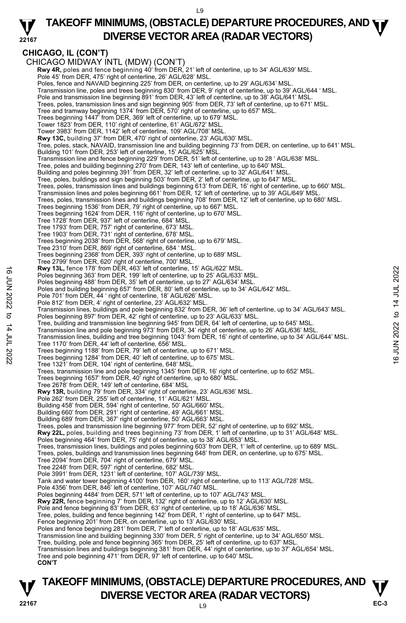#### **22167 TAKEOFF MINIMUMS, (OBSTACLE) DEPARTURE PROCEDURES, AND <b>WE**<br>DIVERSE VESTOR AREA (BARAR VESTORS) **DIVERSE VECTOR AREA (RADAR VECTORS)**

## **CHICAGO, IL (CON'T)**

CHICAGO MIDWAY INTL (MDW) (CON'T) Rwy 4R, poles and fence beginning 40' from DER, 21' left of centerline, up to 34' AGL/639' MSL. Pole 45' from DER, 475' right of centerline, 26' AGL/628' MSL. Poles, fence and NAVAID beginning 225' from DER, on centerline, up to 29' AGL/634' MSL. Transmission line, poles and trees beginning 830' from DER, 9' right of centerline, up to 39' AGL/644 ' MSL. Pole and transmission line beginning 891' from DER, 43' left of centerline, up to 38' AGL/641' MSL. Trees, poles, transmission lines and sign beginning 905' from DER, 73' left of centerline, up to 671' MSL. Tree and tramway beginning 1374' from DER, 570' right of centerline, up to 657' MSL. Trees beginning 1447' from DER, 369' left of centerline, up to 679' MSL. Tower 1823' from DER, 110' right of centerline, 61' AGL/672' MSL. Tower 3983' from DER, 1142' left of centerline, 109' AGL/708' MSL. **Rwy 13C,** building 37' from DER, 470' right of centerline, 23' AGL/630' MSL. Tree, poles, stack, NAVAID, transmission line and building beginning 73' from DER, on centerline, up to 641' MSL. Building 101' from DER, 253' left of centerline, 15' AGL/625' MSL. Transmission line and fence beginning 229' from DER, 51' left of centerline, up to 28 ' AGL/638' MSL. Tree, poles and building beginning 270' from DER, 143' left of centerline, up to 640' MSL.<br>Building and poles beginning 391' from DER, 32' left of centerline, up to 32' AGL/641' MSL. Tree, poles, buildings and sign beginning 503' from DER, 2' left of centerline, up to 647' MSL. Trees, poles, transmission lines and buildings beginning 613' from DER, 16' right of centerline, up to 660' MSL.<br>Transmission lines and poles beginning 661' from DER, 12' left of centerline, up to 39' AGL/649' MSL. Trees, poles, transmission lines and buildings beginning 708' from DER, 12' left of centerline, up to 680' MSL. Trees beginning 1536' from DER, 79' right of centerline, up to 667' MSL. Trees beginning 1624' from DER, 116' right of centerline, up to 670' MSL. Tree 1728' from DER, 937' left of centerline, 684' MSL. Tree 1793' from DER, 757' right of centerline, 673' MSL. Tree 1903' from DER, 731' right of centerline, 678' MSL. Trees beginning 2038' from DER, 568' right of centerline, up to 679' MSL. Tree 2310' from DER, 869' right of centerline, 684 ' MSL. Trees beginning 2368' from DER, 393' right of centerline, up to 689' MSL. Tree 2799' from DER, 620' right of centerline, 700' MSL. **Rwy 13L,** fence 178' from DER, 463' left of centerline, 15' AGL/622' MSL. Poles beginning 363' from DER, 199' left of centerline, up to 25' AGL/633' MSL. Poles beginning 488' from DER, 35' left of centerline, up to 27' AGL/634' MSL.<br>Poles and building beginning 657' from DER, 80' left of centerline, up to 34' AGL/642' MSL. Pole 701' from DER, 44 ' right of centerline, 18' AGL/626' MSL. Pole 812' from DER, 4' right of centerline, 23' AGL/632' MSI Transmission lines, buildings and pole beginning 832' from DER, 36' left of centerline, up to 34' AGL/643' MSL. Poles beginning 897' from DER, 42' right of centerline, up to 23' AGL/633' MSL. Tree, building and transmission line beginning 945' from DER, 64' left of centerline, up to 645' MSL. Transmission line and pole beginning 973' from DER, 34' right of centerline, up to 26' AGL/636' MSL. Transmission lines, building and tree beginning 1043' from DER, 16' right of centerline, up to 34' AGL/644' MSL. Tree 1170' from DER, 44' left of centerline, 656' MSL. Trees beginning 1188' from DER, 79' left of centerline, up to 671' MSL. Trees beginning 1284' from DER, 40' left of centerline, up to 675' MSL. Tree 1321' from DER, 104' right of centerline, 648' MSL. Trees, transmission line and pole beginning 1345' from DER, 16' right of centerline, up to 652' MSL. Trees beginning 1657' from DER, 40' right of centerline, up to 680' MSL. Tree 2678' from DER, 149' left of centerline, 684' MSL **Rwy 13R,** building 79' from DER, 334' right of centerline, 23' AGL/636' MSL. Pole 262' from DER, 255' left of centerline, 11' AGL/621' MSL Building 458' from DER, 594' right of centerline, 50' AGL/660' MSL. Building 660' from DER, 291' right of centerline, 49' AGL/661' MSL. Building 689' from DER, 367' right of centerline, 50' AGL/663' MSL. Trees, poles and transmission line beginning 977' from DER, 52' right of centerline, up to 692' MSL. Rwy 22L, poles, building and trees beginning 73' from DER, 1' left of centerline, up to 31' AGL/648' MSL. Poles beginning 464' from DER, 75' right of centerline, up to 38' AGL/653' MSL. Trees, transmission lines, buildings and poles beginning 603' from DER, 1' left of centerline, up to 689' MSL. Trees, poles, buildings and transmission lines beginning 648' from DER, on centerline, up to 675' MSL. Tree 2094' from DER, 704' right of centerline, 679' MSL. Tree 2248' from DER, 597' right of centerline, 682' MSL. Pole 3991' from DER, 1231' left of centerline, 107' AGL/739' MSL. Tank and water tower beginning 4100' from DER, 160' right of centerline, up to 113' AGL/728' MSL. Pole 4356' from DER, 846' left of centerline, 107' AGL/740' MSL. Poles beginning 4484' from DER, 571' left of centerline, up to 107' AGL/743' MSL. **Rwy 22R,** fence beginning 7' from DER, 132' right of centerline, up to 12' AGL/630' MSL. Pole and fence beginning 83' from DER, 63' right of centerline, up to 18' AGL/636' MSL. Tree, poles, building and fence beginning 142' from DER, 1' right of centerline, up to 647' MSL. Fence beginning 201' from DER, on centerline, up to 13' AGL/630' MSL. Poles and fence beginning 281' from DER, 7' left of centerline, up to 18' AGL/635' MSL. Transmission line and building beginning 330' from DER, 5' right of centerline, up to 34' AGL/650' MSL. Tree, building, pole and fence beginning 365' from DER, 25' left of centerline, up to 637' MSL. Transmission lines and buildings beginning 381' from DER, 44' right of centerline, up to 37' AGL/654' MSL. Tree and pole beginning 471' from DER, 97' left of centerline, up to 640' MSL. **CON'T** 16<br>
The studient of the selection of the Active Selection, 19 AGU632' MSL.<br>
Poles beginning 363' from DER, 35' left of centerline, up to 27' AGU633' MSL.<br>
Poles and building beginning 457' from DER, 36' left of centerline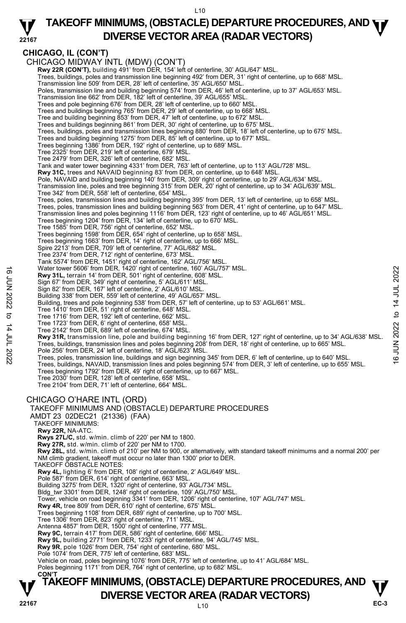#### **22167 TAKEOFF MINIMUMS, (OBSTACLE) DEPARTURE PROCEDURES, AND <b>WE**<br>DIVERSE VESTOR AREA (RADAR VESTORS) **DIVERSE VECTOR AREA (RADAR VECTORS)**

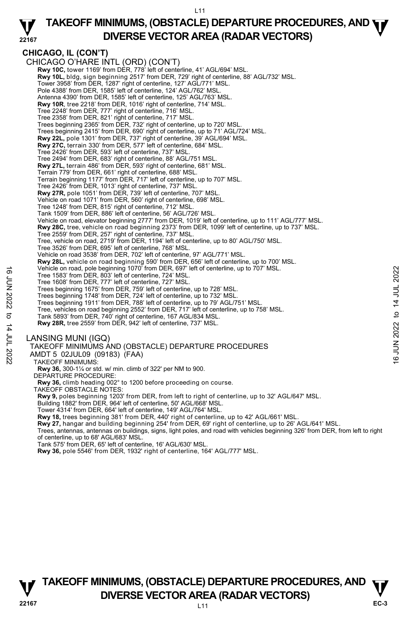#### **22167 TAKEOFF MINIMUMS, (OBSTACLE) DEPARTURE PROCEDURES, AND <b>WE**<br>DIVERSE VESTOR AREA (RADAR VESTORS) **DIVERSE VECTOR AREA (RADAR VECTORS)**

#### **CHICAGO, IL (CON'T)**  CHICAGO O'HARE INTL (ORD) (CON'T) **Rwy 10C,** tower 1169' from DER, 778' left of centerline, 41' AGL/694' MSL.<br>**Rwy 10L,** bldg, sign beginning 2517' from DER, 729' right of centerline, 88' AGL/732' MSL. Tower 3958' from DER, 1287' right of centerline, 127' AGL/771' MSL. Pole 4388' from DER, 1585' left of centerline, 124' AGL/762' MSL Antenna 4390' from DER, 1585' left of centerline, 125' AGL/763' MSL. **Rwy 10R**, tree 2218' from DER, 1016' right of centerline, 714' MSL. Tree 2248' from DER, 777' right of centerline, 716' MSL. Tree 2358' from DER, 821' right of centerline, 717' MSL. Trees beginning 2365' from DER, 732' right of centerline, up to 720' MSL. Trees beginning 2415' from DER, 690' right of centerline, up to 71' AGL/724' MSL. **Rwy 22L,** pole 1301' from DER, 737' right of centerline, 39' AGL/694' MSL. **Rwy 27C,** terrain 330' from DER, 577' left of centerline, 684' MSL. Tree 2426' from DER, 593' left of centerline, 737' MSL. Tree 2494' from DER, 683' right of centerline, 88' AGL/751 MSL. **Rwy 27L,** terrain 486' from DER, 593' right of centerline, 681' MSL. Terrain 779' from DER, 661' right of centerline, 688' MSL. Terrain beginning 1177' from DER, 717' left of centerline, up to 707' MSL. Tree 2426' from DER, 1013' right of centerline, 737' MSL.<br>**Rwy 27R,** pole 1051' from DER, 739' left of centerline, 707' MSL. Vehicle on road 1071' from DER, 560' right of centerline, 698' MSL. Tree 1248' from DER, 815' right of centerline, 712' MSL. Tank 1509' from DER, 886' left of centerline, 56' AGL/726' MSL. Vehicle on road, elevator beginning 2777' from DER, 1019' left of centerline, up to 111' AGL/777' MSL. **Rwy 28C,** tree, vehicle on road beginning 2373' from DER, 1099' left of centerline, up to 737' MSL. Tree 2559' from DER, 257' right of centerline, 737' MSL. Tree, vehicle on road, 2719' from DER, 1194' left of centerline, up to 80' AGL/750' MSL. Tree 3526' from DER, 695' left of centerline, 768' MSL. Vehicle on road 3538' from DER, 702' left of centerline, 97' AGL/771' MSL. **Rwy 28L,** vehicle on road beginning 590' from DER, 656' left of centerline, up to 700' MSL. Vehicle on road, pole beginning 1070' from DER, 697' left of centerline, up to 707' MSL. Tree 1583' from DER, 803' left of centerline, 724' MSL. Tree 1608' from DER, 777' left of centerline, 727' MSL. Trees beginning 1675' from DER, 759' left of centerline, up to 728' MSL. Trees beginning 1748' from DER, 724' left of centerline, up to 732' MSL. Trees beginning 1911' from DER, 788' left of centerline, up to 79' AGL/751' MSL. Tree, vehicles on road beginning 2552' from DER, 717' left of centerline, up to 758' MSL. Tank 5893' from DER, 740' right of centerline, 167 AGL/834 MSL. **Rwy 28R,** tree 2559' from DER, 942' left of centerline, 737' MSL. LANSING MUNI (IGQ) TAKEOFF MINIMUMS AND (OBSTACLE) DEPARTURE PROCEDURES AMDT 5 02JUL09 (09183) (FAA) TAKEOFF MINIMUMS: The 16 or oral, pole beginning 10/0' from DER, 29' left of centerline, 124' MSL.<br>
Tree 1583' from DER, 203' left of centerline, 727' MSL.<br>
Tree 1608' from DER, 777' left of centerline, 127' MSL.<br>
Trees beginning 1675' fro

**Rwy 36,** 300-1¼ or std. w/ min. climb of 322' per NM to 900.

- DEPARTURE PROCEDURE:
- **Rwy 36,** climb heading 002° to 1200 before proceeding on course.
- TAKEOFF OBSTACLE NOTES:
- **Rwy 9,** poles beginning 1203' from DER, from left to right of centerline, up to 32' AGL/647' MSL.<br>Building 1882' from DER, 964' left of centerline, 50' AGL/668' MSL.

Tower 4314' from DER, 664' left of centerline, 149' AGL/764' MSL.

**Rwy 18,** trees beginning 381' from DER, 440' right of centerline, up to 42' AGL/661' MSL.

**Rwy 27,** hangar and building beginning 254' from DER, 69' right of centerline, up to 26' AGL/641' MSL. Trees, antennas, antennas on buildings, signs, light poles, and road with vehicles beginning 326' from DER, from left to right of centerline, up to 68' AGL/683' MSL.

Tank 575' from DER, 65' left of centerline, 16' AGL/630' MSL.

**Rwy 36,** pole 5546' from DER, 1932' right of centerline, 164' AGL/777' MSL.

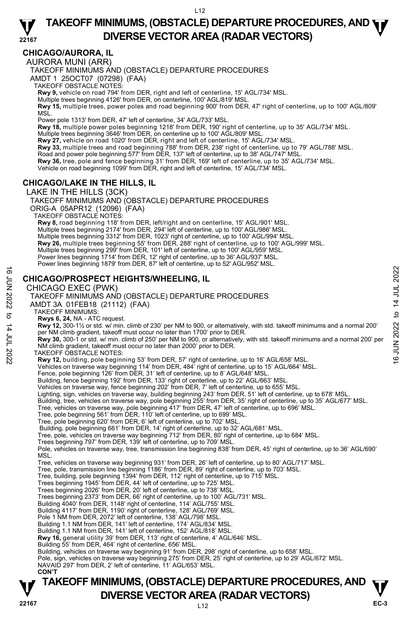## **CHICAGO/AURORA, IL**

AURORA MUNI (ARR)

TAKEOFF MINIMUMS AND (OBSTACLE) DEPARTURE PROCEDURES

AMDT 1 25OCT07 (07298) (FAA)

TAKEOFF OBSTACLE NOTES:

**Rwy 9,** vehicle on road 794' from DER, right and left of centerline, 15' AGL/734' MSL.

Multiple trees beginning 4126' from DER, on centerline, 100' AGL/819' MSL. **Rwy 15,** multiple trees, power poles and road beginning 900' from DER, 47' right of centerline, up to 100' AGL/809' MSL.

Power pole 1313' from DER, 47' left of centerline, 34' AGL/733' MSL.<br>**Rwy 18,** multiple power poles beginning 1218' from DER, 190' right of centerline, up to 35' AGL/734' MSL.

Multiple trees beginning 3646' from DER, on centerline up to 100' AGL/809' MSL.

**Rwy 27,** vehicle on road 1020' from DER, right and left of centerline, 15' AGL/734' MSL.<br>**Rwy 33,** multiple trees and road beginning 788' from DER, 238' right of centerline, up to 79' AGL/788' MSL.

Road and power pole beginning 577' from DER, 137' left of centerline, up to 38' AGL/747' MSL.

**Rwy 36,** tree, pole and fence beginning 31' from DER, 169' left of centerline, up to 35' AGL/734' MSL.

Vehicle on road beginning 1099' from DER, right and left of centerline, 15' AGL/734' MSL.

## **CHICAGO/LAKE IN THE HILLS, IL**

LAKE IN THE HILLS (3CK)

TAKEOFF MINIMUMS AND (OBSTACLE) DEPARTURE PROCEDURES ORIG-A 05APR12 (12096) (FAA) TAKEOFF OBSTACLE NOTES: **Rwy 8,** road beginning 118' from DER, left/right and on centerline, 15' AGL/901' MSL. Multiple trees beginning 2174' from DER, 294' left of centerline, up to 100' AGL/986' MSL. Multiple trees beginning 3312' from DER, 1023' right of centerline, up to 100' AGL/994' MSL.<br>**Rwy 26,** multiple trees beginning 55' from DER, 288' right of centerline, up to 100' AGL/999' MSL. Multiple trees beginning 299' from DER, 101' left of centerline, up to 100' AGL/959' MSL. Power lines beginning 1714' from DER, 12' right of centerline, up to 36' AGL/937' MSL. Power lines beginning 1879' from DER, 87' left of centerline, up to 52' AGL/952' MSL.

#### **CHICAGO/PROSPECT HEIGHTS/WHEELING, IL**

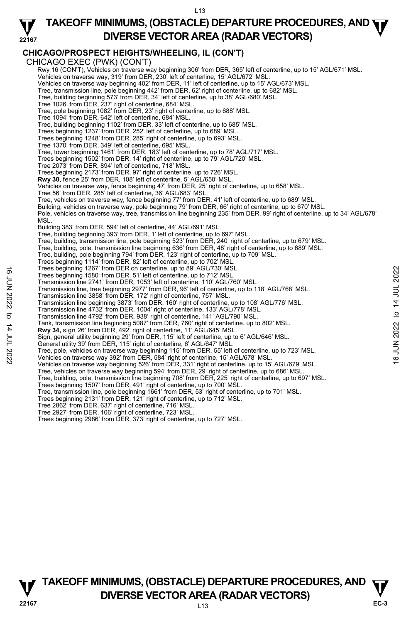#### **22167 TAKEOFF MINIMUMS, (OBSTACLE) DEPARTURE PROCEDURES, AND <b>WE**<br>DIVERSE VESTOR AREA (RADAR VESTORS) **DIVERSE VECTOR AREA (RADAR VECTORS)**

## **CHICAGO/PROSPECT HEIGHTS/WHEELING, IL (CON'T)**

CHICAGO EXEC (PWK) (CON'T)

Rwy 16 (CON'T), Vehicles on traverse way beginning 306' from DER, 365' left of centerline, up to 15' AGL/671' MSL. Vehicles on traverse way, 319' from DER, 230' left of centerline, 15' AGL/672' MSL.

Vehicles on traverse way beginning 402' from DER, 11' left of centerline, up to 15' AGL/673' MSL.

Tree, transmission line, pole beginning 442' from DER, 62' right of centerline, up to 682' MSL. Tree, building beginning 573' from DER, 34' left of centerline, up to 38' AGL/680' MSL.

Tree 1026' from DER, 237' right of centerline, 684' MSL. Tree, pole beginning 1082' from DER, 23' right of centerline, up to 688' MSL.

Tree 1094' from DER, 642' left of centerline, 684' MSL.

Tree, building beginning 1102' from DER, 33' left of centerline, up to 685' MSL.

Trees beginning 1237' from DER, 252' left of centerline, up to 689' MSL.

Trees beginning 1248' from DER, 285' right of centerline, up to 693' MSL.

Tree 1370' from DER, 349' left of centerline, 695' MSL.

Tree, tower beginning 1461' from DER, 183' left of centerline, up to 78' AGL/717' MSL.

Trees beginning 1502' from DER, 14' right of centerline, up to 79' AGL/720' MSL.

Tree 2073' from DER, 894' left of centerline, 718' MSL. Trees beginning 2173' from DER, 97' right of centerline, up to 726' MSL.

**Rwy 30,** fence 25' from DER, 108' left of centerline, 5' AGL/650' MSL.

Vehicles on traverse way, fence beginning 47' from DER, 25' right of centerline, up to 658' MSL.<br>Tree 56' from DER, 285' left of centerline, 36' AGL/683' MSL.

- 
- Tree, vehicles on traverse way, fence beginning 77' from DER, 41' left of centerline, up to 689' MSL.

Building, vehicles on traverse way, pole beginning 79' from DER, 66' right of centerline, up to 670' MSL.

Pole, vehicles on traverse way, tree, transmission line beginning 235' from DER, 99' right of centerline, up to 34' AGL/678' **MSL** 

Building 383' from DER, 594' left of centerline, 44' AGL/691' MSL.

Tree, building beginning 393' from DER, 1' left of centerline, up to 697' MSL.

Tree, building, transmission line, pole beginning 523' from DER, 240' right of centerline, up to 679' MSL.

Tree, building, pole, transmission line beginning 636' from DER, 48' right of centerline, up to 689' MSL.

Tree, building, pole beginning 794' from DER, 123' right of centerline, up to 709' MSL. Trees beginning 1114' from DER, 82' left of centerline, up to 702' MSL.

Trees beginning 1267' from DER on centerline, up to 89' AGL/730' MSL.

Trees beginning 1580' from DER, 51' left of centerline, up to 712' MSL.

Transmission line 2741' from DER, 1053' left of centerline, 110' AGL/760' MSL.

Transmission line, tree beginning 2977' from DER, 96' left of centerline, up to 118' AGL/768' MSL. Trees beginning 1260' from DER, 61' left of centerline, up to 89' AGL/730' MSL.<br>
Transmission line 2741' from DER, 1053' left of centerline, up to 712' MSL.<br>
Transmission line 2741' from DER, 1053' left of centerline, up t

Transmission line 3858' from DER, 172' right of centerline, 757' MSL.

Transmission line beginning 3873' from DER, 160' right of centerline, up to 108' AGL/776' MSL.

Transmission line 4732' from DER, 1004' right of centerline, 133' AGL/778' MSL.

Transmission line 4792' from DER, 938' right of centerline, 141' AGL/790' MSL.

Tank, transmission line beginning 5087' from DER, 760' right of centerline, up to 802' MSL. **Rwy 34,** sign 26' from DER, 492' right of centerline, 11' AGL/645' MSL.

Sign, general utility beginning 29' from DER, 115' left of centerline, up to 6' AGL/646' MSL.

General utility 39' from DER, 115' right of centerline, 6' AGL/647' MSL.

- 
- Vehicles on traverse way beginning 526' from DER, 331' right of centerline, up to 15' AGL/679' MSL.
- Tree, vehicles on traverse way beginning 594' from DER, 29' right of centerline, up to 686' MSL. Tree, building, pole, transmission line beginning 708' from DER, 225' right of centerline, up to 697' MSL.
- 
- Trees beginning 1507' from DER, 491' right of centerline, up to 700' MSL.
- Tree, transmission line, pole beginning 1661' from DER, 53' right of centerline, up to 701' MSL.

Trees beginning 2131' from DER, 121' right of centerline, up to 712' MSL. Tree 2862' from DER, 637' right of centerline, 716' MSL.

- 
- Tree 2927' from DER, 106' right of centerline, 723' MSL.

Trees beginning 2986' from DER, 373' right of centerline, up to 727' MSL.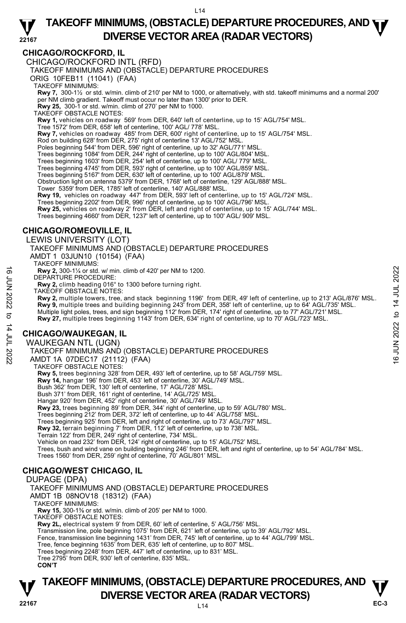## **CHICAGO/ROCKFORD, IL**

CHICAGO/ROCKFORD INTL (RFD)

TAKEOFF MINIMUMS AND (OBSTACLE) DEPARTURE PROCEDURES

ORIG 10FEB11 (11041) (FAA)

TAKEOFF MINIMUMS:

**Rwy 7,** 300-1½ or std. w/min. climb of 210' per NM to 1000, or alternatively, with std. takeoff minimums and a normal 200' per NM climb gradient. Takeoff must occur no later than 1300' prior to DER.

**Rwy 25,** 300-1 or std. w/min. climb of 270' per NM to 1000.

TAKEOFF OBSTACLE NOTES:

**Rwy 1,** vehicles on roadway 569' from DER, 640' left of centerline, up to 15' AGL/754' MSL.<br>Tree 1572' from DER, 658' left of centerline, 100' AGL/ 778' MSL.

**Rwy 7,** vehicles on roadway 485' from DER, 600' right of centerline, up to 15' AGL/754' MSL.

- Rod on building 628' from DER, 275' right of centerline 13' AGL/752' MSL.
- Poles beginning 544' from DER, 596' right of centerline, up to 32' AGL/771' MSL
- Trees beginning 1084' from DER, 244' right of centerline, up to 100' AGL/804' MSL.
- 
- Trees beginning 1603' from DER, 254' left of centerline, up to 100' AGL/ 779' MSL. Trees beginning 4745' from DER, 593' right of centerline, up to 100' AGL/859' MSL.
- Trees beginning 5167' from DER, 630' left of centerline, up to 100' AGL/879' MSL.
- Obstruction light on antenna 5379' from DER, 1768' left of centerline, 129' AGL/888' MSL.
- Tower 5359' from DER, 1785' left of centerline, 140' AGL/888' MSL.
- **Rwy 19,** vehicles on roadway 447' from DER, 593' left of centerline, up to 15' AGL/724' MSL.
- Trees beginning 2202' from DER, 996' right of centerline, up to 100' AGL/796' MSL.
- **Rwy 25,** vehicles on roadway 2' from DER, left and right of centerline, up to 15' AGL/744' MSL.

Trees beginning 4660' from DER, 1237' left of centerline, up to 100' AGL/ 909' MSL.

## **CHICAGO/ROMEOVILLE, IL**

LEWIS UNIVERSITY (LOT)

- TAKEOFF MINIMUMS AND (OBSTACLE) DEPARTURE PROCEDURES AMDT 1 03JUN10 (10154) (FAA)
- TAKEOFF MINIMUMS:

**Rwy 2,** 300-1¼ or std. w/ min. climb of 420' per NM to 1200.

DEPARTURE PROCEDURE:

**Rwy 2,** climb heading 016° to 1300 before turning right.

TAKEOFF OBSTACLE NOTES:

**Rwy 2,** multiple towers, tree, and stack beginning 1196' from DER, 49' left of centerline, up to 213' AGL/876' MSL. **EXECUTE PROCEDURE:**<br>
LEPARTURE PROCEDURE:<br>
DEPARTURE PROCEDURE:<br> **EXECUTE PROCEDURE:**<br>
TAKEOFF OBSTACLE NOTES:<br>
TAKEOFF OBSTACLE NOTES:<br>
TAKEOFF OBSTACLE NOTES:<br> **ENV 2**, multiple tevers, tree, and stack beginning 1196'

**Rwy 9,** multiple trees and building beginning 243' from DER, 358' left of centerline, up to 64' AGL/735' MSL.<br>Multiple light poles, trees, and sign beginning 112' from DER, 174' right of centerline, up to 77' AGL/721' MSL

**Rwy 27,** multiple trees beginning 1143' from DER, 634' right of centerline, up to 70' AGL/723' MSL.

## **CHICAGO/WAUKEGAN, IL**

WAUKEGAN NTL (UGN)

TAKEOFF MINIMUMS AND (OBSTACLE) DEPARTURE PROCEDURES

AMDT 1A 07DEC17 (21112) (FAA)

TAKEOFF OBSTACLE NOTES:

**Rwy 5,** trees beginning 328' from DER, 493' left of centerline, up to 58' AGL/759' MSL.<br>**Rwy 14,** hangar 196' from DER, 453' left of centerline, 30' AGL/749' MSL.

Bush 362' from DER, 130' left of centerline, 17' AGL/728' MSL.

Bush 371' from DER, 161' right of centerline, 14' AGL/725' MSL. Hangar 920' from DER, 452' right of centerline, 30' AGL/749' MSL.

**Rwy 23,** trees beginning 89' from DER, 344' right of centerline, up to 59' AGL/780' MSL.

Trees beginning 212' from DER, 372' left of centerline, up to 44' AGL/758' MSL.

Trees beginning 925' from DER, left and right of centerline, up to 73' AGL/797' MSL. **Rwy 32,** terrain beginning 7' from DER, 112' left of centerline, up to 738' MSL.

Terrain 122' from DER, 249' right of centerline, 734' MSL.

Vehicle on road 232' from DER, 124' right of centerline, up to 15' AGL/752' MSL

Trees, bush and wind vane on building beginning 246' from DER, left and right of centerline, up to 54' AGL/784' MSL. Trees 1560' from DER, 259' right of centerline, 70' AGL/801' MSL.

## **CHICAGO/WEST CHICAGO, IL**

#### DUPAGE (DPA)

TAKEOFF MINIMUMS AND (OBSTACLE) DEPARTURE PROCEDURES

AMDT 1B 08NOV18 (18312) (FAA)

TAKEOFF MINIMUMS:

**Rwy 15,** 300-1⅜ or std. w/min. climb of 205' per NM to 1000.

TAKEOFF OBSTACLE NOTES:

**Rwy 2L,** electrical system 9' from DER, 60' left of centerline, 5' AGL/756' MSL.

Transmission line, pole beginning 1075' from DER, 621' left of centerline, up to 39' AGL/792' MSL.

Fence, transmission line beginning 1431' from DER, 745' left of centerline, up to 44' AGL/799' MSL.<br>Tree, fence beginning 1635' from DER, 635' left of centerline, up to 807' MSL.<br>Trees beginning 2248' from DER, 447' left o

Tree 2795' from DER, 930' left of centerline, 835' MSL.

 **CON'T**

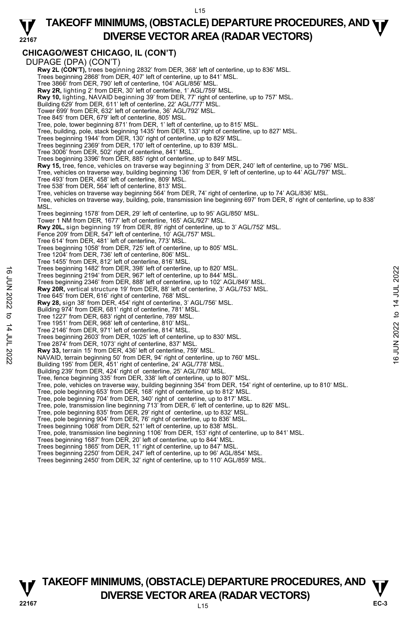#### **22167 TAKEOFF MINIMUMS, (OBSTACLE) DEPARTURE PROCEDURES, AND <b>WE**<br>DIVERSE VESTOR AREA (RADAR VESTORS) **DIVERSE VECTOR AREA (RADAR VECTORS)**

## **CHICAGO/WEST CHICAGO, IL (CON'T)**

|                   | "                                                                                                                                   |               |
|-------------------|-------------------------------------------------------------------------------------------------------------------------------------|---------------|
|                   | DUPAGE (DPA) (CON'T)                                                                                                                |               |
|                   | Rwy 2L (CON'T), trees beginning 2832' from DER, 368' left of centerline, up to 836' MSL.                                            |               |
|                   | Trees beginning 2868' from DER, 407' left of centerline, up to 841' MSL.                                                            |               |
|                   | Tree 3866' from DER, 790' left of centerline, 104' AGL/856' MSL.                                                                    |               |
|                   | <b>Rwy 2R, lighting 2' from DER, 30' left of centerline, 1' AGL/759' MSL.</b>                                                       |               |
|                   | <b>Rwy 10,</b> lighting, NAVAID beginning 39' from DER, 77' right of centerline, up to 757' MSL.                                    |               |
|                   | Building 629' from DER, 611' left of centerline, 22' AGL/777' MSL.                                                                  |               |
|                   | Tower 699' from DER, 632' left of centerline, 36' AGL/792' MSL.                                                                     |               |
|                   | Tree 845' from DER, 679' left of centerline, 805' MSL.                                                                              |               |
|                   | Tree, pole, tower beginning 871' from DER, 1' left of centerline, up to 815' MSL.                                                   |               |
|                   | Tree, building, pole, stack beginning 1435' from DER, 133' right of centerline, up to 827' MSL.                                     |               |
|                   | Trees beginning 1944' from DER, 130' right of centerline, up to 829' MSL.                                                           |               |
|                   | Trees beginning 2369' from DER, 170' left of centerline, up to 839' MSL.                                                            |               |
|                   | Tree 3006' from DER, 502' right of centerline, 841' MSL.                                                                            |               |
|                   | Trees beginning 3396' from DER, 885' right of centerline, up to 849' MSL.                                                           |               |
|                   | Rwy 15, tree, fence, vehicles on traverse way beginning 3' from DER, 240' left of centerline, up to 796' MSL.                       |               |
|                   | Tree, vehicles on traverse way, building beginning 136' from DER, 9' left of centerline, up to 44' AGL/797' MSL.                    |               |
|                   | Tree 493' from DER, 458' left of centerline, 809' MSL.                                                                              |               |
|                   | Tree 538' from DER, 564' left of centerline, 813' MSL.                                                                              |               |
|                   | Tree, vehicles on traverse way beginning 564' from DER, 74' right of centerline, up to 74' AGL/836' MSL.                            |               |
|                   | Tree, vehicles on traverse way, building, pole, transmission line beginning 697' from DER, 8' right of centerline, up to 838'       |               |
|                   | MSL.                                                                                                                                |               |
|                   | Trees beginning 1578' from DER, 29' left of centerline, up to 95' AGL/850' MSL.                                                     |               |
|                   | Tower 1 NM from DER, 1677' left of centerline, 165' AGL/927' MSL.                                                                   |               |
|                   | Rwy 20L, sign beginning 19' from DER, 89' right of centerline, up to 3' AGL/752' MSL.                                               |               |
|                   | Fence 209' from DER, 547' left of centerline, 10' AGL/757' MSL.                                                                     |               |
|                   | Tree 614' from DER, 481' left of centerline, 773' MSL.                                                                              |               |
|                   | Trees beginning 1058' from DER, 725' left of centerline, up to 805' MSL.                                                            |               |
|                   | Tree 1204' from DER, 736' left of centerline, 806' MSL.                                                                             |               |
|                   | Tree 1455' from DER, 812' left of centerline, 816' MSL.<br>Trees beginning 1482' from DER, 398' left of centerline, up to 820' MSL. |               |
|                   | Trees beginning 2194' from DER, 967' left of centerline, up to 844' MSL.                                                            |               |
|                   | Trees beginning 2346' from DER, 888' left of centerline, up to 102' AGL/849' MSL.                                                   |               |
|                   | Rwy 20R, vertical structure 19' from DER, 88' left of centerline, 3' AGL/753' MSL.                                                  |               |
|                   | Tree 645' from DER, 616' right of centerline, 768' MSL.                                                                             |               |
| <b>6 JUN 2022</b> | Rwy 28, sign 38' from DER, 454' right of centerline, 3' AGL/756' MSL.                                                               | 14 JUL 2022   |
|                   | Building 974' from DER, 681' right of centerline, 781' MSL.                                                                         |               |
| ಕ                 | Tree 1227' from DER, 683' right of centerline, 789' MSL.                                                                            | $\mathbf{c}$  |
|                   | Tree 1951' from DER, 968' left of centerline, 810' MSL.                                                                             |               |
|                   | Tree 2146' from DER, 971' left of centerline, 814' MSL.                                                                             | 2022          |
|                   | Trees beginning 2603' from DER, 1025' left of centerline, up to 830' MSL.                                                           |               |
|                   | Tree 2874' from DER, 1073' right of centerline, 837' MSL.                                                                           |               |
|                   | Rwy 33, terrain 15' from DER, 436' left of centerline, 759' MSL.                                                                    | NUM.          |
| 14 JUL 2022       | NAVAID, terrain beginning 50' from DER, 94' right of centerline, up to 760' MSL.                                                    | $\frac{6}{2}$ |
|                   | Building 195' from DER, 451' right of centerline, 24' AGL/778' MSL.                                                                 |               |
|                   | Building 239' from DER, 424' right of centerline, 25' AGL/780' MSL.                                                                 |               |
|                   | Tree, fence beginning 335' from DER, 338' left of centerline, up to 807' MSL.                                                       |               |
|                   | Tree, pole, vehicles on traverse way, building beginning 354' from DER, 154' right of centerline, up to 810' MSL.                   |               |
|                   | Tree, pole beginning 653' from DER, 168' right of centerline, up to 812' MSL.                                                       |               |
|                   | Tree, pole beginning 704' from DER, 340' right of centerline, up to 817' MSL.                                                       |               |
|                   | Tree, pole, transmission line beginning 713' from DER, 6' left of centerline, up to 826' MSL.                                       |               |
|                   | Tree, pole beginning 835' from DER, 29' right of centerline, up to 832' MSL.                                                        |               |
|                   | Tree, pole beginning 904' from DER, 76' right of centerline, up to 836' MSL.                                                        |               |
|                   | Trees beginning 1068' from DER, 521' left of centerline, up to 838' MSL.                                                            |               |
|                   | Tree, pole, transmission line beginning 1106' from DER, 153' right of centerline, up to 841' MSL.                                   |               |
|                   | Trees beginning 1687' from DER, 20' left of centerline, up to 844' MSL.                                                             |               |
|                   | Trees beginning 1865' from DER, 11' right of centerline, up to 847' MSL.                                                            |               |
|                   | Trees beginning 2250' from DER, 247' left of centerline, up to 96' AGL/854' MSL.                                                    |               |
|                   | Trees beginning 2450' from DER, 32' right of centerline, up to 110' AGL/859' MSL.                                                   |               |
|                   |                                                                                                                                     |               |
|                   |                                                                                                                                     |               |

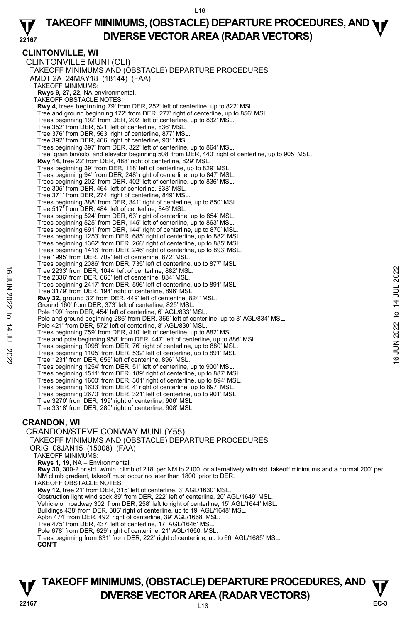#### **22167 TAKEOFF MINIMUMS, (OBSTACLE) DEPARTURE PROCEDURES, AND <b>WE**<br>DIVERSE VESTOR AREA (RADAR VESTORS) **DIVERSE VECTOR AREA (RADAR VECTORS)**

**CLINTONVILLE, WI**  CLINTONVILLE MUNI (CLI) TAKEOFF MINIMUMS AND (OBSTACLE) DEPARTURE PROCEDURES AMDT 2A 24MAY18 (18144) (FAA) TAKEOFF MINIMUMS: **Rwys 9, 27, 22,** NA-environmental. TAKEOFF OBSTACLE NOTES: **Rwy 4,** trees beginning 79' from DER, 252' left of centerline, up to 822' MSL. Tree and ground beginning 172' from DER, 277' right of centerline, up to 856' MSL. Trees beginning 192' from DER, 202' left of centerline, up to 832' MSL. Tree 352' from DER, 521' left of centerline, 836' MSL. Tree 376' from DER, 563' right of centerline, 877' MSL. Tree 392' from DER, 466' right of centerline, 901' MSL. Trees beginning 397' from DER, 322' left of centerline, up to 864' MSL. Tree, grain bin/silo, and elevator beginning 508' from DER, 440' right of centerline, up to 905' MSL. **Rwy 14,** tree 22' from DER, 488' right of centerline, 829' MSL. Trees beginning 39' from DER, 118' left of centerline, up to 829' MSL. Trees beginning 94' from DER, 248' right of centerline, up to 847' MSL. Trees beginning 202' from DER, 402' left of centerline, up to 836' MSL. Tree 305' from DER, 464' left of centerline, 838' MSL. Tree 371' from DER, 274' right of centerline, 849' MSL. Trees beginning 388' from DER, 341' right of centerline, up to 850' MSL. Tree 517' from DER, 484' left of centerline, 846' MSL. Trees beginning 524' from DER, 63' right of centerline, up to 854' MSL. Trees beginning 525' from DER, 145' left of centerline, up to 863' MSL. Trees beginning 691' from DER, 144' right of centerline, up to 870' MSL. Trees beginning 1253' from DER, 685' right of centerline, up to 882' MSL. Trees beginning 1362' from DER, 266' right of centerline, up to 885' MSL. Trees beginning 1416' from DER, 246' right of centerline, up to 893' MSL. Tree 1995' from DER, 709' left of centerline, 872' MSL. Trees beginning 2086' from DER, 735' left of centerline, up to 877' MSL. Tree 2233' from DER, 1044' left of centerline, 882' MSL. Tree 2336' from DER, 660' left of centerline, 884' MSL. Trees beginning 2417' from DER, 596' left of centerline, up to 891' MSL. Tree 3179' from DER, 194' right of centerline, 896' MSL. **Rwy 32,** ground 32' from DER, 449' left of centerline, 824' MSL. Ground 160' from DER, 373' left of centerline, 825' MSL. Pole 199' from DER, 454' left of centerline, 6' AGL/833' MSL. Pole and ground beginning 286' from DER, 365' left of centerline, up to 8' AGL/834' MSL. Pole 421' from DER, 572' left of centerline, 8' AGL/839' MSL. Trees beginning 759' from DER, 410' left of centerline, up to 882' MSL. Tree and pole beginning 958' from DER, 447' left of centerline, up to 886' MSL. Trees beginning 1098' from DER, 76' right of centerline, up to 880' MSL. Trees beginning 1105' from DER, 532' left of centerline, up to 891' MSL. Tree 1231' from DER, 656' left of centerline, 896' MSL. Trees beginning 1254' from DER, 51' left of centerline, up to 900' MSL. Trees beginning 1511' from DER, 189' right of centerline, up to 887' MSL. Trees beginning 1600' from DER, 301' right of centerline, up to 894' MSL. Trees beginning 1633' from DER, 4' right of centerline, up to 897' MSL. Trees beginning 2670' from DER, 321' left of centerline, up to 901' MSL. Tree 3270' from DER, 199' right of centerline, 906' MSL. Tree 3318' from DER, 280' right of centerline, 908' MSL. Tree 2233' from DER, 1044' left of centerline, 882' MSL.<br>
Tree 3086' from DER, 660' left of centerline, 894' MSL.<br>
Tree sheginning 2417' from DER, 596' left of centerline, up to 891' MSL.<br>
Tree 3179' from DER, 194' right o

## **CRANDON, WI**

CRANDON/STEVE CONWAY MUNI (Y55) TAKEOFF MINIMUMS AND (OBSTACLE) DEPARTURE PROCEDURES ORIG 08JAN15 (15008) (FAA) TAKEOFF MINIMUMS: **Rwys 1, 19,** NA – Environmental. **Rwy 30,** 300-2 or std. w/min. climb of 218' per NM to 2100, or alternatively with std. takeoff minimums and a normal 200' per NM climb gradient, takeoff must occur no later than 1800' prior to DER. TAKEOFF OBSTACLE NOTES: **Rwy 12,** tree 21' from DER, 315' left of centerline, 3' AGL/1630' MSL. Obstruction light wind sock 89' from DER, 222' left of centerline, 20' AGL/1649' MSL. Vehicle on roadway 302' from DER, 258' left to right of centerline, 15' AGL/1644' MSL. Buildings 438' from DER, 386' right of centerline, up to 19' AGL/1648' MSL. Apbn 474' from DER, 492' right of centerline, 39' AGL/1668' MSL. Tree 475' from DER, 437' left of centerline, 17' AGL/1646' MSL. Pole 678' from DER, 629' right of centerline, 21' AGL/1650' MSL. Trees beginning from 831' from DER, 222' right of centerline, up to 66' AGL/1685' MSL. **CON'T**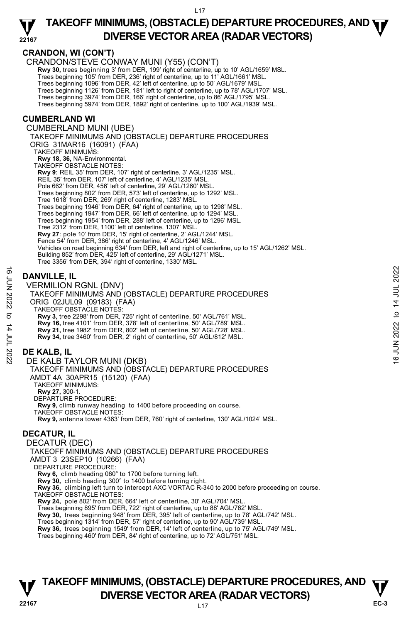#### **22167 TAKEOFF MINIMUMS, (OBSTACLE) DEPARTURE PROCEDURES, AND <b>WE**<br>DIVERSE VESTOR AREA (RADAR VESTORS) **DIVERSE VECTOR AREA (RADAR VECTORS)**

**CRANDON, WI (CON'T)** 

CRANDON/STEVE CONWAY MUNI (Y55) (CON'T)

 **Rwy 30,** trees beginning 3' from DER, 199' right of centerline, up to 10' AGL/1659' MSL.

Trees beginning 105' from DER, 236' right of centerline, up to 11' AGL/1661' MSL.

Trees beginning 1096' from DER, 42' left of centerline, up to 50' AGL/1679' MSL.

Trees beginning 1126' from DER, 181' left to right of centerline, up to 78' AGL/1707' MSL. Trees beginning 3974' from DER, 166' right of centerline, up to 86' AGL/1795' MSL.

Trees beginning 5974' from DER, 1892' right of centerline, up to 100' AGL/1939' MSL.

### **CUMBERLAND WI**

CUMBERLAND MUNI (UBE) TAKEOFF MINIMUMS AND (OBSTACLE) DEPARTURE PROCEDURES ORIG 31MAR16 (16091) (FAA) TAKEOFF MINIMUMS: **Rwy 18, 36,** NA-Environmental. TAKEOFF OBSTACLE NOTES: **Rwy 9**: REIL 35' from DER, 107' right of centerline, 3' AGL/1235' MSL. REIL 35' from DER, 107' left of centerline, 4' AGL/1235' MSL. Pole 662' from DER, 456' left of centerline, 29' AGL/1260' MSL Trees beginning 802' from DER, 573' left of centerline, up to 1292' MSL. Tree 1618' from DER, 269' right of centerline, 1283' MSL. Trees beginning 1946' from DER, 64' right of centerline, up to 1298' MSL. Trees beginning 1947' from DER, 66' left of centerline, up to 1294' MSL. Trees beginning 1954' from DER, 288' left of centerline, up to 1296' MSL. Tree 2312' from DER, 1100' left of centerline, 1307' MSL. **Rwy 27**: pole 10' from DER, 15' right of centerline, 2' AGL/1244' MSL. Fence 54' from DER, 386' right of centerline, 4' AGL/1246' MSL. Vehicles on road beginning 634' from DER, left and right of centerline, up to 15' AGL/1262' MSL. Building 852' from DER, 425' left of centerline, 29' AGL/1271' MSL. Tree 3356' from DER, 394' right of centerline, 1330' MSL.

## **DANVILLE, IL**

VERMILION RGNL (DNV) TAKEOFF MINIMUMS AND (OBSTACLE) DEPARTURE PROCEDURES ORIG 02JUL09 (09183) (FAA) TAKEOFF OBSTACLE NOTES: **Rwy 3,** tree 2298' from DER, 725' right of centerline, 50' AGL/761' MSL. **Rwy 16,** tree 4101' from DER, 378' left of centerline, 50' AGL/789' MSL. **Rwy 21,** tree 1982' from DER, 802' left of centerline, 50' AGL/728' MSL. **Rwy 34,** tree 3460' from DER, 2' right of centerline, 50' AGL/812' MSL. **DANVILLE, IL**<br>  $\frac{16}{5}$ <br>
VERMILION RGNL (DNV)<br>
TAKEOFF MINIMUMS AND (OBSTACLE) DEPARTURE PROCEDURES<br>
ORIG 02JUL09 (09183) (FAA)<br>
TAKEOFF MINIMUMS AND (OBSTACLE) DEPARTURE PROCEDURES<br>
TAKEOFF OBSTACLE NOTER, 725' right

## **DE KALB, IL**

DE KALB TAYLOR MUNI (DKB) TAKEOFF MINIMUMS AND (OBSTACLE) DEPARTURE PROCEDURES AMDT 4A 30APR15 (15120) (FAA) TAKEOFF MINIMUMS: **Rwy 27,** 300-1. DEPARTURE PROCEDURE: **Rwy 9,** climb runway heading to 1400 before proceeding on course. TAKEOFF OBSTACLE NOTES: **Rwy 9,** antenna tower 4363' from DER, 760' right of centerline, 130' AGL/1024' MSL.

## **DECATUR, IL**

DECATUR (DEC) TAKEOFF MINIMUMS AND (OBSTACLE) DEPARTURE PROCEDURES AMDT 3 23SEP10 (10266) (FAA) DEPARTURE PROCEDURE: **Rwy 6,** climb heading 060° to 1700 before turning left. **Rwy 30,** climb heading 300° to 1400 before turning right. **Rwy 36,** climbing left turn to intercept AXC VORTAC R-340 to 2000 before proceeding on course. TAKEOFF OBSTACLE NOTES: **Rwy 24,** pole 802' from DER, 664' left of centerline, 30' AGL/704' MSL. Trees beginning 895' from DER, 722' right of centerline, up to 88' AGL/762' MSL. **Rwy 30,** trees beginning 948' from DER, 395' left of centerline, up to 78' AGL/742' MSL.<br>Trees beginning 1314' from DER, 57' right of centerline, up to 90' AGL/739' MSL. **Rwy 36,** trees beginning 1549' from DER, 14' left of centerline, up to 75' AGL/749' MSL. Trees beginning 460' from DER, 84' right of centerline, up to 72' AGL/751' MSL.

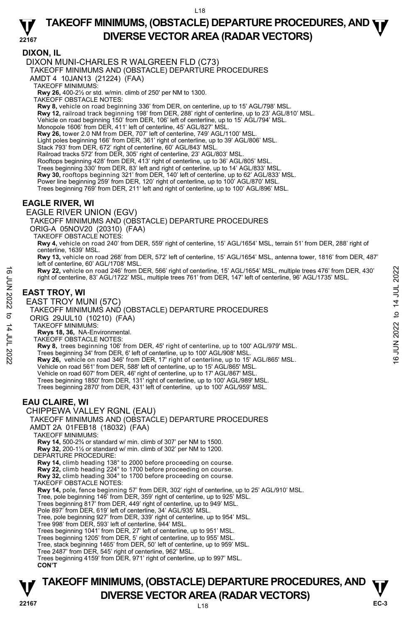## **TAKEOFF MINIMUMS, (OBSTACLE) DEPARTURE PROCEDURES, AND <b>WE**<br>DIVERSE VESTOR AREA (RADAR VESTORS) **DIVERSE VECTOR AREA (RADAR VECTORS)**

**22167 DIXON, IL**  DIXON MUNI-CHARLES R WALGREEN FLD (C73) TAKEOFF MINIMUMS AND (OBSTACLE) DEPARTURE PROCEDURES AMDT 4 10JAN13 (21224) (FAA) TAKEOFF MINIMUMS: **Rwy 26,** 400-2½ or std. w/min. climb of 250' per NM to 1300. TAKEOFF OBSTACLE NOTES: **Rwy 8,** vehicle on road beginning 336' from DER, on centerline, up to 15' AGL/798' MSL. **Rwy 12,** railroad track beginning 198' from DER, 288' right of centerline, up to 23' AGL/810' MSL. Vehicle on road beginning 150' from DER, 106' left of centerline, up to 15' AGL/794' MSL.<br>Monopole 1606' from DER, 411' left of centerline, 45' AGL/827' MSL. **Rwy 26,** tower 2.0 NM from DER, 707' left of centerline, 749' AGL/1100' MSL. Light poles beginning 166' from DER, 361' right of centerline, up to 39' AGL/806' MSL. Stack 793' from DER, 672' right of centerline, 60' AGL/843' MSL. Railroad tracks 572' from DER, 305' right of centerline, 23' AGL/803' MSL. Rooftops beginning 428' from DER, 413' right of centerline, up to 36' AGL/805' MSL. Trees beginning 330' from DER, 83' left and right of centerline, up to 14' AGL/833' MSL. **Rwy 30,** rooftops beginning 321' from DER, 140' left of centerline, up to 62' AGL/833' MSL. Power line beginning 259' from DER, 120' right of centerline, up to 100' AGL/870' MSL. Trees beginning 769' from DER, 211' left and right of centerline, up to 100' AGL/896' MSL. **EAGLE RIVER, WI**  EAGLE RIVER UNION (EGV) TAKEOFF MINIMUMS AND (OBSTACLE) DEPARTURE PROCEDURES ORIG-A 05NOV20 (20310) (FAA) TAKEOFF OBSTACLE NOTES: **Rwy 4,** vehicle on road 240' from DER, 559' right of centerline, 15' AGL/1654' MSL, terrain 51' from DER, 288' right of centerline, 1639' MSL. **Rwy 13,** vehicle on road 268' from DER, 572' left of centerline, 15' AGL/1654' MSL, antenna tower, 1816' from DER, 487' left of centerline, 60' AGL/1708' MSL. **Rwy 22,** vehicle on road 246' from DER, 566' right of centerline, 15' AGL/1654' MSL, multiple trees 476' from DER, 430' right of centerline, 83' AGL/1722' MSL, multiple trees 761' from DER, 147' left of centerline, 96' AGL/1735' MSL. **EAST TROY, WI**  EAST TROY MUNI (57C) TAKEOFF MINIMUMS AND (OBSTACLE) DEPARTURE PROCEDURES ORIG 29JUL10 (10210) (FAA) TAKEOFF MINIMUMS: **Rwys 18, 36,** NA-Environmental. TAKEOFF OBSTACLE NOTES: **Rwy 8,** trees beginning 106' from DER, 45' right of centerline, up to 100' AGL/979' MSL. **EXECUTE 15:** AGL/1654' MSL, multiple trees 476' from DER, 430'<br>
right of centerline, 83' AGL/1722' MSL, multiple trees 761' from DER, 147' left of centerline, 96' AGL/1735' MSL.<br> **EAST TROY, WI**<br>
EAST TROY, WI<br>
EAST TRO Vehicle on road 561' from DER, 588' left of centerline, up to 15' AGL/865' MSL. Vehicle on road 607' from DER, 46' right of centerline, up to 17' AGL/867' MSL. Trees beginning 1850' from DER, 131' right of centerline, up to 100' AGL/989' MSL. Trees beginning 2870' from DER, 431' left of centerline, up to 100' AGL/959' MSL. **EAU CLAIRE, WI**  CHIPPEWA VALLEY RGNL (EAU) TAKEOFF MINIMUMS AND (OBSTACLE) DEPARTURE PROCEDURES AMDT 2A 01FEB18 (18032) (FAA) TAKEOFF MINIMUMS: **Rwy 14,** 500-2¾ or standard w/ min. climb of 307' per NM to 1500. **Rwy 32,** 200-1½ or standard w/ min. climb of 302' per NM to 1200. DEPARTURE PROCEDURE: **Rwy 14,** climb heading 138° to 2000 before proceeding on course. **Rwy 22,** climb heading 224° to 1700 before proceeding on course. **Rwy 32,** climb heading 304° to 1700 before proceeding on course. TAKEOFF OBSTACLE NOTES: **Rwy 14,** pole, fence beginning 57' from DER, 302' right of centerline, up to 25' AGL/910' MSL.<br>Tree, pole beginning 146' from DER, 359' right of centerline, up to 925' MSL.<br>Trees beginning 817' from DER, 449' right of cen Pole 897' from DER, 619' left of centerline, 34' AGL/935' MSL. Tree, pole beginning 927' from DER, 339' right of centerline, up to 954' MSL. Tree 998' from DER, 593' left of centerline, 944' MSL. Trees beginning 1041' from DER, 27' left of centerline, up to 951' MSL. Trees beginning 1205' from DER, 5' right of centerline, up to 955' MSL. Tree, stack beginning 1465' from DER, 50' left of centerline, up to 959' MSL. Tree 2487' from DER, 545' right of centerline, 962' MSL. Trees beginning 4159' from DER, 971' right of centerline, up to 997' MSL. **CON'T**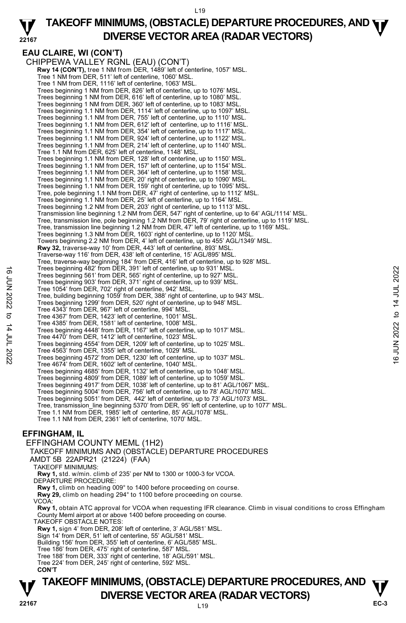#### **22167 TAKEOFF MINIMUMS, (OBSTACLE) DEPARTURE PROCEDURES, AND <b>WE**<br>DIVERSE VESTOR AREA (RADAR VESTORS) **DIVERSE VECTOR AREA (RADAR VECTORS)**

## **EAU CLAIRE, WI (CON'T)**

CHIPPEWA VALLEY RGNL (EAU) (CON'T) **Rwy 14 (CON'T),** tree 1 NM from DER, 1489' left of centerline, 1057' MSL. Tree 1 NM from DER, 511' left of centerline, 1060' MSL. Tree 1 NM from DER, 1116' left of centerline, 1063' MSL. Trees beginning 1 NM from DER, 826' left of centerline, up to 1076' MSL. Trees beginning 1 NM from DER, 616' left of centerline, up to 1080' MSL. Trees beginning 1 NM from DER, 360' left of centerline, up to 1083' MSL. Trees beginning 1.1 NM from DER, 1114' left of centerline, up to 1097' MSL. Trees beginning 1.1 NM from DER, 755' left of centerline, up to 1110' MSL. Trees beginning 1.1 NM from DER, 612' left of centerline, up to 1116' MSL. Trees beginning 1.1 NM from DER, 354' left of centerline, up to 1117' MSL. Trees beginning 1.1 NM from DER, 924' left of centerline, up to 1122' MSL. Trees beginning 1.1 NM from DER, 214' left of centerline, up to 1140' MSL. Tree 1.1 NM from DER, 625' left of centerline, 1148' MSL. Trees beginning 1.1 NM from DER, 128' left of centerline, up to 1150' MSL. Trees beginning 1.1 NM from DER, 157' left of centerline, up to 1154' MSL. Trees beginning 1.1 NM from DER, 364' left of centerline, up to 1158' MSL. Trees beginning 1.1 NM from DER, 20' right of centerline, up to 1090' MSL. Trees beginning 1.1 NM from DER, 159' right of centerline, up to 1095' MSL. Tree, pole beginning 1.1 NM from DER, 47' right of centerline, up to 1112' MSL. Trees beginning 1.1 NM from DER, 25' left of centerline, up to 1164' MSL. Trees beginning 1.2 NM from DER, 203' right of centerline, up to 1113' MSL. Transmission line beginning 1.2 NM from DER, 547' right of centerline, up to 64' AGL/1114' MSL. Tree, transmission line, pole beginning 1.2 NM from DER, 79' right of centerline, up to 1119' MSL. Tree, transmission line beginning 1.2 NM from DER, 47' left of centerline, up to 1169' MSL. Trees beginning 1.3 NM from DER, 1603' right of centerline, up to 1120' MSL. Towers beginning 2.2 NM from DER, 4' left of centerline, up to 455' AGL/1349' MSL. **Rwy 32,** traverse-way 10' from DER, 443' left of centerline, 893' MSL. Traverse-way 116' from DER, 438' left of centerline, 15' AGL/895' MSL. Tree, traverse-way beginning 184' from DER, 416' left of centerline, up to 928' MSL. Trees beginning 482' from DER, 391' left of centerline, up to 931' MSL. Trees beginning 561' from DER, 565' right of centerline, up to 927' MSL. Trees beginning 903' from DER, 371' right of centerline, up to 939' MSL. Tree 1054' from DER, 702' right of centerline, 942' MSL. Tree, building beginning 1059' from DER, 388' right of centerline, up to 943' MSL. Trees beginning 1299' from DER, 520' right of centerline, up to 948' MSL. Tree 4343' from DER, 967' left of centerline, 994' MSL. Tree 4367' from DER, 1423' left of centerline, 1001' MSL. Tree 4385' from DER, 1581' left of centerline, 1008' MSL. Trees beginning 4448' from DER, 1167' left of centerline, up to 1017' MSL. Tree 4470' from DER, 1412' left of centerline, 1023' MSL. Trees beginning 4554' from DER, 1209' left of centerline, up to 1025' MSL. Tree 4563' from DER, 1355' left of centerline, 1029' MSL. Trees beginning 4572' from DER, 1230' left of centerline, up to 1037' MSL. Tree 4674' from DER, 1602' left of centerline, 1040' MSL. Trees beginning 4685' from DER, 1132' left of centerline, up to 1048' MSL. Trees beginning 4809' from DER, 1089' left of centerline, up to 1059' MSL. Trees beginning 4917' from DER, 1038' left of centerline, up to 81' AGL/1067' MSL. Trees beginning 5004' from DER, 756' left of centerline, up to 78' AGL/1070' MSL. Trees beginning 5051' from DER, 442' left of centerline, up to 73' AGL/1073' MSL. Tree, transmission\_line beginning 5370' from DER, 95' left of centerline, up to 1077' MSL. Tree 1.1 NM from DER, 1985' left of centerline, 85' AGL/1078' MSL. Tree 1.1 NM from DER, 2361' left of centerline, 1070' MSL. Trees beginning 482' from DER, 391' lett of centerline, up to 937' MSL.<br>
Trees beginning 903' from DER, 565' right of centerline, up to 939' MSL.<br>
Trees beginning 903' from DER, 371' right of centerline, up to 939' MSL.<br>
T

## **EFFINGHAM, IL**

EFFINGHAM COUNTY MEML (1H2) TAKEOFF MINIMUMS AND (OBSTACLE) DEPARTURE PROCEDURES AMDT 5B 22APR21 (21224) (FAA) TAKEOFF MINIMUMS: **Rwy 1,** std. w/min. climb of 235' per NM to 1300 or 1000-3 for VCOA. DEPARTURE PROCEDURE: **Rwy 1,** climb on heading 009° to 1400 before proceeding on course.  **Rwy 29,** climb on heading 294° to 1100 before proceeding on course. VCOA: **Rwy 1,** obtain ATC approval for VCOA when requesting IFR clearance. Climb in visual conditions to cross Effingham County Meml airport at or above 1400 before proceeding on course. TAKEOFF OBSTACLE NOTES: **Rwy 1,** sign 4' from DER, 208' left of centerline, 3' AGL/581' MSL. Sign 14' from DER, 51' left of centerline, 55' AGL/581' MSL. Building 156' from DER, 355' left of centerline, 6' AGL/585' MSL. Tree 186' from DER, 475' right of centerline, 587' MSL. Tree 188' from DER, 333' right of centerline, 18' AGL/591' MSL. Tree 224' from DER, 245' right of centerline, 592' MSL. **CON'T**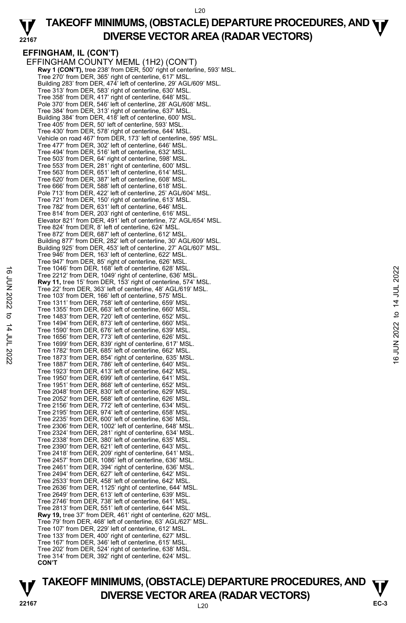#### **22167 TAKEOFF MINIMUMS, (OBSTACLE) DEPARTURE PROCEDURES, AND <b>WE**<br>DIVERSE VESTOR AREA (RADAR VESTORS) **DIVERSE VECTOR AREA (RADAR VECTORS)**

# **EFFINGHAM, IL (CON'T)**

EFFINGHAM COUNTY MEML (1H2) (CON'T) **Rwy 1 (CON'T),** tree 238' from DER, 500' right of centerline, 593' MSL. Tree 270' from DER, 365' right of centerline, 617' MSL. Building 283' from DER, 474' left of centerline, 29' AGL/609' MSL. Tree 313' from DER, 583' right of centerline, 630' MSL. Tree 358' from DER, 417' right of centerline, 648' MSL. Pole 370' from DER, 546' left of centerline, 28' AGL/608' MSL. Tree 384' from DER, 313' right of centerline, 637' MSL. Building 384' from DER, 418' left of centerline, 600' MSL. Tree 405' from DER, 50' left of centerline, 593' MSL. Tree 430' from DER, 578' right of centerline, 644' MSL. Vehicle on road 467' from DER, 173' left of centerline, 595' MSL. Tree 477' from DER, 302' left of centerline, 646' MSL. Tree 494' from DER, 516' left of centerline, 632' MSL. Tree 503' from DER, 64' right of centerline, 598' MSL. Tree 553' from DER, 281' right of centerline, 600' MSL. Tree 563' from DER, 651' left of centerline, 614' MSL. Tree 620' from DER, 387' left of centerline, 608' MSL. Tree 666' from DER, 588' left of centerline, 618' MSL. Pole 713' from DER, 422' left of centerline, 25' AGL/604' MSL. Tree 721' from DER, 150' right of centerline, 613' MSL. Tree 782' from DER, 631' left of centerline, 646' MSL. Tree 814' from DER, 203' right of centerline, 616' MSL. Elevator 821' from DER, 491' left of centerline, 72' AGL/654' MSL. Tree 824' from DER, 8' left of centerline, 624' MSL. Tree 872' from DER, 687' left of centerline, 612' MSI Building 877' from DER, 282' left of centerline, 30' AGL/609' MSL. Building 925' from DER, 453' left of centerline, 27' AGL/607' MSL. Tree 946' from DER, 163' left of centerline, 622' MSL. Tree 947' from DER, 85' right of centerline, 626' MSL. Tree 1046' from DER, 168' left of centerline, 628' MSL. Tree 2212' from DER, 1049' right of centerline, 636' MSL. **Rwy 11,** tree 15' from DER, 153' right of centerline, 574' MSL. Tree 22' from DER, 363' left of centerline, 48' AGL/619' MSL. Tree 103' from DER, 166' left of centerline, 575' MSL. Tree 1311' from DER, 758' left of centerline, 659' MSL. Tree 1355' from DER, 663' left of centerline, 660' MSL. Tree 1483' from DER, 720' left of centerline, 652' MSL. Tree 1494' from DER, 873' left of centerline, 660' MSL. Tree 1590' from DER, 676' left of centerline, 639' MSL. Tree 1656' from DER, 773' left of centerline, 626' MSL. Tree 1699' from DER, 839' right of centerline, 617' MSL. Tree 1782' from DER, 685' left of centerline, 662' MSL. Tree 1873' from DER, 854' right of centerline, 635' MSL. Tree 1887' from DER, 786' left of centerline, 640' MSL. Tree 1923' from DER, 413' left of centerline, 642' MSL. Tree 1950' from DER, 699' left of centerline, 641' MSL. Tree 1951' from DER, 868' left of centerline, 652' MSL. Tree 2048' from DER, 830' left of centerline, 629' MSL. Tree 2052' from DER, 568' left of centerline, 626' MSL. Tree 2156' from DER, 772' left of centerline, 634' MSL. Tree 2195' from DER, 974' left of centerline, 658' MSL. Tree 2235' from DER, 600' left of centerline, 636' MSL. Tree 2306' from DER, 1002' left of centerline, 648' MSL. Tree 2324' from DER, 281' right of centerline, 634' MSL. Tree 2338' from DER, 380' left of centerline, 635' MSL. Tree 2390' from DER, 621' left of centerline, 643' MSL. Tree 2418' from DER, 209' right of centerline, 641' MSL. Tree 2457' from DER, 1086' left of centerline, 636' MSL. Tree 2461' from DER, 394' right of centerline, 636' MSL. Tree 2494' from DER, 627' left of centerline, 642' MSL. Tree 2533' from DER, 458' left of centerline, 642' MSL. Tree 2636' from DER, 1125' right of centerline, 644' MSL. Tree 2649' from DER, 613' left of centerline, 639' MSL. Tree 2746' from DER, 738' left of centerline, 641' MSL. Tree 2813' from DER, 551' left of centerline, 644' MSL. **Rwy 19,** tree 37' from DER, 461' right of centerline, 620' MSL. Tree 79' from DER, 468' left of centerline, 63' AGL/627' MSL. Tree 107' from DER, 229' left of centerline, 612' MSL. Tree 133' from DER, 400' right of centerline, 627' MSL. Tree 167' from DER, 346' left of centerline, 615' MSL. Tree 202' from DER, 524' right of centerline, 638' MSL. Tree 314' from DER, 392' right of centerline, 624' MSL. **CON'T** Tree 1046' from DER, 168' left of centerline, 636' MSL.<br>
The 2212' from DER, 1049' right of centerline, 574' MSL.<br>
Tree 22' from DER, 30' left of centerline, 574' MSL.<br>
Tree 103' from DER, 768' left of centerline, 575' MS

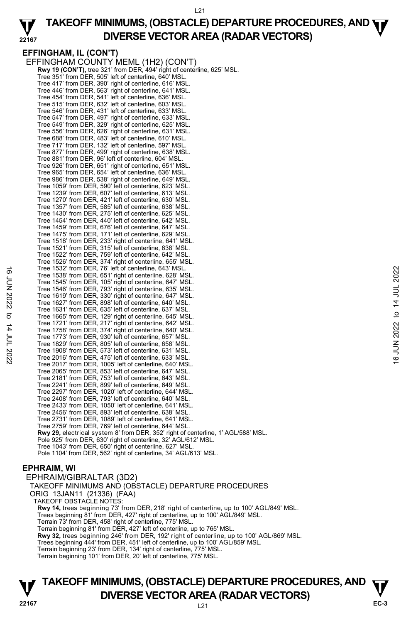#### **22167 TAKEOFF MINIMUMS, (OBSTACLE) DEPARTURE PROCEDURES, AND <b>WE**<br>DIVERSE VESTOR AREA (RADAR VESTORS) **DIVERSE VECTOR AREA (RADAR VECTORS)**

**EFFINGHAM, IL (CON'T)**  EFFINGHAM COUNTY MEML (1H2) (CON'T) **Rwy 19 (CON'T),** tree 321' from DER, 494' right of centerline, 625' MSL. Tree 351' from DER, 505' left of centerline, 640' MSL. Tree 417' from DER, 390' right of centerline, 616' MSL. Tree 446' from DER, 563' right of centerline, 641' MSL. Tree 454' from DER, 541' left of centerline, 636' MSL. Tree 515' from DER, 632' left of centerline, 603' MSL. Tree 546' from DER, 431' left of centerline, 633' MSL. Tree 547' from DER, 497' right of centerline, 633' MSL. Tree 549' from DER, 329' right of centerline, 625' MSL. Tree 556' from DER, 626' right of centerline, 631' MSL. Tree 688' from DER, 483' left of centerline, 610' MSL. Tree 717' from DER, 132' left of centerline, 597' MSL. Tree 877' from DER, 499' right of centerline, 638' MSL. Tree 881' from DER, 96' left of centerline, 604' MSL. Tree 926' from DER, 651' right of centerline, 651' MSL. Tree 965' from DER, 654' left of centerline, 636' MSL. Tree 986' from DER, 538' right of centerline, 649' MSL. Tree 1059' from DER, 590' left of centerline, 623' MSL. Tree 1239' from DER, 607' left of centerline, 613' MSL. Tree 1270' from DER, 421' left of centerline, 630' MSL. Tree 1357' from DER, 585' left of centerline, 638' MSL. Tree 1430' from DER, 275' left of centerline, 625' MSL. Tree 1454' from DER, 440' left of centerline, 642' MSL. Tree 1459' from DER, 676' left of centerline, 647' MSL. Tree 1475' from DER, 171' left of centerline, 629' MSL. Tree 1518' from DER, 233' right of centerline, 641' MSL. Tree 1521' from DER, 315' left of centerline, 638' MSL. Tree 1522' from DER, 759' left of centerline, 642' MSL. Tree 1526' from DER, 374' right of centerline, 655' MSL. Tree 1532' from DER, 76' left of centerline, 643' MSL. Tree 1538' from DER, 651' right of centerline, 628' MSL. Tree 1545' from DER, 105' right of centerline, 647' MSL. Tree 1546' from DER, 793' right of centerline, 635' MSL. Tree 1619' from DER, 330' right of centerline, 647' MSL. Tree 1627' from DER, 898' left of centerline, 640' MSL. Tree 1631' from DER, 635' left of centerline, 637' MSL. Tree 1665' from DER, 129' right of centerline, 645' MSL. Tree 1721' from DER, 217' right of centerline, 642' MSL. Tree 1758' from DER, 374' right of centerline, 640' MSL. Tree 1773' from DER, 930' left of centerline, 657' MSL. Tree 1829' from DER, 805' left of centerline, 658' MSL. Tree 1908' from DER, 573' left of centerline, 631' MSL. Tree 2016' from DER, 475' left of centerline, 633' MSL. Tree 2017' from DER, 1005' left of centerline, 640' MSL. Tree 2065' from DER, 853' left of centerline, 647' MSL. Tree 2181' from DER, 753' left of centerline, 643' MSL. Tree 2241' from DER, 899' left of centerline, 649' MSL. Tree 2297' from DER, 1020' left of centerline, 644' MSL. Tree 2408' from DER, 793' left of centerline, 640' MSL. Tree 2433' from DER, 1050' left of centerline, 641' MSL. Tree 2456' from DER, 893' left of centerline, 638' MSL. Tree 2731' from DER, 1089' left of centerline, 641' MSL. Tree 2759' from DER, 769' left of centerline, 644' MSL. **Rwy 29,** electrical system 8' from DER, 352' right of centerline, 1' AGL/588' MSL. Pole 925' from DER, 630' right of centerline, 32' AGL/612' MSL. Tree 1043' from DER, 650' right of centerline, 627' MSL. Pole 1104' from DER, 562' right of centerline, 34' AGL/613' MSL. Tree 1532 from DER,  $651'$  right of centerline, 628' MSL.<br>
Tree 1538' from DER, 105' right of centerline, 647' MSL.<br>
Tree 1546' from DER, 793' right of centerline, 647' MSL.<br>
Tree 1649' from DER, 793' right of centerline,

## **EPHRAIM, WI**

EPHRAIM/GIBRALTAR (3D2) TAKEOFF MINIMUMS AND (OBSTACLE) DEPARTURE PROCEDURES ORIG 13JAN11 (21336) (FAA) TAKEOFF OBSTACLE NOTES: **Rwy 14,** trees beginning 73' from DER, 218' right of centerline, up to 100' AGL/849' MSL. Trees beginning 81' from DER, 427' right of centerline, up to 100' AGL/849' MSL. Terrain 73' from DER, 458' right of centerline, 775' MSL. Terrain beginning 81' from DER, 427' left of centerline, up to 765' MSL. **Rwy 32,** trees beginning 246' from DER, 192' right of centerline, up to 100' AGL/869' MSL.<br>Trees beginning 444' from DER, 451' left of centerline, up to 100' AGL/859' MSL. Terrain beginning 23' from DER, 134' right of centerline, 775' MSL. Terrain beginning 101' from DER, 20' left of centerline, 775' MSL.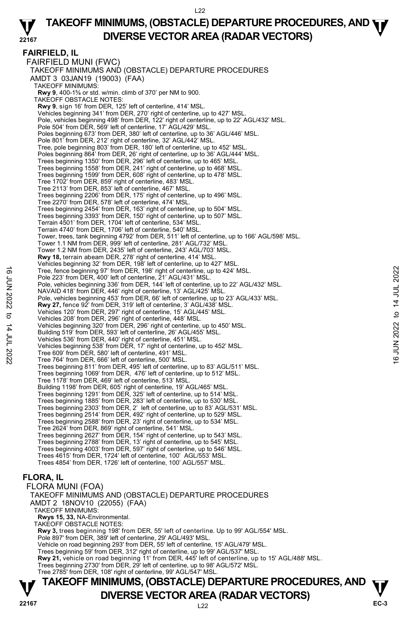#### **22167 TAKEOFF MINIMUMS, (OBSTACLE) DEPARTURE PROCEDURES, AND <b>WE**<br>DIVERSE VESTOR AREA (RADAR VESTORS) **DIVERSE VECTOR AREA (RADAR VECTORS)**

**FAIRFIELD, IL**  FAIRFIELD MUNI (FWC) TAKEOFF MINIMUMS AND (OBSTACLE) DEPARTURE PROCEDURES AMDT 3 03JAN19 (19003) (FAA) TAKEOFF MINIMUMS: **Rwy 9**, 400-1⅝ or std. w/min. climb of 370' per NM to 900. TAKEOFF OBSTACLE NOTES: **Rwy 9**, sign 16' from DER, 125' left of centerline, 414' MSL. Vehicles beginning 341' from DER, 270' right of centerline, up to 427' MSL. Pole, vehicles beginning 498' from DER, 122' right of centerline, up to 22' AGL/432' MSL. Pole 504' from DER, 569' left of centerline, 17' AGL/429' MSL. Poles beginning 673' from DER, 380' left of centerline, up to 36' AGL/446' MSL. Pole 801' from DER, 212' right of centerline, 32' AGL/442' MSL. Tree, pole beginning 803' from DER, 180' left of centerline, up to 452' MSL. Poles beginning 864' from DER, 26' right of centerline, up to 36' AGL/444' MSL. Trees beginning 1350' from DER, 296' left of centerline, up to 465' MSL. Trees beginning 1558' from DER, 241' right of centerline, up to 468' MSL. Trees beginning 1599' from DER, 608' right of centerline, up to 478' MSL. Tree 1702' from DER, 859' right of centerline, 483' MSL. Tree 2113' from DER, 853' left of centerline, 467' MSL. Trees beginning 2206' from DER, 175' right of centerline, up to 496' MSL. Tree 2270' from DER, 578' left of centerline, 474' MSL. Trees beginning 2454' from DER, 163' right of centerline, up to 504' MSL. Trees beginning 3393' from DER, 150' right of centerline, up to 507' MSL. Terrain 4501' from DER, 1704' left of centerline, 534' MSL. Terrain 4740' from DER, 1706' left of centerline, 540' MSL. Tower, trees, tank beginning 4792' from DER, 511' left of centerline, up to 166' AGL/598' MSL. Tower 1.1 NM from DER, 999' left of centerline, 281' AGL/732' MSL. Tower 1.2 NM from DER, 2435' left of centerline, 243' AGL/703' MSL. **Rwy 18,** terrain abeam DER, 278' right of centerline, 414' MSL.<br>Vehicles beginning 32' from DER, 198' left of centerline, up to 427' MSL. Tree, fence beginning 97' from DER, 198' right of centerline, up to 424' MSL. Pole 223' from DER, 400' left of centerline, 21' AGL/431' MSL. Pole, vehicles beginning 336' from DER, 144' left of centerline, up to 22' AGL/432' MSL. NAVAID 418' from DER, 446' right of centerline, 13' AGL/425' MSL. Pole, vehicles beginning 453' from DER, 66' left of centerline, up to 23' AGL/433' MSL. **Rwy 27,** fence 92' from DER, 319' left of centerline, 3' AGL/438' MSL.<br>Vehicles 120' from DER, 297' right of centerline, 15' AGL/445' MSL. Vehicles 208' from DER, 296' right of centerline, 448' MSL. Vehicles beginning 320' from DER, 296' right of centerline, up to 450' MSL. Building 519' from DER, 593' left of centerline, 26' AGL/455' MSL. Vehicles 536' from DER, 440' right of centerline, 451' MSL. Vehicles beginning 538' from DER, 17' right of centerline, up to 452' MSL. Tree 609' from DER, 580' left of centerline, 491' MSL. Tree 764' from DER, 666' left of centerline, 500' MSL. Trees beginning 811' from DER, 495' left of centerline, up to 83' AGL/511' MSL. Trees beginning 1069' from DER, 476' left of centerline, up to 512' MSL. Tree 1178' from DER, 469' left of centerline, 513' MSL. Building 1198' from DER, 605' right of centerline, 19' AGL/465' MSL. Trees beginning 1291' from DER, 325' left of centerline, up to 514' MSL. Trees beginning 1885' from DER, 283' left of centerline, up to 530' MSL. Trees beginning 2303' from DER, 2' left of centerline, up to 83' AGL/531' MSL. Trees beginning 2514' from DER, 492' right of centerline, up to 529' MSL. Trees beginning 2588' from DER, 23' right of centerline, up to 534' MSL. Tree 2624' from DER, 869' right of centerline, 541' MSL. Trees beginning 2627' from DER, 154' right of centerline, up to 543' MSL. Trees beginning 2788' from DER, 13' right of centerline, up to 545' MSL. Trees beginning 4003' from DER, 597' right of centerline, up to 546' MSL. Trees 4615' from DER, 1724' left of centerline, 100' AGL/553' MSL. Trees 4854' from DER, 1726' left of centerline, 100' AGL/557' MSL. **FLORA, IL**  FLORA MUNI (FOA) Tree, fence beginning 97' from DER, 198' right of centerline, up to 424' MSL.<br>
Pole, vehicles beginning 336' from DER, 44' left of centerline, up to 22' AGL/432' MSL.<br>
NAVAID 418' from DER, 446' right of centerline, 13' A

TAKEOFF MINIMUMS AND (OBSTACLE) DEPARTURE PROCEDURES AMDT 2 18NOV10 (22055) (FAA) TAKEOFF MINIMUMS: **Rwys 15, 33,** NA-Environmental. TAKEOFF OBSTACLE NOTES: **Rwy 3,** trees beginning 198' from DER, 55' left of centerline. Up to 99' AGL/554' MSL. Pole 897' from DER, 389' left of centerline, 29' AGL/493' MSL. Vehicle on road beginning 293' from DER, 55' left of centerline, 15' AGL/479' MSL. Trees beginning 59' from DER, 312' right of centerline, up to 99' AGL/537' MSL. **Rwy 21,** vehicle on road beginning 11' from DER, 445' left of centerline, up to 15' AGL/488' MSL.<br>Trees beginning 2730' from DER, 29' left of centerline, up to 98' AGL/572' MSL. Tree 2785' from DER, 108' right of centerline, 99' AGL/547' MSL.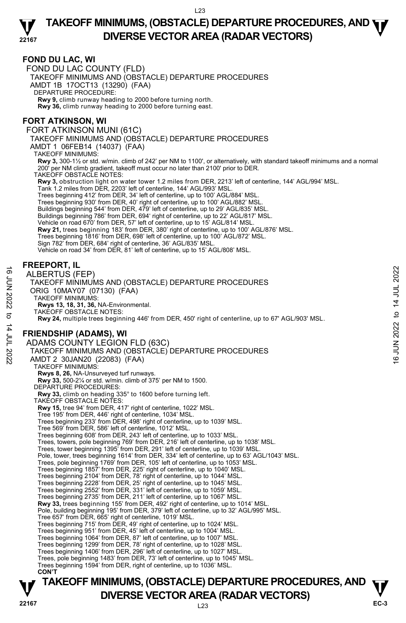#### **22167 TAKEOFF MINIMUMS, (OBSTACLE) DEPARTURE PROCEDURES, AND <b>WE**<br>DIVERSE VESTOR AREA (RADAR VESTORS) **DIVERSE VECTOR AREA (RADAR VECTORS)**

#### **FOND DU LAC, WI**

FOND DU LAC COUNTY (FLD) TAKEOFF MINIMUMS AND (OBSTACLE) DEPARTURE PROCEDURES AMDT 1B 17OCT13 (13290) (FAA) DEPARTURE PROCEDURE: **Rwy 9,** climb runway heading to 2000 before turning north. **Rwy 36,** climb runway heading to 2000 before turning east.

## **FORT ATKINSON, WI**

FORT ATKINSON MUNI (61C)

TAKEOFF MINIMUMS AND (OBSTACLE) DEPARTURE PROCEDURES

AMDT 1 06FEB14 (14037) (FAA)

TAKEOFF MINIMUMS:

**Rwy 3,** 300-1½ or std. w/min. climb of 242' per NM to 1100', or alternatively, with standard takeoff minimums and a normal 200' per NM climb gradient, takeoff must occur no later than 2100' prior to DER.

TAKEOFF OBSTACLE NOTES:

**Rwy 3,** obstruction light on water tower 1.2 miles from DER, 2213' left of centerline, 144' AGL/994' MSL.

Tank 1.2 miles from DER, 2203' left of centerline, 144' AGL/993' MSL. Trees beginning 412' from DER, 34' left of centerline, up to 100' AGL/884' MSL.

Trees beginning 930' from DER, 40' right of centerline, up to 100' AGL/882' MSL.

Buildings beginning 544' from DER, 479' left of centerline, up to 29' AGL/835' MSL.<br>Buildings beginning 786' from DER, 694' right of centerline, up to 22' AGL/817' MSL.

Vehicle on road 670' from DER, 57' left of centerline, up to 15' AGL/814' MSL.

**Rwy 21,** trees beginning 183' from DER, 380' right of centerline, up to 100' AGL/876' MSL.

Trees beginning 1816' from DER, 698' left of centerline, up to 100' AGL/872' MSL. Sign 782' from DER, 684' right of centerline, 36' AGL/835' MSL.

Vehicle on road 34' from DER, 81' left of centerline, up to 15' AGL/808' MSL.

## **FREEPORT, IL**

ALBERTUS (FEP) TAKEOFF MINIMUMS AND (OBSTACLE) DEPARTURE PROCEDURES ORIG 10MAY07 (07130) (FAA) TAKEOFF MINIMUMS: **Rwys 13, 18, 31, 36,** NA-Environmental. TAKEOFF OBSTACLE NOTES: **Rwy 24,** multiple trees beginning 446' from DER, 450' right of centerline, up to 67' AGL/903' MSL. **FRIENDSHIP (ADAMS), WI**  ADAMS COUNTY LEGION FLD (63C) TAKEOFF MINIMUMS AND (OBSTACLE) DEPARTURE PROCEDURES AMDT 2 30JAN20 (22083) (FAA) TAKEOFF MINIMUMS: **Rwys 8, 26,** NA-Unsurveyed turf runways. **Rwy 33,** 500-2¼ or std. w/min. climb of 375' per NM to 1500. DEPARTURE PROCEDURES: **Rwy 33,** climb on heading 335° to 1600 before turning left. TAKEOFF OBSTACLE NOTES: **Rwy 15,** tree 94' from DER, 417' right of centerline, 1022' MSL. Tree 195' from DER, 446' right of centerline, 1034' MSL. Trees beginning 233' from DER, 498' right of centerline, up to 1039' MSL. Tree 569' from DER, 586' left of centerline, 1012' MSL. Trees beginning 608' from DER, 243' left of centerline, up to 1033' MSL. Trees, towers, pole beginning 769' from DER, 216' left of centerline, up to 1038' MSL. Trees, tower beginning 1395' from DER, 291' left of centerline, up to 1039' MSL. Pole, tower, trees beginning 1614' from DER, 334' left of centerline, up to 63' AGL/1043' MSL. Trees, pole beginning 1769' from DER, 105' left of centerline, up to 1053' MSL.<br>Trees beginning 1857' from DER, 225' right of centerline, up to 1040' MSL.<br>Trees beginning 2104' from DER, 78' right of centerline, up to 1044 Trees beginning 2228' from DER, 25' right of centerline, up to 1045' MSL. 11 HERTUS (FEP)<br>
TAKEOFF MINIMUMS AND (OBSTACLE) DEPARTURE PROCEDURES<br>
ORIG 10MAY07 (07130) (FAA)<br>
ORIG 10MAY07 (07130) (FAA)<br>
NAMEDIA TAKEOFF MINIMUMS:<br>
TAKEOFF MINIMUMS:<br>
TAKEOFF OBSTACLE NOTES:<br>
TAKEOFF OBSTACLE NOTES:

Trees beginning 2552' from DER, 331' left of centerline, up to 1059' MSL. Trees beginning 2735' from DER, 211' left of centerline, up to 1067' MSL.

**Rwy 33,** trees beginning 155' from DER, 492' right of centerline, up to 1014' MSL.

Pole, building beginning 195' from DER, 379' left of centerline, up to 32' AGL/995' MSL. Tree 657' from DER, 665' right of centerline, 1019' MSL.

Trees beginning 715' from DER, 49' right of centerline, up to 1024' MSL.

Trees beginning 951' from DER, 45' left of centerline, up to 1004' MSL.

Trees beginning 1064' from DER, 87' left of centerline, up to 1007' MSL. Trees beginning 1299' from DER, 78' right of centerline, up to 1028' MSL.

Trees beginning 1406' from DER, 296' left of centerline, up to 1027' MSL.

Trees, pole beginning 1483' from DER, 73' left of centerline, up to 1045' MSL. Trees beginning 1594' from DER, right of centerline, up to 1036' MSL.

 **CON'T** 

# **TAKEOFF MINIMUMS, (OBSTACLE) DEPARTURE PROCEDURES, AND**  $\mathbf{\nabla}$ **DIVERSE VECTOR AREA (RADAR VECTORS) P**<br>22167

 $123$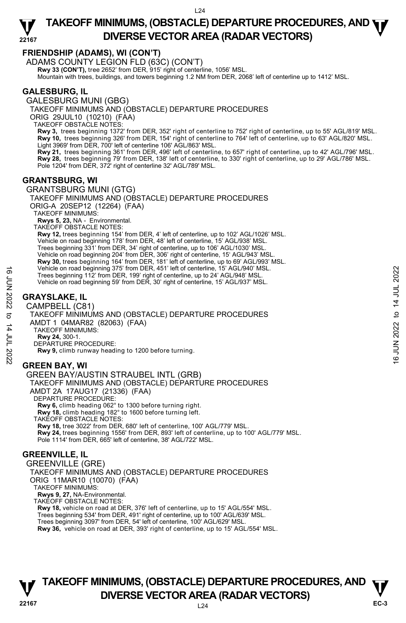## **FRIENDSHIP (ADAMS), WI (CON'T)**

ADAMS COUNTY LEGION FLD (63C) (CON'T) **Rwy 33 (CON'T),** tree 2652' from DER, 915' right of centerline, 1056' MSL Mountain with trees, buildings, and towers beginning 1.2 NM from DER, 2068' left of centerline up to 1412' MSL.

## **GALESBURG, IL**

GALESBURG MUNI (GBG) TAKEOFF MINIMUMS AND (OBSTACLE) DEPARTURE PROCEDURES ORIG 29JUL10 (10210) (FAA) TAKEOFF OBSTACLE NOTES:

**Rwy 3,** trees beginning 1372' from DER, 352' right of centerline to 752' right of centerline, up to 55' AGL/819' MSL. **Rwy 10,** trees beginning 326' from DER, 154' right of centerline to 764' left of centerline, up to 63' AGL/820' MSL.<br>Light 3969' from DER, 700' left of centerline 106' AGL/863' MSL.

**Rwy 21,** trees beginning 361' from DER, 496' left of centerline, to 657' right of centerline, up to 42' AGL/796' MSL. **Rwy 28,** trees beginning 79' from DER, 138' left of centerline, to 330' right of centerline, up to 29' AGL/786' MSL. Pole 1204' from DER, 372' right of centerline 32' AGL/789' MSL.

## **GRANTSBURG, WI**

GRANTSBURG MUNI (GTG) TAKEOFF MINIMUMS AND (OBSTACLE) DEPARTURE PROCEDURES ORIG-A 20SEP12 (12264) (FAA) TAKEOFF MINIMUMS: **Rwys 5, 23,** NA - Environmental. TAKEOFF OBSTACLE NOTES: **Rwy 12,** trees beginning 154' from DER, 4' left of centerline, up to 102' AGL/1026' MSL. Vehicle on road beginning 178' from DER, 48' left of centerline, 15' AGL/938' MSL. Trees beginning 331' from DER, 34' right of centerline, up to 106' AGL/1030' MSL. Vehicle on road beginning 204' from DER, 306' right of centerline, 15' AGL/943' MSL. **Rwy 30,** trees beginning 164' from DER, 181' left of centerline, up to 69' AGL/993' MSL. Vehicle on road beginning 375' from DER, 451' left of centerline, 15' AGL/940' MSL. Trees beginning 112' from DER, 199' right of centerline, up to 24' AGL/948' MSL. Vehicle on road beginning 59' from DER, 30' right of centerline, 15' AGL/937' MSL.

## **GRAYSLAKE, IL**

CAMPBELL (C81) TAKEOFF MINIMUMS AND (OBSTACLE) DEPARTURE PROCEDURES AMDT 1 04MAR82 (82063) (FAA) TAKEOFF MINIMUMS: **Rwy 24,** 300-1. DEPARTURE PROCEDURE: **Rwy 9,** climb runway heading to 1200 before turning. **GREEN BAY, WI**  GREEN BAY/AUSTIN STRAUBEL INTL (GRB) TAKEOFF MINIMUMS AND (OBSTACLE) DEPARTURE PROCEDURES Trees beginning 175 To 16 A 451' let of centerline, 197 A 26L/948' MSL.<br>
Trees beginning 112' from DER, 199' right of centerline, up to 24' AGL/948' MSL.<br>
Vehicle on road beginning 59' from DER, 30' right of centerline, 1

AMDT 2A 17AUG17 (21336) (FAA)

DEPARTURE PROCEDURE:

**Rwy 6,** climb heading 062° to 1300 before turning right.

**Rwy 18,** climb heading 182° to 1600 before turning left.

TAKEOFF OBSTACLE NOTES:

**Rwy 18,** tree 3022' from DER, 680' left of centerline, 100' AGL/779' MSL. **Rwy 24,** trees beginning 1556' from DER, 893' left of centerline, up to 100' AGL/779' MSL. Pole 1114' from DER, 665' left of centerline, 38' AGL/722' MSL.

## **GREENVILLE, IL**

GREENVILLE (GRE) TAKEOFF MINIMUMS AND (OBSTACLE) DEPARTURE PROCEDURES ORIG 11MAR10 (10070) (FAA) TAKEOFF MINIMUMS: **Rwys 9, 27,** NA-Environmental. TAKEOFF OBSTACLE NOTES: **Rwy 18,** vehicle on road at DER, 376' left of centerline, up to 15' AGL/554' MSL.

Trees beginning 534' from DER, 491' right of centerline, up to 100' AGL/639' MSL. Trees beginning 3097' from DER, 54' left of centerline, 100' AGL/629' MSL.

**Rwy 36,** vehicle on road at DER, 393' right of centerline, up to 15' AGL/554' MSL.

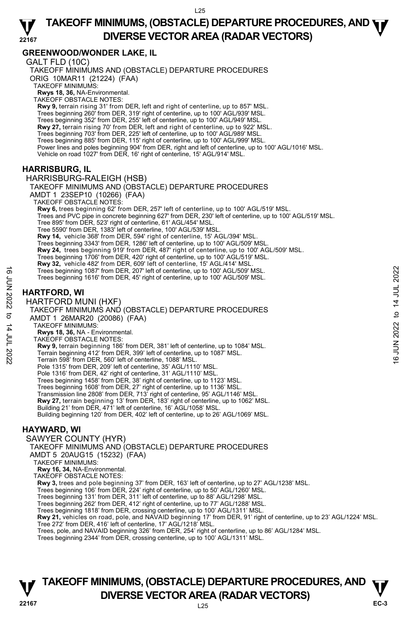#### **22167 TAKEOFF MINIMUMS, (OBSTACLE) DEPARTURE PROCEDURES, AND <b>WE**<br>DIVERSE VESTOR AREA (RADAR VESTORS) **DIVERSE VECTOR AREA (RADAR VECTORS)**

## **GREENWOOD/WONDER LAKE, IL**

GALT FLD (10C) TAKEOFF MINIMUMS AND (OBSTACLE) DEPARTURE PROCEDURES ORIG 10MAR11 (21224) (FAA) TAKEOFF MINIMUMS: **Rwys 18, 36,** NA-Environmental. TAKEOFF OBSTACLE NOTES: **Rwy 9,** terrain rising 31' from DER, left and right of centerline, up to 857' MSL. Trees beginning 260' from DER, 319' right of centerline, up to 100' AGL/939' MSL. Trees beginning 352' from DER, 255' left of centerline, up to 100' AGL/949' MSL.<br>**Rwy 27,** terrain rising 70' from DER, left and right of centerline, up to 922' MSL. Trees beginning 703' from DER, 225' left of centerline, up to 100' AGL/989' MSL. Trees beginning 885' from DER, 115' right of centerline, up to 100' AGL/999' MSL.<br>Power lines and poles beginning 904' from DER, right and left of centerline, up to 100' AGL/1016' MSL. Vehicle on road 1027' from DER, 16' right of centerline, 15' AGL/914' MSL. **HARRISBURG, IL**  HARRISBURG-RALEIGH (HSB) TAKEOFF MINIMUMS AND (OBSTACLE) DEPARTURE PROCEDURES AMDT 1 23SEP10 (10266) (FAA) TAKEOFF OBSTACLE NOTES: **Rwy 6,** trees beginning 62' from DER, 257' left of centerline, up to 100' AGL/519' MSL. Trees and PVC pipe in concrete beginning 627' from DER, 230' left of centerline, up to 100' AGL/519' MSL. Tree 895' from DER, 523' right of centerline, 61' AGL/454' MSL. Tree 5590' from DER, 1383' left of centerline, 100' AGL/539' MSL. **Rwy 14,** vehicle 368' from DER, 594' right of centerline, 15' AGL/394' MSL.<br>Trees beginning 3343' from DER, 1286' left of centerline, up to 100' AGL/509' MSL. **Rwy 24,** trees beginning 919' from DER, 487' right of centerline, up to 100' AGL/509' MSL. Trees beginning 1706' from DER, 420' right of centerline, up to 100' AGL/519' MSL. **Rwy 32,** vehicle 482' from DER, 609' left of centerline, 15' AGL/414' MSL. Trees beginning 1087' from DER, 207' left of centerline, up to 100' AGL/509' MSL. Trees beginning 1616' from DER, 45' right of centerline, up to 100' AGL/509' MSL. **HARTFORD, WI**  HARTFORD MUNI (HXF) TAKEOFF MINIMUMS AND (OBSTACLE) DEPARTURE PROCEDURES AMDT 1 26MAR20 (20086) (FAA) TAKEOFF MINIMUMS: **Rwys 18, 36,** NA - Environmental. TAKEOFF OBSTACLE NOTES: **Rwy 9,** terrain beginning 186' from DER, 381' left of centerline, up to 1084' MSL. Terrain beginning 412' from DER, 399' left of centerline, up to 1087' MSL. Terrain 598' from DER, 560' left of centerline, 1088' MSL. Pole 1315' from DER, 209' left of centerline, 35' AGL/1110' MSL. Pole 1316' from DER, 42' right of centerline, 31' AGL/1110' MSL. Trees beginning 1458' from DER, 38' right of centerline, up to 1123' MSL. Trees beginning 1608' from DER, 27' right of centerline, up to 1136' MSL. Transmission line 2808' from DER, 713' right of centerline, 95' AGL/1146' MSL. **Rwy 27,** terrain beginning 13' from DER, 183' right of centerline, up to 1062' MSL. Building 21' from DER, 471' left of centerline, 16' AGL/1058' MSL. Building beginning 120' from DER, 402' left of centerline, up to 26' AGL/1069' MSL. **HAYWARD, WI**  SAWYER COUNTY (HYR) TAKEOFF MINIMUMS AND (OBSTACLE) DEPARTURE PROCEDURES AMDT 5 20AUG15 (15232) (FAA) TAKEOFF MINIMUMS: **Rwy 16, 34,** NA-Environmental. TAKEOFF OBSTACLE NOTES: **Rwy 3,** trees and pole beginning 37' from DER, 163' left of centerline, up to 27' AGL/1238' MSL. Trees beginning 106' from DER, 224' right of centerline, up to 50' AGL/1260' MSL. Trees beginning 131' from DER, 311' left of centerline, up to 88' AGL/1298' MSL. Trees beginning 1087' from DER, 207' left of centerline, up to 100' AGL/509' MSL.<br>
Trees beginning 1616' from DER, 45' right of centerline, up to 100' AGL/509' MSL.<br>  $R_{\text{A}}$ <br>  $R_{\text{A}}$ <br>  $R_{\text{A}}$ <br>  $R_{\text{A}}$ <br>  $R_{\text{A}}$ <br>

Trees beginning 262' from DER, 412' right of centerline, up to 77' AGL/1288' MSL.

Trees beginning 1818' from DER, crossing centerline, up to 100' AGL/1311' MSL.<br>**Rwy 21,** vehicles on road, pole, and NAVAID beginning 17' from DER, 91' right of centerline, up to 23' AGL/1224' MSL.

Tree 272' from DER, 416' left of centerline, 17' AGL/1218' MSL.

Trees, pole, and NAVAID beginning 326' from DER, 254' right of centerline, up to 86' AGL/1284' MSL.

Trees beginning 2344' from DER, crossing centerline, up to 100' AGL/1311' MSL.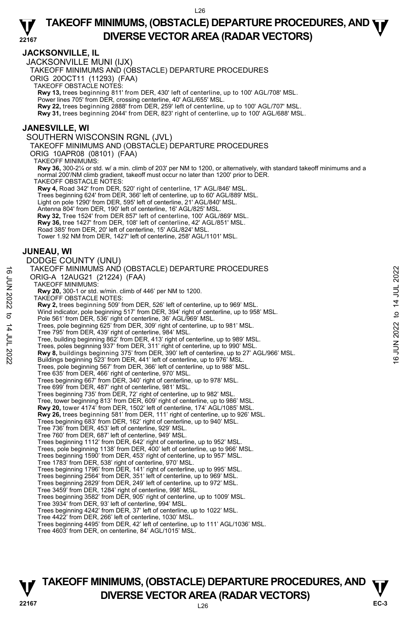### **JACKSONVILLE, IL**

JACKSONVILLE MUNI (IJX)

TAKEOFF MINIMUMS AND (OBSTACLE) DEPARTURE PROCEDURES

ORIG 20OCT11 (11293) (FAA)

TAKEOFF OBSTACLE NOTES:

**Rwy 13,** trees beginning 811' from DER, 430' left of centerline, up to 100' AGL/708' MSL.

Power lines 705' from DER, crossing centerline, 40' AGL/655' MSL.

**Rwy 22,** trees beginning 2888' from DER, 259' left of centerline, up to 100' AGL/707' MSL.

**Rwy 31,** trees beginning 2044' from DER, 823' right of centerline, up to 100' AGL/688' MSL.

#### **JANESVILLE, WI**

SOUTHERN WISCONSIN RGNL (JVL)

TAKEOFF MINIMUMS AND (OBSTACLE) DEPARTURE PROCEDURES

ORIG 10APR08 (08101) (FAA)

TAKEOFF MINIMUMS:

**Rwy 36,** 300-2¼ or std. w/ a min. climb of 203' per NM to 1200, or alternatively, with standard takeoff minimums and a normal 200'/NM climb gradient, takeoff must occur no later than 1200' prior to DER.

TAKEOFF OBSTACLE NOTES:

**Rwy 4,** Road 342' from DER, 520' right of centerline, 17' AGL/846' MSL. Trees beginning 624' from DER, 366' left of centerline, up to 60' AGL/889' MSL. Light on pole 1290' from DER, 595' left of centerline, 21' AGL/840' MSL. Antenna 804' from DER, 190' left of centerline, 16' AGL/825' MSL. **Rwy 32,** Tree 1524' from DER 857' left of centerline, 100' AGL/869' MSL.

**Rwy 36,** tree 1427' from DER, 108' left of centerline, 42' AGL/851' MSL.

Road 385' from DER, 20' left of centerline, 15' AGL/824' MSL.

Tower 1.92 NM from DER, 1427' left of centerline, 258' AGL/1101' MSL.

#### **JUNEAU, WI**

#### DODGE COUNTY (UNU) TAKEOFF MINIMUMS AND (OBSTACLE) DEPARTURE PROCEDURES ORIG-A 12AUG21 (21224) (FAA) TAKEOFF MINIMUMS: **Rwy 20,** 300-1 or std. w/min. climb of 446' per NM to 1200. TAKEOFF OBSTACLE NOTES: **Rwy 2,** trees beginning 509' from DER, 526' left of centerline, up to 969' MSL. Wind indicator, pole beginning 517' from DER, 394' right of centerline, up to 958' MSL. Pole 561' from DER, 536' right of centerline, 36' AGL/969' MSL. Trees, pole beginning 625' from DER, 309' right of centerline, up to 981' MSL. Tree 795' from DER, 439' right of centerline, 984' MSL. Tree, building beginning 862' from DER, 413' right of centerline, up to 989' MSL. Trees, poles beginning 937' from DER, 311' right of centerline, up to 990' MSL. TAKEOFF MINIMUMS AND (OBSTACLE) DEPARTURE PROCEDURES<br>
ORIG-A 12AUG21 (21224) (FAA)<br>
TRAKEOFF MINIMUMS:<br>
TRAKEOFF MINIMUMS:<br>
Rwy 20, 300-1 or std. wimin. climb of 446' per NM to 1200.<br>
NAKEOFF MINIMUMS:<br>
NAKEOFF MINIMUMS:<br> Trees, pole beginning 567' from DER, 366' left of centerline, up to 988' MSL. Tree 635' from DER, 466' right of centerline, 970' MSL. Trees beginning 667' from DER, 340' right of centerline, up to 978' MSL. Tree 699' from DER, 487' right of centerline, 981' MSL. Trees beginning 735' from DER, 72' right of centerline, up to 982' MSL. Tree, tower beginning 813' from DER, 609' right of centerline, up to 986' MSL. **Rwy 20,** tower 4174' from DER, 1502' left of centerline, 174' AGL/1085' MSL. **Rwy 26,** trees beginning 581' from DER, 111' right of centerline, up to 926' MSL. Trees beginning 683' from DER, 162' right of centerline, up to 940' MSL. Tree 736' from DER, 453' left of centerline, 929' MSL. Tree 760' from DER, 687' left of centerline, 949' MSL. Trees beginning 1112' from DER, 642' right of centerline, up to 952' MSL. Trees, pole beginning 1138' from DER, 400' left of centerline, up to 966' MSL. Trees beginning 1590' from DER, 453' right of centerline, up to 957' MSL. Tree 1783' from DER, 538' right of centerline, 970' MSL. Trees beginning 1796' from DER, 141' right of centerline, up to 995' MSL. Trees beginning 2564' from DER, 351' left of centerline, up to 969' MSL. Trees beginning 2829' from DER, 249' left of centerline, up to 972' MSL. Tree 3459' from DER, 1284' right of centerline, 998' MSL. Trees beginning 3582' from DER, 905' right of centerline, up to 1009' MSL. Tree 3934' from DER, 93' left of centerline, 994' MSL. Trees beginning 4242' from DER, 37' left of centerline, up to 1022' MSL. Tree 4422' from DER, 266' left of centerline, 1030' MSL. Trees beginning 4495' from DER, 42' left of centerline, up to 111' AGL/1036' MSL. Tree 4603' from DER, on centerline, 84' AGL/1015' MSL.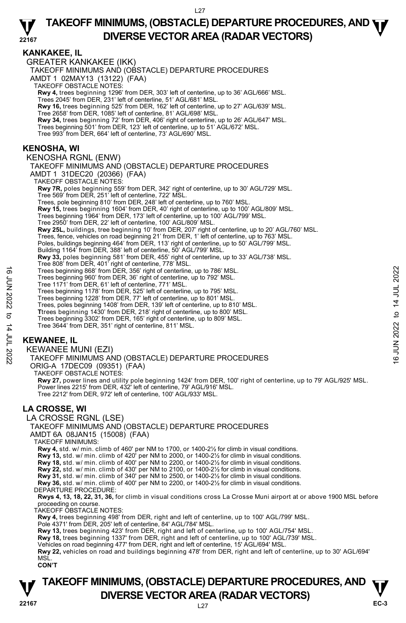## **KANKAKEE, IL**

GREATER KANKAKEE (IKK) TAKEOFF MINIMUMS AND (OBSTACLE) DEPARTURE PROCEDURES AMDT 1 02MAY13 (13122) (FAA) TAKEOFF OBSTACLE NOTES: **Rwy 4,** trees beginning 1296' from DER, 303' left of centerline, up to 36' AGL/666' MSL.<br>Trees 2045' from DER, 231' left of centerline, 51' AGL/681' MSL. **Rwy 16,** trees beginning 525' from DER, 162' left of centerline, up to 27' AGL/639' MSL. Tree 2658' from DER, 1085' left of centerline, 81' AGL/698' MSL. **Rwy 34,** trees beginning 72' from DER, 406' right of centerline, up to 26' AGL/647' MSL. Trees beginning 501' from DER, 123' left of centerline, up to 51' AGL/672' MSL. Tree 993' from DER, 664' left of centerline, 73' AGL/690' MSL. **KENOSHA, WI**  KENOSHA RGNL (ENW) TAKEOFF MINIMUMS AND (OBSTACLE) DEPARTURE PROCEDURES AMDT 1 31DEC20 (20366) (FAA) TAKEOFF OBSTACLE NOTES: **Rwy 7R,** poles beginning 559' from DER, 342' right of centerline, up to 30' AGL/729' MSL.<br>Tree 569' from DER, 251' left of centerline, 722' MSL. Trees, pole beginning 810' from DER, 248' left of centerline, up to 760' MSL. **Rwy 15,** trees beginning 1604' from DER, 40' right of centerline, up to 100' AGL/809' MSL. Trees beginning 1964' from DER, 173' left of centerline, up to 100' AGL/799' MSL. Tree 2950' from DER, 22' left of centerline, 100' AGL/809' MSL. **Rwy 25L,** buildings, tree beginning 10' from DER, 207' right of centerline, up to 20' AGL/760' MSL. Trees, fence, vehicles on road beginning 21' from DER, 1' left of centerline, up to 763' MSL. Poles, buildings beginning 464' from DER, 113' right of centerline, up to 50' AGL/799' MSL. Building 1164' from DER, 388' left of centerline, 50' AGL/799' MSL. **Rwy 33,** poles beginning 581' from DER, 455' right of centerline, up to 33' AGL/738' MSL.<br>Tree 808' from DER, 401' right of centerline, 778' MSL. Trees beginning 868' from DER, 356' right of centerline, up to 786' MSL. Trees beginning 960' from DER, 36' right of centerline, up to 792' MSL. Tree 1171' from DER, 61' left of centerline, 771' MSL. Trees beginning 1178' from DER, 525' left of centerline, up to 795' MSL. Trees beginning 1228' from DER, 77' left of centerline, up to 801' MSL. Trees, poles beginning 1408' from DER, 139' left of centerline, up to 810' MSL. **T**trees beginning 1430' from DER, 218' right of centerline, up to 800' MSL. Trees beginning 3302' from DER, 165' right of centerline, up to 809' MSL. Tree 3644' from DER, 351' right of centerline, 811' MSL. **KEWANEE, IL**  KEWANEE MUNI (EZI) TAKEOFF MINIMUMS AND (OBSTACLE) DEPARTURE PROCEDURES ORIG-A 17DEC09 (09351) (FAA) TAKEOFF OBSTACLE NOTES: **Rwy 27,** power lines and utility pole beginning 1424' from DER, 100' right of centerline, up to 79' AGL/925' MSL. Power lines 2215' from DER, 432' left of centerline, 79' AGL/916' MSL. Tree 2212' from DER, 972' left of centerline, 100' AGL/933' MSL. **LA CROSSE, WI**  LA CROSSE RGNL (LSE) TAKEOFF MINIMUMS AND (OBSTACLE) DEPARTURE PROCEDURES AMDT 6A 08JAN15 (15008) (FAA) TAKEOFF MINIMUMS: **Rwy 4,** std. w/ min. climb of 460' per NM to 1700, or 1400-2½ for climb in visual conditions. **Rwy 13,** std. w/ min. climb of 420' per NM to 2000, or 1400-2½ for climb in visual conditions. **Rwy 18,** std. w/ min. climb of 400' per NM to 2200, or 1400-2½ for climb in visual conditions. **Rwy 22,** std. w/ min. climb of 430' per NM to 2100, or 1400-2½ for climb in visual conditions. **Rwy 31,** std. w/ min. climb of 340' per NM to 2500, or 1400-2½ for climb in visual conditions. **Rwy 36,** std. w/ min. climb of 400' per NM to 2200, or 1400-2½ for climb in visual conditions. DEPARTURE PROCEDURE: **Rwys 4, 13, 18, 22, 31, 36,** for climb in visual conditions cross La Crosse Muni airport at or above 1900 MSL before proceeding on course. TAKEOFF OBSTACLE NOTES: **Rwy 4,** trees beginning 498' from DER, right and left of centerline, up to 100' AGL/799' MSL. Pole 4371' from DER, 205' left of centerline, 84' AGL/784' MSL. **Rwy 13,** trees beginning 423' from DER, right and left of centerline, up to 100' AGL/754' MSL. **Rwy 18,** trees beginning 1337' from DER, right and left of centerline, up to 100' AGL/739' MSL.<br>Vehicles on road beginning 477' from DER, right and left of centerline, 15' AGL/694' MSL. **Rwy 22,** vehicles on road and buildings beginning 478' from DER, right and left of centerline, up to 30' AGL/694' MSL. **CON'T** Trees beginning 868' from DER, 356' right of centerline, up to 786' MSL.<br>
Trees beginning 960' from DER, 61' left of centerline, up to 792' MSL.<br>
Trees beginning 1178' from DER, 525' left of centerline, up to 792' MSL.<br>
Tr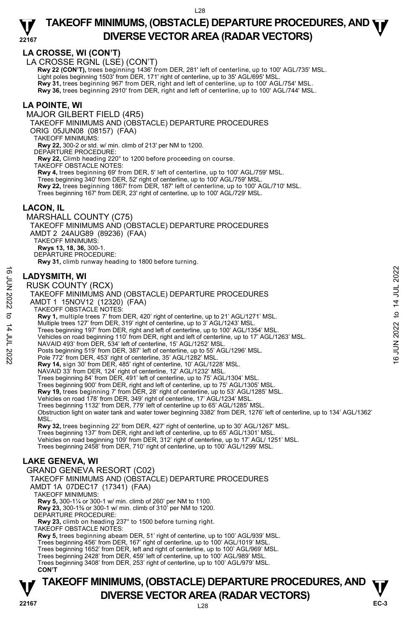## **LA CROSSE, WI (CON'T)**

LA CROSSE RGNL (LSE) (CON'T)

 **Rwy 22 (CON'T),** trees beginning 1436' from DER, 281' left of centerline, up to 100' AGL/735' MSL. Light poles beginning 1503' from DER, 171' right of centerline, up to 35' AGL/695' MSL. **Rwy 31,** trees beginning 967' from DER, right and left of centerline, up to 100' AGL/754' MSL. **Rwy 36,** trees beginning 2910' from DER, right and left of centerline, up to 100' AGL/744' MSL.

## **LA POINTE, WI**

MAJOR GILBERT FIELD (4R5)

TAKEOFF MINIMUMS AND (OBSTACLE) DEPARTURE PROCEDURES

ORIG 05JUN08 (08157) (FAA)

TAKEOFF MINIMUMS:

**Rwy 22,** 300-2 or std. w/ min. climb of 213' per NM to 1200.

DEPARTURE PROCEDURE:

**Rwy 22,** Climb heading 220° to 1200 before proceeding on course.

TAKEOFF OBSTACLE NOTES:

**Rwy 4,** trees beginning 69' from DER, 5' left of centerline, up to 100' AGL/759' MSL.

Trees beginning 340' from DER, 52' right of centerline, up to 100' AGL/759' MSL. **Rwy 22,** trees beginning 1867' from DER, 187' left of centerline, up to 100' AGL/710' MSL. Trees beginning 167' from DER, 23' right of centerline, up to 100' AGL/729' MSL.

## **LACON, IL**

MARSHALL COUNTY (C75) TAKEOFF MINIMUMS AND (OBSTACLE) DEPARTURE PROCEDURES AMDT 2 24AUG89 (89236) (FAA) TAKEOFF MINIMUMS: **Rwys 13, 18, 36,** 300-1. DEPARTURE PROCEDURE: **Rwy 31,** climb runway heading to 1800 before turning.

## **LADYSMITH, WI**

**TAKEOFF MINIMUMS, (OBSTACLE) DEPARTURE PROCEDURES, AND**  $\mathbf{\nabla}$ RUSK COUNTY (RCX) TAKEOFF MINIMUMS AND (OBSTACLE) DEPARTURE PROCEDURES AMDT 1 15NOV12 (12320) (FAA) TAKEOFF OBSTACLE NOTES: **Rwy 1,** multiple trees 7' from DER, 420' right of centerline, up to 21' AGL/1271' MSL. Multiple trees 127' from DER, 319' right of centerline, up to 3' AGL/1243' MSL. Trees beginning 197' from DER, right and left of centerline, up to 100' AGL/1354' MSL. Vehicles on road beginning 110' from DER, right and left of centerline, up to 17' AGL/1263' MSL. NAVAID 493' from DER, 534' left of centerline, 15' AGL/1252' MSL. Posts beginning 519' from DER, 387' left of centerline, up to 55' AGL/1296' MSL. Pole 772' from DER, 453' right of centerline, 35' AGL/1282' MSL. **Rwy 14,** sign 30' from DER, 485' right of centerline, 10' AGL/1228' MSL. NAVAID 33' from DER, 124' right of centerline, 12' AGL/1232' MSL. Trees beginning 84' from DER, 491' left of centerline, up to 75' AGL/1304' MSL. Trees beginning 900' from DER, right and left of centerline, up to 75' AGL/1305' MSL. **Rwy 19,** trees beginning 7' from DER, 28' right of centerline, up to 53' AGL/1285' MSL. Vehicles on road 178' from DER, 349' right of centerline, 17' AGL/1234' MSL. Trees beginning 1132' from DER, 779' left of centerline up to 65' AGL/1285' MSL. Obstruction light on water tank and water tower beginning 3382' from DER, 1276' left of centerline, up to 134' AGL/1362' **MSL Rwy 32,** trees beginning 22' from DER, 427' right of centerline, up to 30' AGL/1267' MSL. Trees beginning 137' from DER, right and left of centerline, up to 65' AGL/1301' MSL. Vehicles on road beginning 109' from DER, 312' right of centerline, up to 17' AGL/ 1251' MSL. Trees beginning 2458' from DER, 710' right of centerline, up to 100' AGL/1299' MSL. **LAKE GENEVA, WI**  GRAND GENEVA RESORT (C02) TAKEOFF MINIMUMS AND (OBSTACLE) DEPARTURE PROCEDURES AMDT 1A 07DEC17 (17341) (FAA) TAKEOFF MINIMUMS: **Rwy 5,** 300-1¼ or 300-1 w/ min. climb of 260' per NM to 1100. **Rwy 23,** 300-1⅜ or 300-1 w/ min. climb of 310' per NM to 1200. DEPARTURE PROCEDURE: **Rwy 23,** climb on heading 237° to 1500 before turning right. TAKEOFF OBSTACLE NOTES: **Rwy 5,** trees beginning abeam DER, 51' right of centerline, up to 100' AGL/939' MSL.<br>Trees beginning 456' from DER, 167' right of centerline, up to 100' AGL/1019' MSL. Trees beginning 1652' from DER, left and right of centerline, up to 100' AGL/969' MSL. Trees beginning 2428' from DER, 459' left of centerline, up to 100' AGL/989' MSL. Trees beginning 3408' from DER, 253' right of centerline, up to 100' AGL/979' MSL. **CON'T LADYSMITH, WI**<br>  $\frac{16}{5}$ <br>
RUSK COUNTY (RCX)<br>
TAKEOFF MINIMUMS AND (OBSTACLE) DEPARTURE PROCEDURES<br>
AMDT 1 15NOV12 (12320) (FAA)<br>
TAKEOFF MINIMUMS AND (FAA)<br>
TAKEOFF MINIMUMS AND (FAA)<br>
AMDT 1 15NOV12 (12320)<br>
TAKEOFF M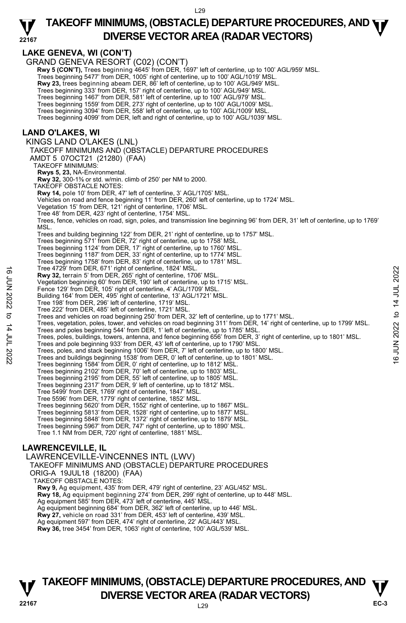#### **22167 TAKEOFF MINIMUMS, (OBSTACLE) DEPARTURE PROCEDURES, AND <b>WE**<br>DIVERSE VESTOR AREA (BARAR VESTORS) **DIVERSE VECTOR AREA (RADAR VECTORS)**

## **LAKE GENEVA, WI (CON'T)**

GRAND GENEVA RESORT (C02) (CON'T) **Rwy 5 (CON'T),** Trees beginning 4645' from DER, 1697' left of centerline, up to 100' AGL/959' MSL. Trees beginning 5477' from DER, 1005' right of centerline, up to 100' AGL/1019' MSL. **Rwy 23,** trees beginning abeam DER, 86' left of centerline, up to 100' AGL/949' MSL. Trees beginning 333' from DER, 157' right of centerline, up to 100' AGL/949' MSL. Trees beginning 1467' from DER, 581' left of centerline, up to 100' AGL/979' MSL. Trees beginning 1559' from DER, 273' right of centerline, up to 100' AGL/1009' MSL. Trees beginning 3094' from DER, 558' left of centerline, up to 100' AGL/1009' MSL. Trees beginning 4099' from DER, left and right of centerline, up to 100' AGL/1039' MSL. **LAND O'LAKES, WI**  KINGS LAND O'LAKES (LNL) TAKEOFF MINIMUMS AND (OBSTACLE) DEPARTURE PROCEDURES AMDT 5 07OCT21 (21280) (FAA) TAKEOFF MINIMUMS: **Rwys 5, 23,** NA-Environmental.  **Rwy 32,** 300-1⅜ or std. w/min. climb of 250' per NM to 2000. TAKEOFF OBSTACLE NOTES: **Rwy 14,** pole 10' from DER, 47' left of centerline, 3' AGL/1705' MSL. Vehicles on road and fence beginning 11' from DER, 260' left of centerline, up to 1724' MSL. Vegetation 15' from DER, 121' right of centerline, 1706' MSL. Tree 48' from DER, 423' right of centerline, 1754' MSL. Trees, fence, vehicles on road, sign, poles, and transmission line beginning 96' from DER, 31' left of centerline, up to 1769' MSL. Trees and building beginning 122' from DER, 21' right of centerline, up to 1757' MSL. Trees beginning 571' from DER, 72' right of centerline, up to 1758' MSL. Trees beginning 1124' from DER, 17' right of centerline, up to 1760' MSL. Trees beginning 1187' from DER, 33' right of centerline, up to 1774' MSL. Trees beginning 1758' from DER, 83' right of centerline, up to 1781' MSL. Tree 4729' from DER, 671' right of centerline, 1824' MSL. **Rwy 32,** terrain 5' from DER, 265' right of centerline, 1706' MSL. Vegetation beginning 60' from DER, 190' left of centerline, up to 1715' MSL. Fence 129' from DER, 105' right of centerline, 4' AGL/1709' MSL. Building 164' from DER, 495' right of centerline, 13' AGL/1721' MSL. Tree 198' from DER, 296' left of centerline, 1719' MSL. Tree 222' from DER, 485' left of centerline, 1721' MSL. Trees and vehicles on road beginning 250' from DER, 32' left of centerline, up to 1771' MSL. Trees, vegetation, poles, tower, and vehicles on road beginning 311' from DER, 14' right of centerline, up to 1799' MSL.<br>Trees and poles beginning 544' from DER, 1' left of centerline, up to 1785' MSL. Trees, poles, buildings, towers, antenna, and fence beginning 656' from DER, 3' right of centerline, up to 1801' MSL. Trees and pole beginning 933' from DER, 43' left of centerline, up to 1790' MSL. Trees, poles, and stack beginning 1006' from DER, 7' left of centerline, up to 1800' MSL.<br>Trees and buildings beginning 1538' from DER, 0' left of centerline, up to 1801' MSL. Trees beginning 1584' from DER, 0' right of centerline, up to 1812' MSL. Trees beginning 2102' from DER, 70' left of centerline, up to 1803' MSL. Trees beginning 2195' from DER, 55' left of centerline, up to 1805' MSL. Trees beginning 2317' from DER, 9' left of centerline, up to 1812' MSL. Tree 5499' from DER, 1769' right of centerline, 1847' MSL. Tree 5596' from DER, 1779' right of centerline, 1852' MSL. Trees beginning 5620' from DER, 1552' right of centerline, up to 1867' MSL. Trees beginning 5813' from DER, 1528' right of centerline, up to 1877' MSL. Trees beginning 5848' from DER, 1372' right of centerline, up to 1879' MSL. Trees beginning 5967' from DER, 747' right of centerline, up to 1890' MSL. Tree 1.1 NM from DER, 720' right of centerline, 1881' MSL. **LAWRENCEVILLE, IL**  LAWRENCEVILLE-VINCENNES INTL (LWV) TAKEOFF MINIMUMS AND (OBSTACLE) DEPARTURE PROCEDURES 1 Fee 4 229 Trom DER, 1871 right of centerline, 1824 'MSL.<br> **EVALUATION** 2022 to 1745 if the form of the metric in the 1706' MSL.<br>
Pente 129 from DER, 1967 ight of centerline, 4 1706' MSL.<br>
Fence 129 from DER, 1967 ight o

ORIG-A 19JUL18 (18200) (FAA) TAKEOFF OBSTACLE NOTES:

**Rwy 9,** Ag equipment, 435' from DER, 479' right of centerline, 23' AGL/452' MSL.

**Rwy 18,** Ag equipment beginning 274' from DER, 299' right of centerline, up to 448' MSL.<br>Ag equipment 585' from DER, 473' left of centerline, 445' MSL.

Ag equipment beginning 684' from DER, 362' left of centerline, up to 446' MSL.

**Rwy 27,** vehicle on road 331' from DER, 453' left of centerline, 439' MSL.

Ag equipment 597' from DER, 474' right of centerline, 22' AGL/443' MSL.

**Rwy 36,** tree 3454' from DER, 1063' right of centerline, 100' AGL/539' MSL.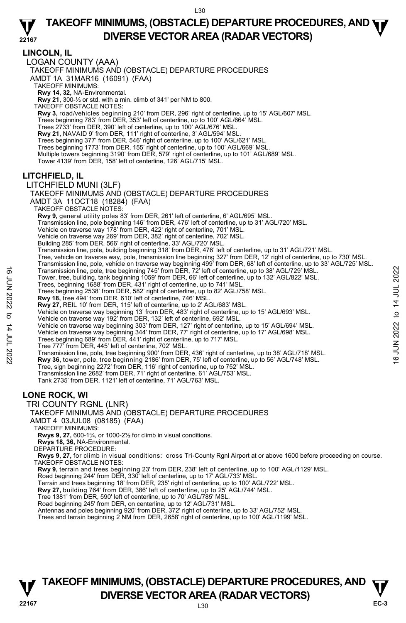**22167 LINCOLN, IL**  LOGAN COUNTY (AAA) TAKEOFF MINIMUMS AND (OBSTACLE) DEPARTURE PROCEDURES AMDT 1A 31MAR16 (16091) (FAA) TAKEOFF MINIMUMS: **Rwy 14, 32,** NA-Environmental. **Rwy 21,** 300-½ or std. with a min. climb of 341' per NM to 800. TAKEOFF OBSTACLE NOTES: **Rwy 3,** road/vehicles beginning 210' from DER, 296' right of centerline, up to 15' AGL/607' MSL. Trees beginning 783' from DER, 353' left of centerline, up to 100' AGL/664' MSL. Trees 2733' from DER, 390' left of centerline, up to 100' AGL/676' MSL. **Rwy 21,** NAVAID 9' from DER, 111' right of centerline, 3' AGL/594' MSL. Trees beginning 377' from DER, 546' right of centerline, up to 100' AGL/621' MSL. Trees beginning 1773' from DER, 155' right of centerline, up to 100' AGL/669' MSL. Multiple towers beginning 3190' from DER, 579' right of centerline, up to 101' AGL/689' MSL. Tower 4139' from DER, 158' left of centerline, 126' AGL/715' MSL. **LITCHFIELD, IL**  LITCHFIELD MUNI (3LF) TAKEOFF MINIMUMS AND (OBSTACLE) DEPARTURE PROCEDURES AMDT 3A 11OCT18 (18284) (FAA) TAKEOFF OBSTACLE NOTES: **Rwy 9,** general utility poles 83' from DER, 261' left of centerline, 6' AGL/695' MSL. Transmission line, pole beginning 146' from DER, 476' left of centerline, up to 31' AGL/720' MSL. Vehicle on traverse way 178' from DER, 422' right of centerline, 701' MSL. Vehicle on traverse way 269' from DER, 382' right of centerline, 702' MSL. Building 285' from DER, 566' right of centerline, 33' AGL/720' MSL. Transmission line, pole, building beginning 318' from DER, 476' left of centerline, up to 31' AGL/721' MSL. Tree, vehicle on traverse way, pole, transmission line beginning 327' from DER, 12' right of centerline, up to 730' MSL.<br>Transmission line, pole, vehicle on traverse way beginning 499' from DER, 68' left of centerline, up Transmission line, pole, tree beginning 745' from DER, 72' left of centerline, up to 38' AGL/729' MSL. Tower, tree, building, tank beginning 1059' from DER, 66' left of centerline, up to 132' AGL/822' MSL.<br>Trees, beginning 1688' from DER, 431' right of centerline, up to 741' MSL. Trees beginning 2538' from DER, 582' right of centerline, up to 82' AGL/758' MSL. **Rwy 18,** tree 494' from DER, 610' left of centerline, 746' MSL. **Rwy 27,** REIL 10' from DER, 115' left of centerline, up to 2' AGL/683' MSL.<br>Vehicle on traverse way beginning 13' from DER, 483' right of centerline, up to 15' AGL/693' MSL. Vehicle on traverse way 192' from DER, 132' left of centerline, 692' MSL. Vehicle on traverse way beginning 303' from DER, 127' right of centerline, up to 15' AGL/694' MSL. Vehicle on traverse way beginning 344' from DER, 77' right of centerline, up to 17' AGL/698' MSL. Trees beginning 689' from DER, 441' right of centerline, up to 717' MSL. Tree 777' from DER, 445' left of centerline, 702' MSL. Transmission line, pole, tree beginning 745' from DER, 72' left of centerline, up to 38' AGL/729' MSL.<br>
Trees, beginning 1688' from DER, 431' right of centerline, up to 741' MSL.<br>
Trees beginning 1688' from DER, 431' righ Tree, sign beginning 2272' from DER, 116' right of centerline, up to 752' MSL. Transmission line 2682' from DER, 71' right of centerline, 61' AGL/753' MSL. Tank 2735' from DER, 1121' left of centerline, 71' AGL/763' MSL. **LONE ROCK, WI**  TRI COUNTY RGNL (LNR) TAKEOFF MINIMUMS AND (OBSTACLE) DEPARTURE PROCEDURES AMDT 4 03JUL08 (08185) (FAA) TAKEOFF MINIMUMS: **Rwys 9, 27,** 600-1¾, or 1000-2½ for climb in visual conditions. **Rwys 18, 36,** NA-Environmental. DEPARTURE PROCEDURE: **Rwys 9, 27,** for climb in visual conditions: cross Tri-County Rgnl Airport at or above 1600 before proceeding on course. TAKEOFF OBSTACLE NOTES: **Rwy 9,** terrain and trees beginning 23' from DER, 238' left of centerline, up to 100' AGL/1129' MSL.<br>Road beginning 244' from DER, 330' left of centerline, up to 17' AGL/733' MSL. Terrain and trees beginning 18' from DER, 235' right of centerline, up to 100' AGL/722' MSL. **Rwy 27,** building 764' from DER, 386' left of centerline, up to 25' AGL/744' MSL.<br>Tree 1381' from DER, 590' left of centerline, up to 70' AGL/785' MSL. Road beginning 245' from DER, on centerline, up to 12' AGL/731' MSL. Antennas and poles beginning 920' from DER, 372' right of centerline, up to 33' AGL/752' MSL. Trees and terrain beginning 2 NM from DER, 2658' right of centerline, up to 100' AGL/1199' MSL.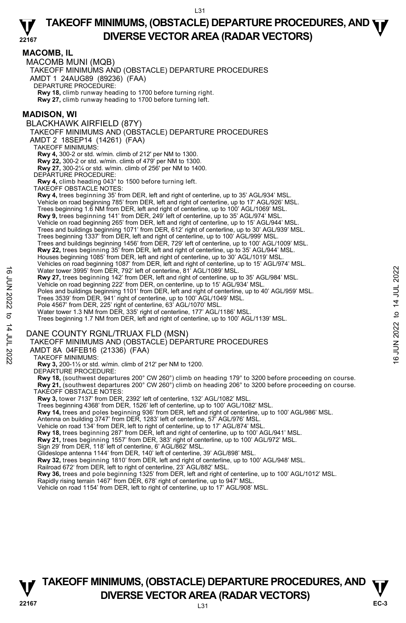#### **MACOMB, IL**

MACOMB MUNI (MQB)

TAKEOFF MINIMUMS AND (OBSTACLE) DEPARTURE PROCEDURES

AMDT 1 24AUG89 (89236) (FAA)

DEPARTURE PROCEDURE:

**Rwy 18,** climb runway heading to 1700 before turning right. **Rwy 27,** climb runway heading to 1700 before turning left.

**MADISON, WI** 

BLACKHAWK AIRFIELD (87Y) TAKEOFF MINIMUMS AND (OBSTACLE) DEPARTURE PROCEDURES AMDT 2 18SEP14 (14261) (FAA) TAKEOFF MINIMUMS: **Rwy 4,** 300-2 or std. w/min. climb of 212' per NM to 1300. **Rwy 22,** 300-2 or std. w/min. climb of 479' per NM to 1300. **Rwy 27,** 300-2¼ or std. w/min. climb of 256' per NM to 1400. DEPARTURE PROCEDURE: **Rwy 4,** climb heading 043° to 1500 before turning left. TAKEOFF OBSTACLE NOTES: **Rwy 4,** trees beginning 35' from DER, left and right of centerline, up to 35' AGL/934' MSL. Vehicle on road beginning 785' from DER, left and right of centerline, up to 17' AGL/926' MSL. Trees beginning 1.6 NM from DER, left and right of centerline, up to 100' AGL/1069' MSL. **Rwy 9,** trees beginning 141' from DER, 249' left of centerline, up to 35' AGL/974' MSL. Vehicle on road beginning 265' from DER, left and right of centerline, up to 15' AGL/944' MSL. Trees and buildings beginning 1071' from DER, 612' right of centerline, up to 30' AGL/939' MSL. Trees beginning 1337' from DER, left and right of centerline, up to 100' AGL/999' MSL.<br>Trees and buildings beginning 1456' from DER, 729' left of centerline, up to 100' AGL/1009' MSL. **Rwy 22,** trees beginning 35' from DER, left and right of centerline, up to 35' AGL/944' MSL. Houses beginning 1085' from DER, left and right of centerline, up to 30' AGL/1019' MSL.<br>Vehicles on road beginning 1087' from DER, left and right of centerline, up to 15' AGL/974' MSL. Water tower 3995' from DER, 792' left of centerline, 81<sup>7</sup> AGL/1089' MSL. **Rwy 27,** trees beginning 142' from DER, left and right of centerline, up to 35' AGL/984' MSL.<br>Vehicle on road beginning 222' from DER, on centerline, up to 15' AGL/934' MSL. Poles and buildings beginning 1101' from DER, left and right of centerline, up to 40' AGL/959' MSL. Trees 3539' from DER, 941' right of centerline, up to 100' AGL/1049' MSL. Pole 4567' from DER, 225' right of centerline, 63' AGL/1070' MSL Water tower 1.3 NM from DER, 335' right of centerline, 177' AGL/1186' MSL. Trees beginning 1.7 NM from DER, left and right of centerline, up to 100' AGL/1139' MSL. DANE COUNTY RGNL/TRUAX FLD (MSN) TAKEOFF MINIMUMS AND (OBSTACLE) DEPARTURE PROCEDURES AMDT 8A 04FEB16 (21336) (FAA) TAKEOFF MINIMUMS: **Rwy 3,** 200-1½ or std. w/min. climb of 212' per NM to 1200. DEPARTURE PROCEDURE: **Rwy 18,** (southwest departures 200° CW 260°) climb on heading 179° to 3200 before proceeding on course. **Rwy 21,** (southwest departures 200° CW 260°) climb on heading 206° to 3200 before proceeding on course. TAKEOFF OBSTACLE NOTES: Water tower 3995' from DER, 792' left of centerline, 81<sup>Y</sup> AGL/1089' MSL.<br> **EVERTUANCE TO A SUMPLE AND THE ACT AND THE ACT AND THE ACT AND THE ACT AND THE ACT UP TO BE A SSO TO DER, is the and right of centerline, up to 4** 

**Rwy 3,** tower 7137' from DER, 2392' left of centerline, 132' AGL/1082' MSL.

Trees beginning 4368' from DER, 1526' left of centerline, up to 100' AGL/1082' MSL.

**Rwy 14,** trees and poles beginning 936' from DER, left and right of centerline, up to 100' AGL/986' MSL.

Antenna on building 3747' from DER, 1283' left of centerline, 57' AGL/976' MSL.<br>Vehicle on road 134' from DER, left to right of centerline, up to 17' AGL/874' MSL.

**Rwy 18,** trees beginning 287' from DER, left and right of centerline, up to 100' AGL/941' MSL.

**Rwy 21,** trees beginning 1557' from DER, 383' right of centerline, up to 100' AGL/972' MSL.

Sign 29' from DER, 118' left of centerline, 6' AGL/862' MSL. Glideslope antenna 1144' from DER, 140' left of centerline, 39' AGL/898' MSL.

**Rwy 32,** trees beginning 1810' from DER, left and right of centerline, up to 100' AGL/948' MSL.

Railroad 672' from DER, left to right of centerline, 23' AGL/882' MSL.

**Rwy 36,** trees and pole beginning 1325' from DER, left and right of centerline, up to 100' AGL/1012' MSL.

Rapidly rising terrain 1467' from DER, 678' right of centerline, up to 947' MSL.

Vehicle on road 1154' from DER, left to right of centerline, up to 17' AGL/908' MSL.

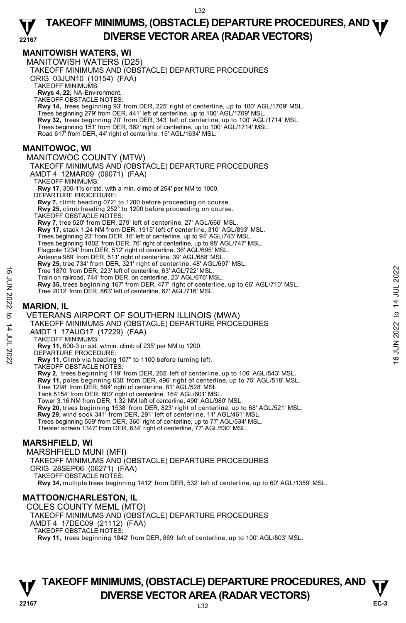## **MANITOWISH WATERS, WI**

MANITOWISH WATERS (D25) TAKEOFF MINIMUMS AND (OBSTACLE) DEPARTURE PROCEDURES ORIG 03JUN10 (10154) (FAA) TAKEOFF MINIMUMS: **Rwys 4, 22,** NA-Environment. TAKEOFF OBSTACLE NOTES: **Rwy 14,** trees beginning 93' from DER, 225' right of centerline, up to 100' AGL/1709' MSL. Trees beginning 279' from DER, 441' left of centerline, up to 100' AGL/1709' MSL. **Rwy 32,** trees beginning 70' from DER, 343' left of centerline, up to 100' AGL/1714' MSL.<br>Trees beginning 151' from DER, 362' right of centerline, up to 100' AGL/1714' MSL. Road 617' from DER, 44' right of centerline, 15' AGL/1634' MSL. **MANITOWOC, WI**  MANITOWOC COUNTY (MTW) TAKEOFF MINIMUMS AND (OBSTACLE) DEPARTURE PROCEDURES AMDT 4 12MAR09 (09071) (FAA) TAKEOFF MINIMUMS: **Rwy 17,** 300-1½ or std. with a min. climb of 254' per NM to 1000. DEPARTURE PROCEDURE: **Rwy 7,** climb heading 072° to 1200 before proceeding on course. **Rwy 25,** climb heading 252° to 1200 before proceeding on course. TAKEOFF OBSTACLE NOTES: **Rwy 7,** tree 520' from DER, 279' left of centerline, 27' AGL/666' MSL. **Rwy 17,** stack 1.24 NM from DER, 1915' left of centerline, 310' AGL/893' MSL. Trees beginning 23' from DER, 16' left of centerline, up to 94' AGL/743' MSL. Trees beginning 1802' from DER, 76' right of centerline, up to 98' AGL/747' MSL. Flagpole 1234' from DER, 512' right of centerline, 36' AGL/695' MSL. Antenna 989' from DER, 511' right of centerline, 39' AGL/688' MSL.<br>**Rwy 25,** tree 734' from DER, 321' right of centerline, 48' AGL/697' MSL. Tree 1870' from DER, 223' left of centerline, 63' AGL/722' MSL. Train on railroad, 744' from DER, on centerline, 23' AGL/676' MSL. **Rwy 35,** trees beginning 167' from DER, 477' right of centerline, up to 66' AGL/710' MSL. Tree 2012' from DER, 863' left of centerline, 67' AGL/716' MSL. **MARION, IL**  VETERANS AIRPORT OF SOUTHERN ILLINOIS (MWA) TAKEOFF MINIMUMS AND (OBSTACLE) DEPARTURE PROCEDURES AMDT 1 17AUG17 (17229) (FAA) TAKEOFF MINIMUMS: **Rwy 11,** 600-3 or std. w/min. climb of 235' per NM to 1200. DEPARTURE PROCEDURE: **Rwy 11,** Climb via heading 107° to 1100 before turning left. TAKEOFF OBSTACLE NOTES: **Rwy 2,** trees beginning 119' from DER, 265' left of centerline, up to 106' AGL/543' MSL. **Rwy 11,** poles beginning 630' from DER, 496' right of centerline, up to 75' AGL/518' MSL. Tree 1298' from DER, 594' right of centerline, 81' AGL/528' MSL. Tank 5154' from DER, 800' right of centerline, 164' AGL/601' MSL. Tower 3.16 NM from DER, 1.32 NM left of centerline, 490' AGL/980' MSL. **Rwy 20,** trees beginning 1538' from DER, 823' right of centerline, up to 68' AGL/521' MSL. **Rwy 29,** wind sock 341' from DER, 291' left of centerline, 11' AGL/461' MSL. Trees beginning 559' from DER, 360' right of centerline, up to 77' AGL/534' MSL. Theater screen 1347' from DER, 634' right of centerline, 77' AGL/530' MSL. **MARSHFIELD, WI**  MARSHFIELD MUNI (MFI) TAKEOFF MINIMUMS AND (OBSTACLE) DEPARTURE PROCEDURES ORIG 28SEP06 (06271) (FAA) TAKEOFF OBSTACLE NOTES: **Rwy 34,** multiple trees beginning 1412' from DER, 532' left of centerline, up to 60' AGL/1359' MSL. Tree 1870' from DER, 223' left of centerline, 63' AGL/722' MSL.<br>
Train on railroad, 744' from DER, 477' right of centerline, up to 66' AGL/710' MSL.<br> **EVALUATE:** A MARION, IL<br>
Tree 2012' from DER, 863' left of centerline,

## **MATTOON/CHARLESTON, IL**

COLES COUNTY MEML (MTO) TAKEOFF MINIMUMS AND (OBSTACLE) DEPARTURE PROCEDURES AMDT 4 17DEC09 (21112) (FAA) TAKEOFF OBSTACLE NOTES: **Rwy 11,** trees beginning 1842' from DER, 869' left of centerline, up to 100' AGL/803' MSL.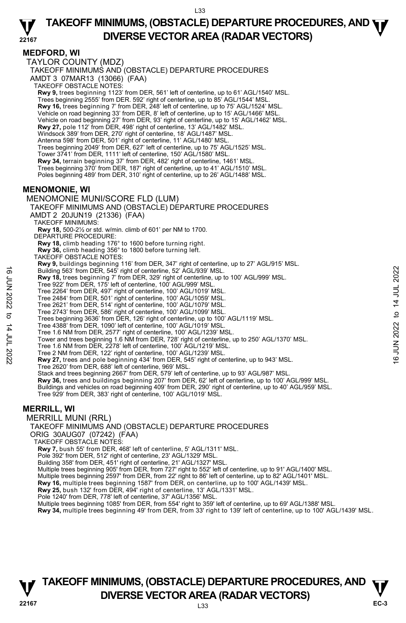#### **MEDFORD, WI**

TAYLOR COUNTY (MDZ) TAKEOFF MINIMUMS AND (OBSTACLE) DEPARTURE PROCEDURES AMDT 3 07MAR13 (13066) (FAA) TAKEOFF OBSTACLE NOTES: **Rwy 9,** trees beginning 1123' from DER, 561' left of centerline, up to 61' AGL/1540' MSL.<br>Trees beginning 2555' from DER. 592' right of centerline, up to 85' AGL/1544' MSL. **Rwy 16,** trees beginning 7' from DER, 248' left of centerline, up to 75' AGL/1524' MSL. Vehicle on road beginning 33' from DER, 8' left of centerline, up to 15' AGL/1466' MSL. Vehicle on road beginning 27' from DER, 93' right of centerline, up to 15' AGL/1462' MSL.<br>**Rwy 27,** pole 112' from DER, 498' right of centerline, 13' AGL/1482' MSL. Windsock 389' from DER, 270' right of centerline, 18' AGL/1487' MSL. Antenna 598' from DER, 501' right of centerline, 11' AGL/1480' MSL. Trees beginning 2049' from DER, 627' left of centerline, up to 75' AGL/1525' MSL. Tower 3741' from DER, 1111' left of centerline, 150' AGL/1580' MSL. **Rwy 34,** terrain beginning 37' from DER, 482' right of centerline, 1461' MSL.<br>Trees beginning 370' from DER, 187' right of centerline, up to 41' AGL/1510' MSL. Poles beginning 489' from DER, 310' right of centerline, up to 26' AGL/1488' MSL. **MENOMONIE, WI**  MENOMONIE MUNI/SCORE FLD (LUM) TAKEOFF MINIMUMS AND (OBSTACLE) DEPARTURE PROCEDURES AMDT 2 20JUN19 (21336) (FAA) TAKEOFF MINIMUMS: **Rwy 18,** 500-2½ or std. w/min. climb of 601' per NM to 1700. DEPARTURE PROCEDURE: **Rwy 18,** climb heading 176° to 1600 before turning right. **Rwy 36,** climb heading 356° to 1800 before turning left. TAKEOFF OBSTACLE NOTES: **Rwy 9,** buildings beginning 116' from DER, 347' right of centerline, up to 27' AGL/915' MSL. Building 563' from DER, 545' right of centerline, 52' AGL/939' MSL. **Rwy 18,** trees beginning 7' from DER, 329' right of centerline, up to 100' AGL/999' MSL.<br>Tree 922' from DER, 175' left of centerline, 100' AGL/999' MSL. Tree 2264' from DER, 497' right of centerline, 100' AGL/1019' MSL. Tree 2484' from DER, 501' right of centerline, 100' AGL/1059' MSL. Tree 2621' from DER, 514' right of centerline, 100' AGL/1079' MSL. Tree 2743' from DER, 586' right of centerline, 100' AGL/1099' MSL. Trees beginning 3636' from DER, 126' right of centerline, up to 100' AGL/1119' MSL. Tree 4388' from DER, 1090' left of centerline, 100' AGL/1019' MSL. Tree 1.6 NM from DER, 2577' right of centerline, 100' AGL/1239' MSL. Tower and trees beginning 1.6 NM from DER, 728' right of centerline, up to 250' AGL/1370' MSL. Tree 1.6 NM from DER, 2278' left of centerline, 100' AGL/1219' MSL. Tree 2 NM from DER, 122' right of centerline, 100' AGL/1239' MSL. **Rwy 27,** trees and pole beginning 434' from DER, 545' right of centerline, up to 943' MSL. Tree 2620' from DER, 688' left of centerline, 969' MSL. Stack and trees beginning 2667' from DER, 579' left of centerline, up to 93' AGL/987' MSL. **Rwy 36,** trees and buildings beginning 207' from DER, 62' left of centerline, up to 100' AGL/999' MSL. Buildings and vehicles on road beginning 409' from DER, 290' right of centerline, up to 40' AGL/959' MSL. Tree 929' from DER, 383' right of centerline, 100' AGL/1019' MSL. **MERRILL, WI**  MERRILL MUNI (RRL) TAKEOFF MINIMUMS AND (OBSTACLE) DEPARTURE PROCEDURES ORIG 30AUG07 (07242) (FAA) TAKEOFF OBSTACLE NOTES: **Rwy 7,** bush 55' from DER, 468' left of centerline, 5' AGL/1311' MSL. Pole 392' from DER, 512' right of centerline, 23' AGL/1329' MSL. Building 358' from DER, 451' right of centerline, 21' AGL/1327' MSL. Multiple trees beginning 905' from DER, from 727' right to 552' left of centerline, up to 91' AGL/1400' MSL.<br>Multiple trees beginning 2597' from DER, from 22' right to 86' left of centerline, up to 82' AGL/1401' MSL. **Rwy 16,** multiple trees beginning 1587' from DER, on centerline, up to 100' AGL/1439' MSL. **Rwy 25,** bush 132' from DER, 494' right of centerline, 13' AGL/1331' MSL. Pole 1240' from DER, 778' left of centerline, 37' AGL/1356' MSL. Building 563° from DER, 545<sup>°</sup> right of centerline, 52° AGL/939° MSL.<br> **Every 16.** Pree 922° from DER, 17<sup>5</sup> left of centerline, 100° AGL/999° MSL.<br>
Tree 922° from DER, 479<sup>°</sup> right of centerline, 100° AGL/1019° MSL.<br>
Tr

Multiple trees beginning 1085' from DER, from 554' right to 359' left of centerline, up to 69' AGL/1388' MSL.

**Rwy 34,** multiple trees beginning 49' from DER, from 33' right to 139' left of centerline, up to 100' AGL/1439' MSL.

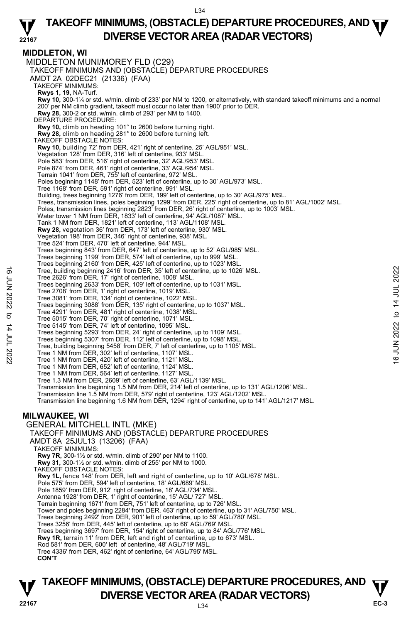**MIDDLETON, WI**  MIDDLETON MUNI/MOREY FLD (C29) TAKEOFF MINIMUMS AND (OBSTACLE) DEPARTURE PROCEDURES AMDT 2A 02DEC21 (21336) (FAA) TAKEOFF MINIMUMS: **Rwys 1, 19,** NA-Turf.<br>**Rwy 10,** 300-1¼ or std. w/min. climb of 233' per NM to 1200, or alternatively, with standard takeoff minimums and a normal 200' per NM climb gradient, takeoff must occur no later than 1900' prior to DER.  **Rwy 28,** 300-2 or std. w/min. climb of 293' per NM to 1400. DEPARTURE PROCEDURE: **Rwy 10,** climb on heading 101° to 2600 before turning right. **Rwy 28,** climb on heading 281° to 2600 before turning left. TAKEOFF OBSTACLE NOTES: **Rwy 10,** building 72' from DER, 421' right of centerline, 25' AGL/951' MSL. Vegetation 128' from DER, 316' left of centerline, 933' MSL. Pole 583' from DER, 516' right of centerline, 32' AGL/953' MSL. Pole 874' from DER, 461' right of centerline, 33' AGL/954' MSL. Terrain 1041' from DER, 755' left of centerline, 972' MSL. Poles beginning 1148' from DER, 523' left of centerline, up to 30' AGL/973' MSL. Tree 1168' from DER, 591' right of centerline, 991' MSL. Building, trees beginning 1276' from DER, 199' left of centerline, up to 30' AGL/975' MSL. Trees, transmission lines, poles beginning 1299' from DER, 225' right of centerline, up to 81' AGL/1002' MSL. Poles, transmission lines beginning 2823' from DER, 26' right of centerline, up to 1003' MSL. Water tower 1 NM from DER, 1833' left of centerline, 94' AGL/1087' MSL. Tank 1 NM from DER, 1821' left of centerline, 113' AGL/1108' MSL. **Rwy 28,** vegetation 36' from DER, 173' left of centerline, 930' MSL. Vegetation 198' from DER, 346' right of centerline, 938' MSL. Tree 524' from DER, 470' left of centerline, 944' MSL. Trees beginning 843' from DER, 647' left of centerline, up to 52' AGL/985' MSL. Trees beginning 1199' from DER, 574' left of centerline, up to 999' MSL. Trees beginning 2160' from DER, 425' left of centerline, up to 1023' MSL. Tree, building beginning 2416' from DER, 35' left of centerline, up to 1026' MSL. Tree 2626' from DER, 17' right of centerline, 1008' MSL. Trees beginning 2633' from DER, 109' left of centerline, up to 1031' MSL. Tree 2708' from DER, 1' right of centerline, 1019' MSL. Tree 3081' from DER, 134' right of centerline, 1022' MSL. Trees beginning 3088' from DER, 135' right of centerline, up to 1037' MSL.<br>Tree 4291' from DER, 481' right of centerline, 1038' MSL.<br>Tree 5015' from DER, 70' right of centerline, 1071' MSL. Tree 5145' from DER, 74' left of centerline, 1095' MSL. Trees beginning 5293' from DER, 24' right of centerline, up to 1109' MSL. Trees beginning 5307' from DER, 112' left of centerline, up to 1098' MSL. Tree, building beginning 5458' from DER, 7' left of centerline, up to 1105' MSL. Tree 1 NM from DER, 302' left of centerline, 1107' MSL. Tree 1 NM from DER, 420' left of centerline, 1121' MSL. Tree 1 NM from DER, 652' left of centerline, 1124' MSL. Tree 1 NM from DER, 564' left of centerline, 1127' MSL. Tree 1.3 NM from DER, 2609' left of centerline, 63' AGL/1139' MSL. Transmission line beginning 1.5 NM from DER, 214' left of centerline, up to 131' AGL/1206' MSL. Transmission line 1.5 NM from DER, 579' right of centerline, 123' AGL/1202' MSL. Transmission line beginning 1.6 NM from DER, 1294' right of centerline, up to 141' AGL/1217' MSL. **MILWAUKEE, WI**  GENERAL MITCHELL INTL (MKE) TAKEOFF MINIMUMS AND (OBSTACLE) DEPARTURE PROCEDURES AMDT 8A 25JUL13 (13206) (FAA) TAKEOFF MINIMUMS: **Rwy 7R,** 300-1½ or std. w/min. climb of 290' per NM to 1100. **Rwy 31,** 300-1½ or std. w/min. climb of 255' per NM to 1000. TAKEOFF OBSTACLE NOTES: **Rwy 1L,** fence 148' from DER, left and right of centerline, up to 10' AGL/678' MSL. Pole 575' from DER, 594' left of centerline, 18' AGL/689' MSL. Pole 1859' from DER, 912' right of centerline, 18' AGL/734' MSL. Antenna 1928' from DER, 1' right of centerline, 15' AGL/ 727' MSL. Terrain beginning 1671' from DER, 751' left of centerline, up to 726' MSL. Tower and poles beginning 2284' from DER, 463' right of centerline, up to 31' AGL/750' MSL. Trees beginning 2492' from DER, 901' left of centerline, up to 59' AGL/780' MSL. Trees 3256' from DER, 445' left of centerline, up to 68' AGL/769' MSL. Trees beginning 3697' from DER, 154' right of centerline, up to 84' AGL/776' MSL. **Rwy 1R,** terrain 11' from DER, left and right of centerline, up to 673' MSL. Rod 581' from DER, 600' left of centerline, 48' AGL/719' MSL. Tree 4336' from DER, 462' right of centerline, 64' AGL/795' MSL.  **CON'T** Tree, building beginning 2416' from DER, 35' left of centerline, up to 1026' MSL.<br>
Tree 2626' from DER, 17' right of centerline, 1008' MSL.<br>
Tree 2708' from DER, 11' right of centerline, up to 1031' MSL.<br>
Tree 3081' from D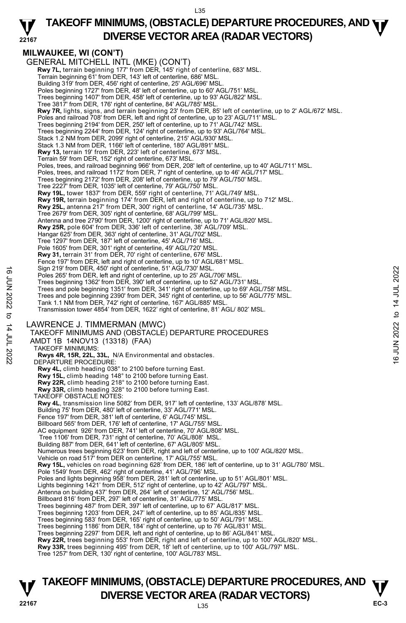#### **22167 TAKEOFF MINIMUMS, (OBSTACLE) DEPARTURE PROCEDURES, AND <b>WE**<br>DIVERSE VESTOR AREA (BARAR VESTORS) **DIVERSE VECTOR AREA (RADAR VECTORS)**

## **MILWAUKEE, WI (CON'T)**

GENERAL MITCHELL INTL (MKE) (CON'T)  **Rwy 7L,** terrain beginning 177' from DER, 145' right of centerline, 683' MSL. Terrain beginning 61' from DER, 143' left of centerline, 686' MSL. Building 319' from DER, 456' right of centerline, 25' AGL/696' MSL.<br>Poles beginning 1727' from DER, 48' left of centerline, up to 60' AGL/751' MSL.<br>Trees beginning 1407' from DER, 458' left of centerline, up to 93' AGL/822 Tree 3817' from DER, 176' right of centerline, 84' AGL/785' MSL.  **Rwy 7R,** lights, signs, and terrain beginning 23' from DER, 85' left of centerline, up to 2' AGL/672' MSL. Poles and railroad 708' from DER, left and right of centerline, up to 23' AGL/711' MSL. Trees beginning 2194' from DER, 250' left of centerline, up to 71' AGL/742' MSL. Trees beginning 2244' from DER, 124' right of centerline, up to 93' AGL/764' MSL. Stack 1.2 NM from DER, 2099' right of centerline, 215' AGL/930' MSL. Stack 1.3 NM from DER, 1166' left of centerline, 180' AGL/891' MSL. **Rwy 13,** terrain 19' from DER, 223' left of centerline, 673' MSL. Terrain 59' from DER, 152' right of centerline, 673' MSL. Poles, trees, and railroad beginning 966' from DER, 208' left of centerline, up to 40' AGL/711' MSL.<br>Poles, trees, and railroad 1172' from DER, 7' right of centerline, up to 46' AGL/717' MSL. Trees beginning 2172' from DER, 208' left of centerline, up to 79' AGL/750' MSL. Tree 2227' from DER, 1035' left of centerline, 79' AGL/750' MSL. **Rwy 19L,** tower 1837' from DER, 559' right of centerline, 71' AGL/749' MSL. **Rwy 19R,** terrain beginning 174' from DER, left and right of centerline, up to 712' MSL. **Rwy 25L,** antenna 217' from DER, 300' right of centerline, 14' AGL/735' MSL. Tree 2679' from DER, 305' right of centerline, 68' AGL/799' MSL. Antenna and tree 2790' from DER, 1200' right of centerline, up to 71' AGL/820' MSL. **Rwy 25R,** pole 604' from DER, 336' left of centerline, 38' AGL/709' MSL. Hangar 625' from DER, 363' right of centerline, 31' AGL/702' MSL. Tree 1297' from DER, 187' left of centerline, 45' AGL/716' MSL. Pole 1605' from DER, 301' right of centerline, 49' AGL/720' MSL. **Rwy 31,** terrain 31' from DER, 70' right of centerline, 676' MSL. Fence 197' from DER, left and right of centerline, up to 10' AGL/681' MSL. Sign 219' from DER, 450' right of centerline, 51' AGL/730' MSL. Poles 265' from DER, left and right of centerline, up to 25' AGL/706' MSL. Trees beginning 1362' from DER, 390' left of centerline, up to 52' AGL/731' MSL.<br>Trees and pole beginning 1351' from DER, 341' right of centerline, up to 69' AGL/758' MSL. Trees and pole beginning 2390' from DER, 345' right of centerline, up to 56' AGL/775' MSL. Tank 1.1 NM from DER, 742' right of centerline, 167' AGL/885' MSL. Transmission tower 4854' from DER, 1622' right of centerline, 81' AGL/ 802' MSL. LAWRENCE J. TIMMERMAN (MWC) TAKEOFF MINIMUMS AND (OBSTACLE) DEPARTURE PROCEDURES AMDT 1B 14NOV13 (13318) (FAA) TAKEOFF MINIMUMS: **Rwys 4R, 15R, 22L, 33L,** N/A Environmental and obstacles. DEPARTURE PROCEDURE: **Rwy 4L,** climb heading 038° to 2100 before turning East. **Rwy 15L,** climb heading 148° to 2100 before turning East. **Rwy 22R,** climb heading 218° to 2100 before turning East. **Rwy 33R,** climb heading 328° to 2100 before turning East. TAKEOFF OBSTACLE NOTES: **Rwy 4L**, transmission line 5082' from DER, 917' left of centerline, 133' AGL/878' MSL. Building 75' from DER, 480' left of centerline, 33' AGL/771' MSL. Fence 197' from DER, 381' left of centerline, 6' AGL/745' MSL. Billboard 565' from DER, 176' left of centerline, 17' AGL/755' MSL. AC equipment 926' from DER, 741' left of centerline, 70' AGL/808' MSL. Tree 1106' from DER, 731' right of centerline, 70' AGL/808' MSL. Building 887' from DER, 641' left of centerline, 67' AGL/805' MSL. Numerous trees beginning 623' from DER, right and left of centerline, up to 100' AGL/820' MSL. Vehicle on road 517' from DER on centerline, 17' AGL/755' MSL. **Rwy 15L,** vehicles on road beginning 628' from DER, 186' left of centerline, up to 31' AGL/780' MSL. Pole 1549' from DER, 462' right of centerline, 41' AGL/796' MSL. Poles and lights beginning 958' from DER, 281' left of centerline, up to 51' AGL/801' MSL. Lights beginning 1421' from DER, 512' right of centerline, up to 42' AGL/797' MSL. Antenna on building 437' from DER, 264' left of centerline, 12' AGL/756' MSL. Billboard 816' from DER, 297' left of centerline, 31' AGL/775' MSL. Trees beginning 487' from DER, 397' left of centerline, up to 67' AGL/817' MSL. Trees beginning 1203' from DER, 247' left of centerline, up to 85' AGL/835' MSL. Trees beginning 583' from DER, 165' right of centerline, up to 50' AGL/791' MSL. Trees beginning 1186' from DER, 184' right of centerline, up to 76' AGL/831' MSL. Trees beginning 2297' from DER, left and right of centerline, up to 86' AGL/841' MSL. **Rwy 22R,** trees beginning 553' from DER, right and left of centerline, up to 100' AGL/820' MSL. **Rwy 33R,** trees beginning 495' from DER, 18' left of centerline, up to 100' AGL/797' MSL. Tree 1257' from DER, 130' right of centerline, 100' AGL/783' MSL. 3 Sign 219 Trom DER, 450 "nght of centerline, by 16 QL/730" MSL.<br>
Trees beginning 1362' from DER, 390' left of centerline, up to 25' AGL/706' MSL.<br>
Trees and pole beginning 1351' from DER, 341' right of centerline, up t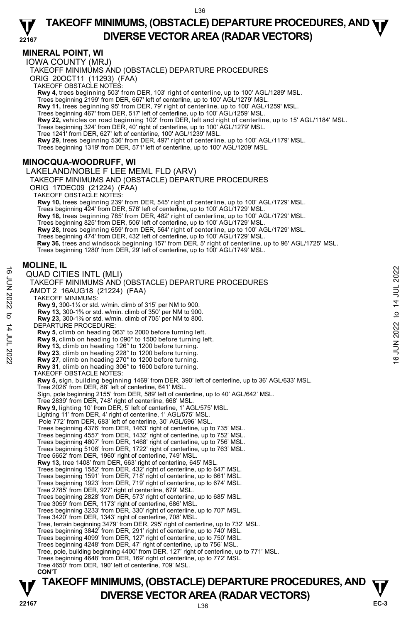### **MINERAL POINT, WI**

IOWA COUNTY (MRJ)

TAKEOFF MINIMUMS AND (OBSTACLE) DEPARTURE PROCEDURES

ORIG 20OCT11 (11293) (FAA)

TAKEOFF OBSTACLE NOTES:

**Rwy 4,** trees beginning 503' from DER, 103' right of centerline, up to 100' AGL/1289' MSL.

Trees beginning 2199' from DER, 667' left of centerline, up to 100' AGL/1279' MSL.

**Rwy 11,** trees beginning 95' from DER, 79' right of centerline, up to 100' AGL/1259' MSL.

Trees beginning 467' from DER, 517' left of centerline, up to 100' AGL/1259' MSL.

**Rwy 22,** vehicles on road beginning 102' from DER, left and right of centerline, up to 15' AGL/1184' MSL.<br>Trees beginning 324' from DER, 40' right of centerline, up to 100' AGL/1279' MSL.

Tree 1241' from DER, 627' left of centerline, 100' AGL/1239' MSL.

**Rwy 29,** trees beginning 536' from DER, 497' right of centerline, up to 100' AGL/1179' MSL.

Trees beginning 1319' from DER, 571' left of centerline, up to 100' AGL/1209' MSL.

## **MINOCQUA-WOODRUFF, WI**

LAKELAND/NOBLE F LEE MEML FLD (ARV) TAKEOFF MINIMUMS AND (OBSTACLE) DEPARTURE PROCEDURES ORIG 17DEC09 (21224) (FAA) TAKEOFF OBSTACLE NOTES: **Rwy 10,** trees beginning 239' from DER, 545' right of centerline, up to 100' AGL/1729' MSL. Trees beginning 424' from DER, 576' left of centerline, up to 100' AGL/1729' MSL. **Rwy 18,** trees beginning 785' from DER, 482' right of centerline, up to 100' AGL/1729' MSL. Trees beginning 825' from DER, 506' left of centerline, up to 100' AGL/1729' MSL. **Rwy 28,** trees beginning 659' from DER, 564' right of centerline, up to 100' AGL/1729' MSL. Trees beginning 474' from DER, 432' left of centerline, up to 100' AGL/1729' MSL.  **Rwy 36,** trees and windsock beginning 157' from DER, 5' right of centerline, up to 96' AGL/1725' MSL. Trees beginning 1280' from DER, 29' left of centerline, up to 100' AGL/1749' MSL. TAKEOFF MINIMUMS AND (OBSTACLE) DEPARTURE PROCEDURES AMDT 2 16AUG18 (21224) (FAA) TAKEOFF MINIMUMS: **Rwy 9,** 300-1¼ or std. w/min. climb of 315' per NM to 900.<br>**Rwy 13,** 300-1⅓ or std. w/min. climb of 350' per NM to 900.<br>**Rwy 23,** 300-1℅ or std. w/min. climb of 705' per NM to 800. DEPARTURE PROCEDURE: **Rwy 5**, climb on heading 063° to 2000 before turning left. **Rwy 9,** climb on heading to 090° to 1500 before turning left. **Rwy 13,** climb on heading 126° to 1200 before turning. **Rwy 23**, climb on heading 228° to 1200 before turning. **Rwy 27**, climb on heading 270° to 1200 before turning. **Rwy 31**, climb on heading 306° to 1600 before turning. TAKEOFF OBSTACLE NOTES: **Rwy 5,** sign, building beginning 1469' from DER, 390' left of centerline, up to 36' AGL/633' MSL. Tree 2026' from DER, 88' left of centerline, 641' MSL. Sign, pole beginning 2155' from DER, 589' left of centerline, up to 40' AGL/642' MSL. Tree 2839' from DER, 748' right of centerline, 668' MSL. **Rwy 9,** lighting 10' from DER, 5' left of centerline, 1' AGL/575' MSL. Lighting 11' from DER, 4' right of centerline, 1' AGL/575' MSL. Pole 772' from DER, 683' left of centerline, 30' AGL/596' MSL. Trees beginning 4376' from DER, 1463' right of centerline, up to 735' MSL. Trees beginning 4557' from DER, 1432' right of centerline, up to 752' MSL. Trees beginning 4807' from DER, 1468' right of centerline, up to 756' MSL. Trees beginning 5106' from DER, 1722' right of centerline, up to 763' MSL. Tree 5652' from DER, 1960' right of centerline, 749' MSL. **Rwy 13,** tree 1408' from DER, 663' right of centerline, 645' MSL. Trees beginning 1582' from DER, 432' right of centerline, up to 647' MSL. Trees beginning 1591' from DER, 718' right of centerline, up to 661' MSL. Trees beginning 1923' from DER, 719' right of centerline, up to 674' MSL. Tree 2785' from DER, 927' right of centerline, 679' MSL. Trees beginning 2828' from DER, 573' right of centerline, up to 685' MSL. Tree 3059' from DER, 1173' right of centerline, 686' MSL. Trees beginning 3233' from DER, 330' right of centerline, up to 707' MSL. Tree 3420' from DER, 1343' right of centerline, 708' MSL. Tree, terrain beginning 3479' from DER, 295' right of centerline, up to 732' MSL. Trees beginning 3842' from DER, 291' right of centerline, up to 740' MSL. Trees beginning 4099' from DER, 127' right of centerline, up to 750' MSL. Trees beginning 4248' from DER, 47' right of centerline, up to 756' MSL. Tree, pole, building beginning 4400' from DER, 127' right of centerline, up to 771' MSL. Trees beginning 4648' from DER, 169' right of centerline, up to 772' MSL. Tree 4650' from DER, 190' left of centerline, 709' MSL.

#### **MOLINE, IL**

QUAD CITIES INTL (MLI)  **CON'T**  16<br>  $\frac{1}{2}$  TAKEOFF MINIMUMS AND (OBSTACLE) DEPARTURE PROCEDURES<br>
TAKEOFF MINIMUMS (12224) (FAA)<br>
TAKEOFF MINIMUMS:<br>
TAKEOFF MINIMUMS:<br>
TAKEOFF MINIMUMS:<br>
TAKEOFF MINIMUMS:<br>
TAKEOFF MINIMUMS:<br>
TAKEOFF MINIMUMS:<br>
TAKEO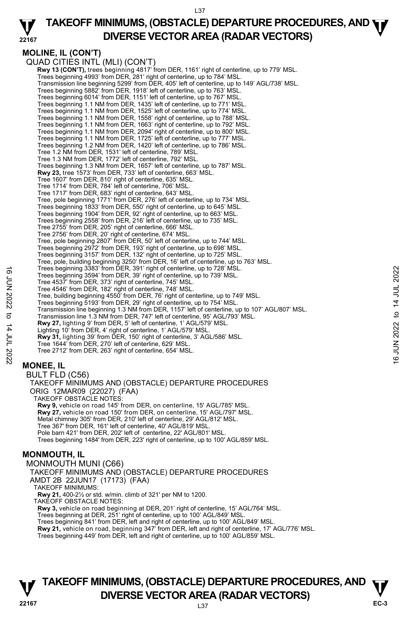#### **22167 TAKEOFF MINIMUMS, (OBSTACLE) DEPARTURE PROCEDURES, AND <b>WE**<br>DIVERSE VESTOR AREA (BARAR VESTORS) **DIVERSE VECTOR AREA (RADAR VECTORS)**

## **MOLINE, IL (CON'T)**

QUAD CITIES INTL (MLI) (CON'T) **Rwy 13 (CON'T),** trees beginning 4817' from DER, 1161' right of centerline, up to 779' MSL.<br>Trees beginning 4993' from DER, 281' right of centerline, up to 784' MSL. Transmission line beginning 5299' from DER, 405' left of centerline, up to 149' AGL/738' MSL. Trees beginning 5882' from DER, 1918' left of centerline, up to 763' MSL. Trees beginning 6014' from DER, 1151' left of centerline, up to 767' MSL. Trees beginning 1.1 NM from DER, 1435' left of centerline, up to 771' MSL. Trees beginning 1.1 NM from DER, 1525' left of centerline, up to 774' MSL. Trees beginning 1.1 NM from DER, 1558' right of centerline, up to 788' MSL. Trees beginning 1.1 NM from DER, 1663' right of centerline, up to 792' MSL. Trees beginning 1.1 NM from DER, 2094' right of centerline, up to 800' MSL. Trees beginning 1.1 NM from DER, 1725' left of centerline, up to 777' MSL. Trees beginning 1.2 NM from DER, 1420' left of centerline, up to 786' MSL. Tree 1.2 NM from DER, 1531' left of centerline, 789' MSL. Tree 1.3 NM from DER, 1772' left of centerline, 792' MSL. Trees beginning 1.3 NM from DER, 1657' left of centerline, up to 787' MSL. **Rwy 23,** tree 1573' from DER, 733' left of centerline, 663' MSL. Tree 1607' from DER, 810' right of centerline, 635' MSL. Tree 1714' from DER, 784' left of centerline, 706' MSL. Tree 1717' from DER, 683' right of centerline, 643' MSL. Tree, pole beginning 1771' from DER, 276' left of centerline, up to 734' MSL. Trees beginning 1833' from DER, 550' right of centerline, up to 645' MSL. Trees beginning 1904' from DER, 92' right of centerline, up to 663' MSL. Trees beginning 2558' from DER, 216' left of centerline, up to 735' MSL. Tree 2755' from DER, 205' right of centerline, 666' MSL. Tree 2756' from DER, 20' right of centerline, 674' MSL. Tree, pole beginning 2807' from DER, 50' left of centerline, up to 744' MSL. Trees beginning 2972' from DER, 193' right of centerline, up to 698' MSL. Trees beginning 3157' from DER, 132' right of centerline, up to 725' MSL. Tree, pole, building beginning 3250' from DER, 16' left of centerline, up to 763' MSL. Trees beginning 3383' from DER, 391' right of centerline, up to 728' MSL. Trees beginning 3594' from DER, 39' right of centerline, up to 739' MSL. Tree 4537' from DER, 373' right of centerline, 745' MSL. Tree 4546' from DER, 182' right of centerline, 748' MSL. Tree, building beginning 4550' from DER, 76' right of centerline, up to 749' MSL. Trees beginning 5193' from DER, 29' right of centerline, up to 754' MSL. Transmission line beginning 1.3 NM from DER, 1157' left of centerline, up to 107' AGL/807' MSL. Transmission line 1.3 NM from DER, 747' left of centerline, 95' AGL/793' MSL. **Rwy 27,** lighting 9' from DER, 5' left of centerline, 1' AGL/579' MSL. Lighting 10' from DER, 4' right of centerline, 1' AGL/579' MSL. **Rwy 31,** lighting 39' from DER, 150' right of centerline, 3' AGL/586' MSL. Tree 1644' from DER, 270' left of centerline, 629' MSL. Tree 2712' from DER, 263' right of centerline, 654' MSL. **MONEE, IL**  BULT FLD (C56) TAKEOFF MINIMUMS AND (OBSTACLE) DEPARTURE PROCEDURES ORIG 12MAR09 (22027) (FAA) TAKEOFF OBSTACLE NOTES: **Rwy 9,** vehicle on road 145' from DER, on centerline, 15' AGL/785' MSL. **Rwy 27,** vehicle on road 150' from DER, on centerline, 15' AGL/797' MSL. Metal chimney 305' from DER, 210' left of centerline, 29' AGL/812' MSL. Tree 367' from DER, 161' left of centerline, 40' AGL/819' MSL. Pole barn 421' from DER, 202' left of centerline, 22' AGL/801' MSL. Trees beginning 1484' from DER, 223' right of centerline, up to 100' AGL/859' MSL. **MONMOUTH, IL**  MONMOUTH MUNI (C66) TAKEOFF MINIMUMS AND (OBSTACLE) DEPARTURE PROCEDURES AMDT 2B 22JUN17 (17173) (FAA) TAKEOFF MINIMUMS: **Rwy 21,** 400-2½ or std. w/min. climb of 321' per NM to 1200. TAKEOFF OBSTACLE NOTES: **Rwy 3,** vehicle on road beginning at DER, 201' right of centerline, 15' AGL/764' MSL. Trees beginning at DER, 251' right of centerline, up to 100' AGL/849' MSL. Trees beginning 841' from DER, left and right of centerline, up to 100' AGL/849' MSL. Trees beginning 3393" from DER, 39" right of centerline, up to 739' MSL.<br>
Tree 4537' from DER, 373' right of centerline, ap to 739' MSL.<br>
Tree 4537' from DER, 373' right of centerline, 745' MSL.<br>
Tree 4546' from DER, 182'

**Rwy 21,** vehicle on road, beginning 347' from DER, left and right of centerline, 17' AGL/776' MSL.

Trees beginning 449' from DER, left and right of centerline, up to 100' AGL/859' MSL.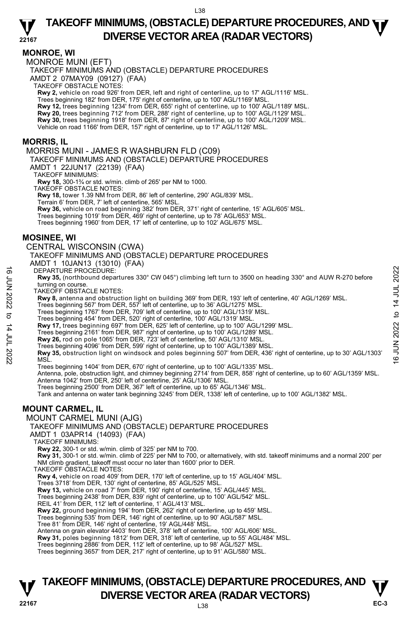#### **MONROE, WI**

MONROE MUNI (EFT)

TAKEOFF MINIMUMS AND (OBSTACLE) DEPARTURE PROCEDURES

AMDT 2 07MAY09 (09127) (FAA)

TAKEOFF OBSTACLE NOTES:

**Rwy 2,** vehicle on road 926' from DER, left and right of centerline, up to 17' AGL/1116' MSL.

Trees beginning 182' from DER, 175' right of centerline, up to 100' AGL/1169' MSL.<br>**Rwy 12,** trees beginning 1234' from DER, 655' right of centerline, up to 100' AGL/1189' MSL.

**Rwy 20,** trees beginning 712' from DER, 288' right of centerline, up to 100' AGL/1129' MSL.

**Rwy 30,** trees beginning 1918' from DER, 87' right of centerline, up to 100' AGL/1209' MSL.<br>Vehicle on road 1166' from DER, 157' right of centerline, up to 17' AGL/1126' MSL.

#### **MORRIS, IL**

MORRIS MUNI - JAMES R WASHBURN FLD (C09)

TAKEOFF MINIMUMS AND (OBSTACLE) DEPARTURE PROCEDURES

AMDT 1 22JUN17 (22139) (FAA)

TAKEOFF MINIMUMS:

**Rwy 18,** 300-1¾ or std. w/min. climb of 265' per NM to 1000.

TAKEOFF OBSTACLE NOTES:

**Rwy 18,** tower 1.39 NM from DER, 86' left of centerline, 290' AGL/839' MSL. Terrain 6' from DER, 7' left of centerline, 565' MSL.

**Rwy 36,** vehicle on road beginning 382' from DER, 371' right of centerline, 15' AGL/605' MSL.<br>Trees beginning 1019' from DER, 469' right of centerline, up to 78' AGL/653' MSL.

Trees beginning 1960' from DER, 17' left of centerline, up to 102' AGL/675' MSL.

#### **MOSINEE, WI**

CENTRAL WISCONSIN (CWA)

TAKEOFF MINIMUMS AND (OBSTACLE) DEPARTURE PROCEDURES

AMDT 1 10JAN13 (13010) (FAA)

DEPARTURE PROCEDURE:

**Rwy 35,** (northbound departures 330° CW 045°) climbing left turn to 3500 on heading 330° and AUW R-270 before turning on course

TAKEOFF OBSTACLE NOTES:

**Rwy 8,** antenna and obstruction light on building 369' from DER, 193' left of centerline, 40' AGL/1269' MSL.

Trees beginning 567' from DER, 557' left of centerline, up to 36' AGL/1275' MSL

Trees beginning 1767' from DER, 709' left of centerline, up to 100' AGL/1319' MSL.

Trees beginning 454' from DER, 520' right of centerline, 100' AGL/1319' MSL.

**Rwy 17,** trees beginning 697' from DER, 625' left of centerline, up to 100' AGL/1299' MSL.

Trees beginning 2161' from DER, 987' right of centerline, up to 100' AGL/1289' MSL.

**Rwy 26,** rod on pole 1065' from DER, 723' left of centerline, 50' AGL/1310' MSL.

Trees beginning 4096' from DER, 599' right of centerline, up to 100' AGL/1389' MSL.

**Rwy 35,** obstruction light on windsock and poles beginning 507' from DER, 436' right of centerline, up to 30' AGL/1303' MSL. DEPARTURE PROCEDURE:<br> **EVALUATION** departures 330° CW 045°) climbing left turn to 3500 on heading 330° and AUW R-270 before<br>
turning on course.<br>
TAKEOFF OBSTACLE NOTES:<br> **THAKEOFF OBSTACLE NOTES:**<br> **RWS**, antenna and betw

Trees beginning 1404' from DER, 670' right of centerline, up to 100' AGL/1335' MSL.

Antenna, pole, obstruction light, and chimney beginning 2714' from DER, 858' right of centerline, up to 60' AGL/1359' MSL. Antenna 1042' from DER, 250' left of centerline, 25' AGL/1306' MSL.

Trees beginning 2500' from DER, 367' left of centerline, up to 65' AGL/1346' MSL.

Tank and antenna on water tank beginning 3245' from DER, 1338' left of centerline, up to 100' AGL/1382' MSL.

## **MOUNT CARMEL, IL**

MOUNT CARMEL MUNI (AJG)

TAKEOFF MINIMUMS AND (OBSTACLE) DEPARTURE PROCEDURES

AMDT 1 03APR14 (14093) (FAA)

TAKEOFF MINIMUMS:

**Rwy 22,** 300-1 or std. w/min. climb of 325' per NM to 700.

**Rwy 31,** 300-1 or std. w/min. climb of 225' per NM to 700, or alternatively, with std. takeoff minimums and a normal 200' per NM climb gradient, takeoff must occur no later than 1600' prior to DER.

TAKEOFF OBSTACLE NOTES:

**Rwy 4,** vehicle on road 409' from DER, 170' left of centerline, up to 15' AGL/404' MSL.

Trees 3718' from DER, 130' right of centerline, 85' AGL/525' MSL.

**Rwy 13,** vehicle on road 7' from DER, 190' right of centerline, 15' AGL/445' MSL. Trees beginning 2438' from DER, 839' right of centerline, up to 100' AGL/542' MSL.

REIL 41' from DER, 112' left of centerline, 1' AGL/413' MSL

**Rwy 22,** ground beginning 194' from DER, 262' right of centerline, up to 459' MSL.

Trees beginning 535' from DER, 146' right of centerline, up to 90' AGL/587' MSL.

Tree 81' from DER, 146' right of centerline, 19' AGL/448' MSL.

Antenna on grain elevator 4403' from DER, 378' left of centerline, 100' AGL/606' MSL.

**Rwy 31,** poles beginning 1812' from DER, 318' left of centerline, up to 55' AGL/484' MSL.

Trees beginning 2886' from DER, 112' left of centerline, up to 98' AGL/527' MSL. Trees beginning 3657' from DER, 217' right of centerline, up to 91' AGL/580' MSL.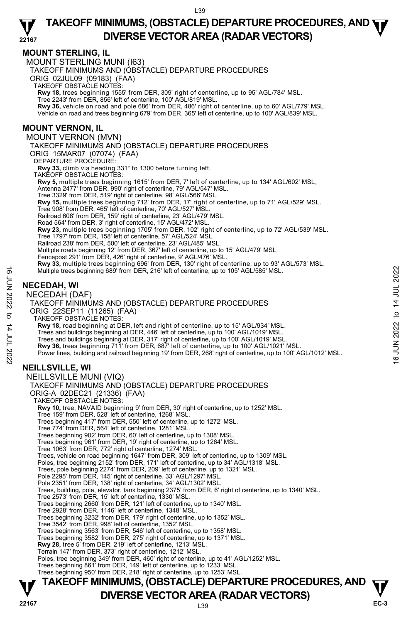## **MOUNT STERLING, IL**

MOUNT STERLING MUNI (I63)

TAKEOFF MINIMUMS AND (OBSTACLE) DEPARTURE PROCEDURES

ORIG 02JUL09 (09183) (FAA)

TAKEOFF OBSTACLE NOTES:

**Rwy 18,** trees beginning 1555' from DER, 309' right of centerline, up to 95' AGL/784' MSL.

Tree 2243' from DER, 856' left of centerline, 100' AGL/819' MSL.

**Rwy 36,** vehicle on road and pole 686' from DER, 486' right of centerline, up to 60' AGL/779' MSL. Vehicle on road and trees beginning 679' from DER, 365' left of centerline, up to 100' AGL/839' MSL.

#### **MOUNT VERNON, IL**

MOUNT VERNON (MVN)

TAKEOFF MINIMUMS AND (OBSTACLE) DEPARTURE PROCEDURES ORIG 15MAR07 (07074) (FAA)

DEPARTURE PROCEDURE:

**Rwy 33,** climb via heading 331° to 1300 before turning left.

TAKEOFF OBSTACLE NOTES: **Rwy 5,** multiple trees beginning 1615' from DER, 7' left of centerline, up to 134' AGL/602' MSL,

Antenna 2477' from DER, 990' right of centerline, 79' AGL/547' MSL. Tree 3329' from DER, 519' right of centerline, 98' AGL/566' MSL.

**Rwy 15,** multiple trees beginning 712' from DER, 17' right of centerline, up to 71' AGL/529' MSL.

Tree 908' from DER, 465' left of centerline, 70' AGL/527' MSL.

Railroad 608' from DER, 159' right of centerline, 23' AGL/479' MSL.

Road 564' from DER, 3' right of centerline, 15' AGL/472' MSL.

**Rwy 23,** multiple trees beginning 1705' from DER, 102' right of centerline, up to 72' AGL/539' MSL.

Tree 1797' from DER, 158' left of centerline, 57' AGL/524' MSL. Railroad 238' from DER, 500' left of centerline, 23' AGL/485' MSL.

Multiple roads beginning 12' from DER, 367' left of centerline, up to 15' AGL/479' MSL.

Fencepost 291' from DER, 426' right of centerline, 9' AGL/476' MSL.

**Rwy 33,** multiple trees beginning 696' from DER, 130' right of centerline, up to 93' AGL/573' MSL.

Multiple trees beginning 689' from DER, 216' left of centerline, up to 105' AGL/585' MSL.

#### **NECEDAH, WI**

NECEDAH (DAF)

TAKEOFF MINIMUMS AND (OBSTACLE) DEPARTURE PROCEDURES ORIG 22SEP11 (11265) (FAA) TAKEOFF OBSTACLE NOTES: **Rwy 18,** road beginning at DER, left and right of centerline, up to 15' AGL/934' MSL. Trees and buildings beginning at DER, 446' left of centerline, up to 100' AGL/1019' MSL. Trees and buildings beginning at DER, 317' right of centerline, up to 100' AGL/1019' MSL. **Rwy 36,** trees beginning 711' from DER, 687' left of centerline, up to 100' AGL/1021' MSL. Power lines, building and railroad beginning 19' from DER, 268' right of centerline, up to 100' AGL/1012' MSL. **NEILLSVILLE, WI**  NEILLSVILLE MUNI (VIQ) TAKEOFF MINIMUMS AND (OBSTACLE) DEPARTURE PROCEDURES ORIG-A 02DEC21 (21336) (FAA) TAKEOFF OBSTACLE NOTES: **Rwy 10,** tree, NAVAID beginning 9' from DER, 30' right of centerline, up to 1252' MSL. Tree 159' from DER, 528' left of centerline, 1268' MSL. Trees beginning 417' from DER, 550' left of centerline, up to 1272' MSL. Tree 774' from DER, 564' left of centerline, 1281' MSL. Trees beginning 902' from DER, 60' left of centerline, up to 1308' MSL. Trees beginning 961' from DER, 19' right of centerline, up to 1264' MSL. Tree 1063' from DER, 772' right of centerline, 1274' MSL. Trees, vehicle on road beginning 1647' from DER, 309' left of centerline, up to 1309' MSL. Poles, tree beginning 2152' from DER, 171' left of centerline, up to 34' AGL/1318' MSL. Trees, pole beginning 2274' from DER, 209' left of centerline, up to 1321' MSL. Pole 2295' from DER, 145' right of centerline, 33' AGL/1297' MSL. Pole 2351' from DER, 138' right of centerline, 34' AGL/1302' MSL. Trees, building, pole, elevator, tank beginning 2375' from DER, 6' right of centerline, up to 1340' MSL. Tree 2573' from DER, 15' left of centerline, 1330' MSL. Trees beginning 2660' from DER, 121' left of centerline, up to 1340' MSL. Tree 2928' from DER, 1146' left of centerline, 1348' MSL. Trees beginning 3232' from DER, 179' right of centerline, up to 1352' MSL. Tree 3542' from DER, 998' left of centerline, 1352' MSL. Multiple trees beginning 689' from DER, 216' left of centerline, up to 105' AGL/585' MSL.<br>
THE CEDAH, WI<br>
NECEDAH (DAF)<br>
TAKEOFF MINIMUMS AND (OBSTACLE) DEPARTURE PROCEDURES<br>
ORIG 222SEP11 (11265) (FAA)<br>
TAKEOFF MINIMUMS

Trees beginning 3563' from DER, 546' left of centerline, up to 1358' MSL.

Trees beginning 3582' from DER, 275' right of centerline, up to 1371' MSL. **Rwy 28,** tree 5' from DER, 219' left of centerline, 1213' MSL.

Terrain 147' from DER, 373' right of centerline, 1212' MSL.

Poles, tree beginning 349' from DER, 460' right of centerline, up to 41' AGL/1252' MSL.

Trees beginning 861' from DER, 149' left of centerline, up to 1233' MSL. Trees beginning 950' from DER, 218' right of centerline, up to 1253' MSL.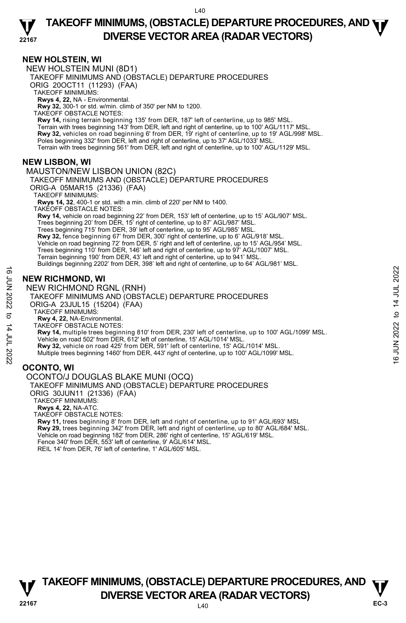#### **NEW HOLSTEIN, WI**

NEW HOLSTEIN MUNI (8D1)

TAKEOFF MINIMUMS AND (OBSTACLE) DEPARTURE PROCEDURES

ORIG 20OCT11 (11293) (FAA)

TAKEOFF MINIMUMS:

**Rwys 4, 22,** NA - Environmental. **Rwy 32,** 300-1 or std. w/min. climb of 350' per NM to 1200.

TAKEOFF OBSTACLE NOTES:

**Rwy 14,** rising terrain beginning 135' from DER, 187' left of centerline, up to 985' MSL.<br>Terrain with trees beginning 143' from DER, left and right of centerline, up to 100' AGL/1117' MSL. **Rwy 32,** vehicles on road beginning 6' from DER, 19' right of centerline, up to 19' AGL/998' MSL. Poles beginning 332' from DER, left and right of centerline, up to 37' AGL/1033' MSL.<br>Terrain with trees beginning 561' from DER, left and right of centerline, up to 100' AGL/1129' MSL.

#### **NEW LISBON, WI**

MAUSTON/NEW LISBON UNION (82C) TAKEOFF MINIMUMS AND (OBSTACLE) DEPARTURE PROCEDURES ORIG-A 05MAR15 (21336) (FAA) TAKEOFF MINIMUMS: **Rwys 14, 32**, 400-1 or std. with a min. climb of 220' per NM to 1400. TAKEOFF OBSTACLE NOTES: **Rwy 14,** vehicle on road beginning 22' from DER, 153' left of centerline, up to 15' AGL/907' MSL. Trees beginning 20' from DER, 15' right of centerline, up to 87' AGL/987' MSL. Trees beginning 715' from DER, 39' left of centerline, up to 95' AGL/985' MSL. **Rwy 32,** fence beginning 67' from DER, 300' right of centerline, up to 6' AGL/918' MSL.<br>Vehicle on road beginning 72' from DER, 5' right and left of centerline, up to 15' AGL/954' MSL. Trees beginning 110' from DER, 146' left and right of centerline, up to 97' AGL/1007' MSL. Terrain beginning 190' from DER, 43' left and right of centerline, up to 941' MSL. Buildings beginning 2202' from DER, 398' left and right of centerline, up to 64' AGL/981' MSL.

## **NEW RICHMOND, WI**

NEW RICHMOND RGNL (RNH)

TAKEOFF MINIMUMS AND (OBSTACLE) DEPARTURE PROCEDURES ORIG-A 23JUL15 (15204) (FAA)

TAKEOFF MINIMUMS:

- **Rwy 4, 22,** NA-Environmental.
- TAKEOFF OBSTACLE NOTES:

**Rwy 14,** multiple trees beginning 810' from DER, 230' left of centerline, up to 100' AGL/1099' MSL. Vehicle on road 502' from DER, 612' left of centerline, 15' AGL/1014' MSL. **NEW RICHMOND, WI**<br>  $\frac{1}{2}$  NEW RICHMOND RGNL (RNH)<br>
TAKEOFF MINIMUMS AND (OBSTACLE) DEPARTURE PROCEDURES<br>
ORIG-A 23JUL15 (15204) (FAA)<br>
TAKEOFF MINIMUMS:<br>
TAKEOFF MINIMUMS:<br>
TAKEOFF OBSTACLE NOTES:<br> **EVALUATION**: TAKE

**Rwy 32,** vehicle on road 425' from DER, 591' left of centerline, 15' AGL/1014' MSL.

Multiple trees beginning 1460' from DER, 443' right of centerline, up to 100' AGL/1099' MSL.

## **OCONTO, WI**

OCONTO/J DOUGLAS BLAKE MUNI (OCQ)

TAKEOFF MINIMUMS AND (OBSTACLE) DEPARTURE PROCEDURES

ORIG 30JUN11 (21336) (FAA)

TAKEOFF MINIMUMS:

**Rwys 4, 22,** NA-ATC.

TAKEOFF OBSTACLE NOTES:

**Rwy 11,** trees beginning 8' from DER, left and right of centerline, up to 91' AGL/693' MSL<br>**Rwy 29,** trees beginning 342' from DER, left and right of centerline, up to 80' AGL/684' MSL.<br>Vehicle on road beginning 182' from Fence 340' from DER, 553' left of centerline, 9' AGL/614' MSL. REIL 14' from DER, 76' left of centerline, 1' AGL/605' MSL.

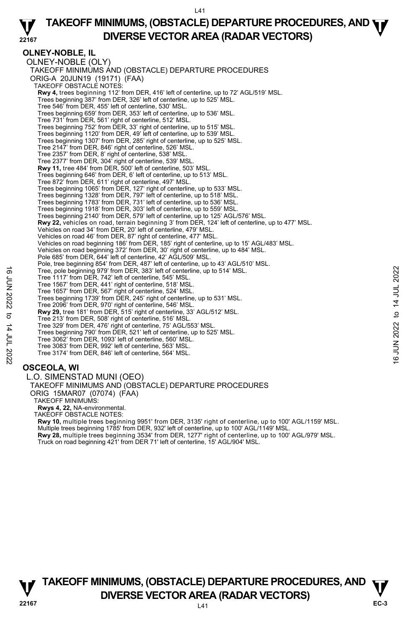**22167 TAKEOFF MINIMUMS, (OBSTACLE) DEPARTURE PROCEDURES, AND <b>WE**<br>DIVERSE VESTOR AREA (BARAR VESTORS) **DIVERSE VECTOR AREA (RADAR VECTORS)** 

#### **OLNEY-NOBLE, IL**  OLNEY-NOBLE (OLY) TAKEOFF MINIMUMS AND (OBSTACLE) DEPARTURE PROCEDURES ORIG-A 20JUN19 (19171) (FAA) TAKEOFF OBSTACLE NOTES: **Rwy 4,** trees beginning 112' from DER, 416' left of centerline, up to 72' AGL/519' MSL.<br>Trees beginning 387' from DER, 326' left of centerline, up to 525' MSL. Tree 546' from DER, 455' left of centerline, 530' MSL. Trees beginning 659' from DER, 353' left of centerline, up to 536' MSL. Tree 731' from DER, 561' right of centerline, 512' MSL. Trees beginning 752' from DER, 33' right of centerline, up to 515' MSL. Trees beginning 1120' from DER, 49' left of centerline, up to 539' MSL. Trees beginning 1307' from DER, 285' right of centerline, up to 525' MSL. Tree 2147' from DER, 846' right of centerline, 526' MSL. Tree 2357' from DER, 8' right of centerline, 538' MSL. Tree 2377' from DER, 304' right of centerline, 539' MSI **Rwy 11,** tree 484' from DER, 500' left of centerline, 503' MSL. Trees beginning 646' from DER, 6' left of centerline, up to 513' MSL. Tree 872' from DER, 611' right of centerline, 497' MSL. Trees beginning 1065' from DER, 127' right of centerline, up to 533' MSL. Trees beginning 1328' from DER, 797' left of centerline, up to 518' MSL. Trees beginning 1783' from DER, 731' left of centerline, up to 536' MSL. Trees beginning 1918' from DER, 303' left of centerline, up to 559' MSL. Trees beginning 2140' from DER, 579' left of centerline, up to 125' AGL/576' MSL. **Rwy 22,** vehicles on road, terrain beginning 3' from DER, 124' left of centerline, up to 477' MSL. Vehicles on road 34' from DER, 20' left of centerline, 479' MSL. Vehicles on road 46' from DER, 87' right of centerline, 477' MSL. Vehicles on road beginning 186' from DER, 185' right of centerline, up to 15' AGL/483' MSL. Vehicles on road beginning 372' from DER, 30' right of centerline, up to 484' MSL. Pole 685' from DER, 644' left of centerline, 42' AGL/509' MSL. Pole, tree beginning 854' from DER, 487' left of centerline, up to 43' AGL/510' MSL. Tree, pole beginning 979' from DER, 383' left of centerline, up to 514' MSL. Tree 1117' from DER, 742' left of centerline, 545' MSL. Tree 1567' from DER, 441' right of centerline, 518' MSL. Tree 1657' from DER, 567' right of centerline, 524' MSL. Trees beginning 1739' from DER, 245' right of centerline, up to 531' MSL. Tree 2096' from DER, 970' right of centerline, 546' MSL. **Rwy 29,** tree 181' from DER, 515' right of centerline, 33' AGL/512' MSL. Tree 213' from DER, 508' right of centerline, 516' MSL. Tree 329' from DER, 476' right of centerline, 75' AGL/553' MSL. Trees beginning 790' from DER, 521' left of centerline, up to 525' MSL. Tree 3062' from DER, 1093' left of centerline, 560' MSL. Tree 3083' from DER, 992' left of centerline, 563' MSL. Tree 3174' from DER, 846' left of centerline, 564' MSL. **OSCEOLA, WI**  Tree, pole beginning 979' from DER, 383' left of centerline, up to 514' MSL.<br>
Tree 1157' from DER, 742' left of centerline, 518' MSL.<br>
Tree 1567' from DER, 441' right of centerline, 524' MSL.<br>
Tree beginning 1739' from th

L.O. SIMENSTAD MUNI (OEO) TAKEOFF MINIMUMS AND (OBSTACLE) DEPARTURE PROCEDURES ORIG 15MAR07 (07074) (FAA) TAKEOFF MINIMUMS: **Rwys 4, 22,** NA-environmental. TAKEOFF OBSTACLE NOTES: **Rwy 10,** multiple trees beginning 9951' from DER, 3135' right of centerline, up to 100' AGL/1159' MSL. Multiple trees beginning 1785' from DER, 932' left of centerline, up to 100' AGL/1149' MSL.<br>**Rwy 28,** multiple trees beginning 3534' from DER, 1277' right of centerline, up to 100' AGL/979' MSL.

Truck on road beginning 421' from DER 71' left of centerline, 15' AGL/904' MSL.

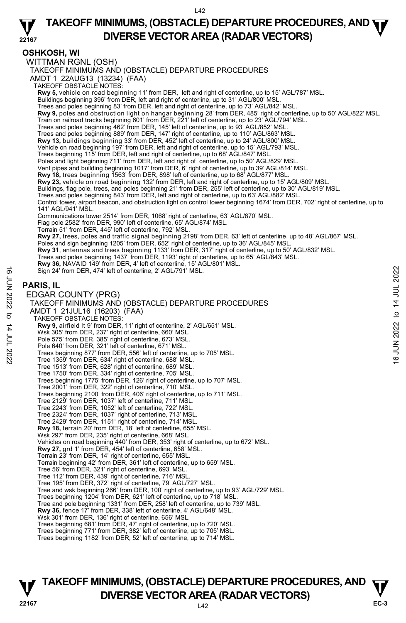#### **22167 TAKEOFF MINIMUMS, (OBSTACLE) DEPARTURE PROCEDURES, AND <b>WE**<br>DIVERSE VESTOR AREA (BARAR VESTORS) **DIVERSE VECTOR AREA (RADAR VECTORS)**

## **OSHKOSH, WI**

WITTMAN RGNL (OSH)

TAKEOFF MINIMUMS AND (OBSTACLE) DEPARTURE PROCEDURES

AMDT 1 22AUG13 (13234) (FAA) TAKEOFF OBSTACLE NOTES: **Rwy 5,** vehicle on road beginning 11' from DER, left and right of centerline, up to 15' AGL/787' MSL. <br>Buildings beginning 396' from DER, left and right of centerline, up to 31' AGL/800' MSL. Trees and poles beginning 83' from DER, left and right of centerline, up to 73' AGL/842' MSL. **Rwy 9,** poles and obstruction light on hangar beginning 28' from DER, 485' right of centerline, up to 50' AGL/822' MSL. Train on railroad tracks beginning 601' from DER, 221' left of centerline, up to 23' AGL/794' MSL.<br>Trees and poles beginning 462' from DER, 145' left of centerline, up to 93' AGL/852' MSL. Trees and poles beginning 889' from DER, 147' right of centerline, up to 110' AGL/863' MSL. **Rwy 13,** buildings beginning 33' from DER, 452' left of centerline, up to 24' AGL/800' MSL.<br>Vehicle on road beginning 197' from DER, left and right of centerline, up to 15' AGL/793' MSL. Trees beginning 115' from DER, left and right of centerline, up to 68' AGL/847' MSL. Poles and light beginning 711' from DER, left and right of centerline, up to 50' AGL/829' MSL. Vent pipes and building beginning 1017' from DER, 6' right of centerline, up to 39' AGL/814' MSL. **Rwy 18,** trees beginning 1563' from DER, 898' left of centerline, up to 68' AGL/877' MSL. **Rwy 23,** vehicle on road beginning 132' from DER, left and right of centerline, up to 15' AGL/809' MSL. Buildings, flag pole, trees, and poles beginning 21' from DER, 255' left of centerline, up to 30' AGL/819' MSL.<br>Trees and poles beginning 843' from DER, left and right of centerline, up to 63' AGL/882' MSL. Control tower, airport beacon, and obstruction light on control tower beginning 1674' from DER, 702' right of centerline, up to 141' AGL/941' MSL. Communications tower 2514' from DER, 1068' right of centerline, 63' AGL/870' MSL. Flag pole 2582' from DER, 990' left of centerline, 65' AGL/874' MSL. Terrain 51' from DER, 445' left of centerline, 792' MSL. **Rwy 27,** trees, poles and traffic signal beginning 2198' from DER, 63' left of centerline, up to 48' AGL/867' MSL.<br>Poles and sign beginning 1205' from DER, 652' right of centerline, up to 36' AGL/845' MSL. **Rwy 31**, antennas and trees beginning 1133' from DER, 317' right of centerline, up to 50' AGL/832' MSL. Trees and poles beginning 1437' from DER, 1193' right of centerline, up to 65' AGL/843' MSL.<br>**Rwy 36,** NAVAID 149' from DER, 4' left of centerline, 15' AGL/801' MSL. Sign 24' from DER, 474' left of centerline, 2' AGL/791' MSL. **PARIS, IL**  EDGAR COUNTY (PRG) TAKEOFF MINIMUMS AND (OBSTACLE) DEPARTURE PROCEDURES AMDT 1 21JUL16 (16203) (FAA) TAKEOFF OBSTACLE NOTES: **Rwy 9,** airfield lt 9' from DER, 11' right of centerline, 2' AGL/651' MSL. Wsk 305' from DER, 237' right of centerline, 660' MSL. Pole 575' from DER, 385' right of centerline, 673' MSL. Pole 640' from DER, 321' left of centerline, 671' MSL. Trees beginning 877' from DER, 556' left of centerline, up to 705' MSL. Tree 1359' from DER, 634' right of centerline, 688' MSL. Tree 1513' from DER, 628' right of centerline, 689' MSL. Tree 1750' from DER, 334' right of centerline, 705' MSL. Trees beginning 1775' from DER, 126' right of centerline, up to 707' MSL. Tree 2001' from DER, 322' right of centerline, 710' MSL. Trees beginning 2100' from DER, 406' right of centerline, up to 711' MSL. Tree 2129' from DER, 1037' left of centerline, 711' MSL. Tree 2243' from DER, 1052' left of centerline, 722' MSL. Tree 2324' from DER, 1037' right of centerline, 713' MSL. Tree 2429' from DER, 1151' right of centerline, 714' MSL. **Rwy 18,** terrain 20' from DER, 18' left of centerline, 655' MSL. Wsk 297' from DER, 235' right of centerline, 668' MSL. Vehicles on road beginning 440' from DER, 353' right of centerline, up to 672' MSL.<br>**Rwy 27,** grd 1' from DER, 454' left of centerline, 658' MSL. Terrain 23' from DER, 14' right of centerline, 655' MSL. Terrain beginning 42' from DER, 361' left of centerline, up to 659' MSL. Tree 56' from DER, 321' right of centerline, 693' MSL. Tree 112' from DER, 439' right of centerline, 716' MSL. Tree 195' from DER, 372' right of centerline, 79' AGL/727' MSL. Tree and wsk beginning 266' from DER, 100' right of centerline, up to 93' AGL/729' MSL. Trees beginning 1204' from DER, 621' left of centerline, up to 718' MSL. Tree and pole beginning 1331' from DER, 258' left of centerline, up to 739' MSL. **Rwy 36,** fence 17' from DER, 338' left of centerline, 4' AGL/648' MSL. Wsk 301' from DER, 136' right of centerline, 656' MSL. Trees beginning 681' from DER, 47' right of centerline, up to 720' MSL. Trees beginning 771' from DER, 382' left of centerline, up to 705' MSL. 5 Sign 24' from DER, 474' left of centerline, 2' AGL/791' MSL.<br>  $\frac{1}{2}$ <br> **PARIS, IL**<br>
EDGAR COUNTY (PRG)<br>
TAKEOFF MINIMUMS AND (OBSTACLE) DEPARTURE PROCEDURES<br>
AMDT 1 21JUL16 (16203) (FAA)<br>
TAKEOFF OBSTACLE NOTES:<br>
TAK

Trees beginning 1182' from DER, 52' left of centerline, up to 714' MSL.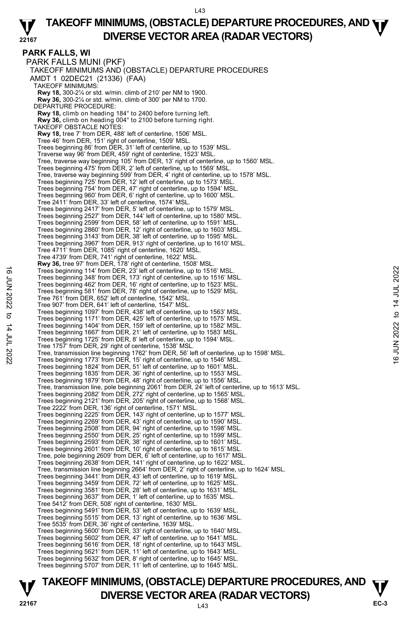#### **22167 TAKEOFF MINIMUMS, (OBSTACLE) DEPARTURE PROCEDURES, AND <b>WE**<br>DIVERSE VESTOR AREA (BARAR VESTORS) **DIVERSE VECTOR AREA (RADAR VECTORS)**

**PARK FALLS, WI**  PARK FALLS MUNI (PKF) TAKEOFF MINIMUMS AND (OBSTACLE) DEPARTURE PROCEDURES AMDT 1 02DEC21 (21336) (FAA) TAKEOFF MINIMUMS: **Rwy 18,** 300-2¼ or std. w/min. climb of 210' per NM to 1900. **Rwy 36,** 300-2¼ or std. w/min. climb of 300' per NM to 1700. DEPARTURE PROCEDURE: **Rwy 18,** climb on heading 184° to 2400 before turning left. **Rwy 36,** climb on heading 004° to 2100 before turning right. TAKEOFF OBSTACLE NOTES: **Rwy 18,** tree 7' from DER, 488' left of centerline, 1506' MSL. Tree 46' from DER, 151' right of centerline, 1509' MSL. Trees beginning 86' from DER, 31' left of centerline, up to 1539' MSL. Traverse way 96' from DER, 459' right of centerline, 1523' MSL. Tree, traverse way beginning 105' from DER, 13' right of centerline, up to 1560' MSL. Trees beginning 475' from DER, 2' left of centerline, up to 1569' MSL. Tree, traverse way beginning 599' from DER, 4' right of centerline, up to 1578' MSL. Trees beginning 725' from DER, 12' left of centerline, up to 1573' MSL. Trees beginning 754' from DER, 47' right of centerline, up to 1594' MSL. Trees beginning 960' from DER, 6' right of centerline, up to 1600' MSL. Tree 2411' from DER, 33' left of centerline, 1574' MSL. Trees beginning 2417' from DER, 5' left of centerline, up to 1579' MSL. Trees beginning 2527' from DER, 144' left of centerline, up to 1580' MSL. Trees beginning 2599' from DER, 58' left of centerline, up to 1591' MSL. Trees beginning 2860' from DER, 12' right of centerline, up to 1603' MSL. Trees beginning 3143' from DER, 38' left of centerline, up to 1595' MSL. Trees beginning 3967' from DER, 913' right of centerline, up to 1610' MSL. Tree 4711' from DER, 1085' right of centerline, 1620' MSL. Tree 4739' from DER, 741' right of centerline, 1622' MSL. **Rwy 36,** tree 97' from DER, 178' right of centerline, 1508' MSL. Trees beginning 114' from DER, 23' left of centerline, up to 1516' MSL. Trees beginning 348' from DER, 173' right of centerline, up to 1516' MSL. Trees beginning 462' from DER, 16' right of centerline, up to 1523' MSL. Trees beginning 581' from DER, 78' right of centerline, up to 1529' MSL. Tree 761' from DER, 652' left of centerline, 1542' MSL. Tree 907' from DER, 641' left of centerline, 1547' MSL. Trees beginning 1097' from DER, 438' left of centerline, up to 1563' MSL. Trees beginning 1171' from DER, 425' left of centerline, up to 1575' MSL. Trees beginning 1404' from DER, 159' left of centerline, up to 1582' MSL. Trees beginning 1667' from DER, 21' left of centerline, up to 1583' MSL. Trees beginning 1725' from DER, 8' left of centerline, up to 1594' MSL. Tree 1757' from DER, 29' right of centerline, 1538' MSL. Tree, transmission line beginning 1762' from DER, 56' left of centerline, up to 1598' MSL. Trees beginning 1773' from DER, 15' right of centerline, up to 1546' MSL. Trees beginning 1824' from DER, 51' left of centerline, up to 1601' MSL. Trees beginning 1835' from DER, 36' right of centerline, up to 1553' MSL. Trees beginning 1879' from DER, 48' right of centerline, up to 1556' MSL. Tree, transmission line, pole beginning 2061' from DER, 24' left of centerline, up to 1613' MSL. Trees beginning 2082' from DER, 272' right of centerline, up to 1565' MSL. Trees beginning 2121' from DER, 205' right of centerline, up to 1568' MSL. Tree 2222' from DER, 136' right of centerline, 1571' MSL. Trees beginning 2225' from DER, 143' right of centerline, up to 1577' MSL. Trees beginning 2269' from DER, 43' right of centerline, up to 1590' MSL. Trees beginning 2508' from DER, 94' right of centerline, up to 1598' MSL. Trees beginning 2550' from DER, 25' right of centerline, up to 1599' MSL. Trees beginning 2593' from DER, 38' right of centerline, up to 1601' MSL.<br>Trees beginning 2601' from DER, 10' right of centerline, up to 1615' MSL.<br>Tree, pole beginning 2609' from DER, 6' left of centerline, up to 1617' MS Trees beginning 2638' from DER, 141' right of centerline, up to 1622' MSL. Tree, transmission line beginning 2664' from DER, 2' right of centerline, up to 1624' MSL. Trees beginning 3441' from DER, 43' left of centerline, up to 1619' MSL. Trees beginning 3459' from DER, 72' left of centerline, up to 1625' MSL. Trees beginning 3581' from DER, 28' left of centerline, up to 1631' MSL. Trees beginning 3637' from DER, 1' left of centerline, up to 1635' MSL. Tree 5412' from DER, 508' right of centerline, 1630' MSL. Trees beginning 5491' from DER, 53' left of centerline, up to 1639' MSL. Trees beginning 5515' from DER, 13' right of centerline, up to 1636' MSL. Tree 5535' from DER, 36' right of centerline, 1639' MSL. Trees beginning 5600' from DER, 33' right of centerline, up to 1640' MSL. Trees beginning 5602' from DER, 47' left of centerline, up to 1641' MSL. Trees beginning 5616' from DER, 18' right of centerline, up to 1643' MSL. Trees beginning 5621' from DER, 11' left of centerline, up to 1643' MSL. Trees beginning 5632' from DER, 8' right of centerline, up to 1645' MSL. Trees beginning 5707' from DER, 11' left of centerline, up to 1645' MSL. Trees beginning 114' from DER, 23' left of centerline, up to 1516' MSL.<br>
Trees beginning 348' from DER, 16' right of centerline, up to 1523' MSL.<br>
Trees beginning 548' from DER, 78' right of centerline, up to 1529' MSL.<br>
T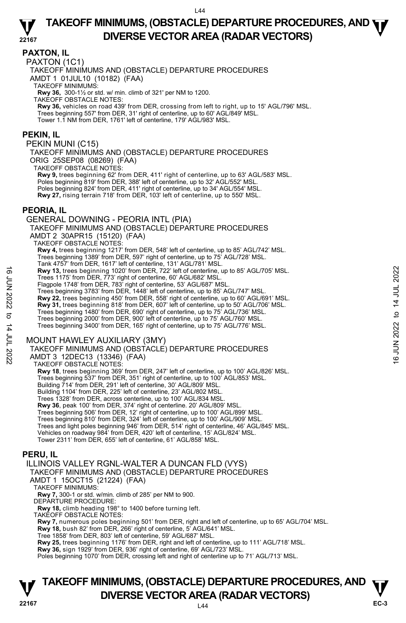#### **PAXTON, IL**

PAXTON (1C1)

TAKEOFF MINIMUMS AND (OBSTACLE) DEPARTURE PROCEDURES

AMDT 1 01JUL10 (10182) (FAA)

TAKEOFF MINIMUMS:

**Rwy 36,** 300-1½ or std. w/ min. climb of 321' per NM to 1200. TAKEOFF OBSTACLE NOTES:

**Rwy 36,** vehicles on road 439' from DER, crossing from left to right, up to 15' AGL/796' MSL. Trees beginning 557' from DER, 31' right of centerline, up to 60' AGL/849' MSL. Tower 1.1 NM from DER, 1761' left of centerline, 179' AGL/983' MSL.

#### **PEKIN, IL**

PEKIN MUNI (C15)

TAKEOFF MINIMUMS AND (OBSTACLE) DEPARTURE PROCEDURES ORIG 25SEP08 (08269) (FAA)

TAKEOFF OBSTACLE NOTES:

**Rwy 9,** trees beginning 62' from DER, 411' right of centerline, up to 63' AGL/583' MSL. Poles beginning 819' from DER, 388' left of centerline, up to 32' AGL/552' MSL. Poles beginning 824' from DER, 411' right of centerline, up to 34' AGL/554' MSL. **Rwy 27,** rising terrain 718' from DER, 103' left of centerline, up to 550' MSL.

#### **PEORIA, IL**

GENERAL DOWNING - PEORIA INTL (PIA) TAKEOFF MINIMUMS AND (OBSTACLE) DEPARTURE PROCEDURES AMDT 2 30APR15 (15120) (FAA) TAKEOFF OBSTACLE NOTES: **Rwy 4,** trees beginning 1217' from DER, 548' left of centerline, up to 85' AGL/742' MSL. Trees beginning 1389' from DER, 597' right of centerline, up to 75' AGL/728' MSL. Tank 4757' from DER, 1617' left of centerline, 131' AGL/781' MSL. **Rwy 13,** trees beginning 1020' from DER, 722' left of centerline, up to 85' AGL/705' MSL. Trees 1175' from DER, 773' right of centerline, 60' AGL/682' MSL. Flagpole 1748' from DER, 783' right of centerline, 53' AGL/687' MSL. Trees beginning 3783' from DER, 1448' left of centerline, up to 85' AGL/747' MSL. **Rwy 22,** trees beginning 450' from DER, 558' right of centerline, up to 60' AGL/691' MSL. **Rwy 31,** trees beginning 818' from DER, 607' left of centerline, up to 50' AGL/706' MSL.<br>Trees beginning 1480' from DER, 690' right of centerline, up to 75' AGL/736' MSL.<br>Trees beginning 2000' from DER, 900' left of cente Trees beginning 3400' from DER, 165' right of centerline, up to 75' AGL/776' MSL. MOUNT HAWLEY AUXILIARY (3MY) TAKEOFF MINIMUMS AND (OBSTACLE) DEPARTURE PROCEDURES AMDT 3 12DEC13 (13346) (FAA) TAKEOFF OBSTACLE NOTES: **Rwy 18**, trees beginning 369' from DER, 247' left of centerline, up to 100' AGL/826' MSL. **EVALUATE:** The set of the DER, 722 ieft of centerline, up to 85' AGL/705' MSL.<br>
Tragpole 1748' from DER, 773' right of centerline, 63' AGL/687' MSL.<br>
Trees beginning 3783' from DER, 1448' left of centerline, up to 85' AG

Trees beginning 537' from DER, 351' right of centerline, up to 100' AGL/853' MSL.<br>Building 714' from DER, 291' left of centerline, 30' AGL/809' MSL.

Building 1104' from DER, 225' left of centerline, 23' AGL/802 MSL.

Trees 1328' from DER, across centerline, up to 100' AGL/834 MSL.

**Rwy 36**, peak 100' from DER, 374' right of centerline. 20' AGL/809' MSL.

Trees beginning 506' from DER, 12' right of centerline, up to 100' AGL/899' MSL.

Trees beginning 810' from DER, 324' left of centerline, up to 100' AGL/909' MSL.

Trees and light poles beginning 946' from DER, 514' right of centerline, 46' AGL/845' MSL.

Vehicles on roadway 984' from DER, 420' left of centerline, 15' AGL/824' MSL.

Tower 2311' from DER, 655' left of centerline, 61' AGL/858' MSL.

## **PERU, IL**

ILLINOIS VALLEY RGNL-WALTER A DUNCAN FLD (VYS) TAKEOFF MINIMUMS AND (OBSTACLE) DEPARTURE PROCEDURES AMDT 1 15OCT15 (21224) (FAA) TAKEOFF MINIMUMS: **Rwy 7,** 300-1 or std. w/min. climb of 285' per NM to 900. DEPARTURE PROCEDURE: **Rwy 18,** climb heading 198° to 1400 before turning left.

TAKEOFF OBSTACLE NOTES:

**Rwy 7,** numerous poles beginning 501' from DER, right and left of centerline, up to 65' AGL/704' MSL.

**Rwy 18,** bush 82' from DER, 266' right of centerline, 5' AGL/641' MSL.

Tree 1858' from DER, 803' left of centerline, 59' AGL/687' MSL.

**Rwy 25,** trees beginning 1176' from DER, right and left of centerline, up to 111' AGL/718' MSL.

**Rwy 36,** sign 1929' from DER, 936' right of centerline, 69' AGL/723' MSL.

Poles beginning 1070' from DER, crossing left and right of centerline up to 71' AGL/713' MSL.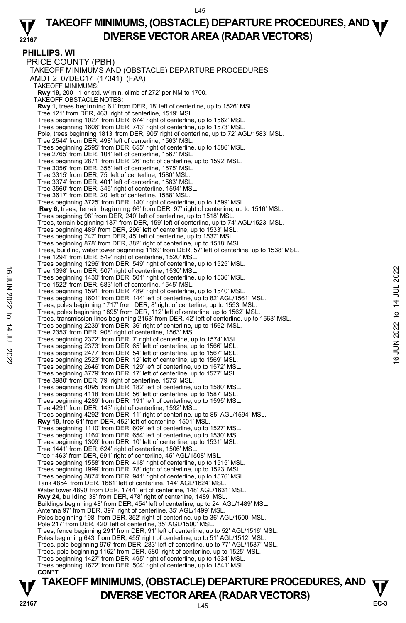#### **22167 TAKEOFF MINIMUMS, (OBSTACLE) DEPARTURE PROCEDURES, AND <b>WE**<br>DIVERSE VESTOR AREA (BARAR VESTORS) **DIVERSE VECTOR AREA (RADAR VECTORS)**

**PHILLIPS, WI**  PRICE COUNTY (PBH) TAKEOFF MINIMUMS AND (OBSTACLE) DEPARTURE PROCEDURES AMDT 2 07DEC17 (17341) (FAA) TAKEOFF MINIMUMS: **Rwy 19,** 200 - 1 or std. w/ min. climb of 272' per NM to 1700. TAKEOFF OBSTACLE NOTES: **Rwy 1,** trees beginning 61' from DER, 18' left of centerline, up to 1526' MSL. Tree 121' from DER, 463' right of centerline, 1519' MSL. Trees beginning 1027' from DER, 674' right of centerline, up to 1562' MSL. Trees beginning 1606' from DER, 743' right of centerline, up to 1573' MSL. Pole, trees beginning 1813' from DER, 905' right of centerline, up to 72' AGL/1583' MSL. Tree 2544' from DER, 498' left of centerline, 1563' MSL. Trees beginning 2595' from DER, 655' right of centerline, up to 1586' MSL. Tree 2765' from DER, 104' left of centerline, 1567' MSL. Trees beginning 2871' from DER, 26' right of centerline, up to 1592' MSL. Tree 3056' from DER, 355' left of centerline, 1575' MSL. Tree 3315' from DER, 75' left of centerline, 1580' MSL. Tree 3374' from DER, 401' left of centerline, 1583' MSL. Tree 3560' from DER, 345' right of centerline, 1594' MSL. Tree 3617' from DER, 20' left of centerline, 1588' MSL. Trees beginning 3725' from DER, 140' right of centerline, up to 1599' MSL.  **Rwy 6,** trees, terrain beginning 66' from DER, 97' right of centerline, up to 1516' MSL. Trees beginning 98' from DER, 240' left of centerline, up to 1518' MSL. Trees, terrain beginning 137' from DER, 159' left of centerline, up to 74' AGL/1523' MSL. Trees beginning 489' from DER, 296' left of centerline, up to 1533' MSL. Trees beginning 747' from DER, 45' left of centerline, up to 1537' MSL. Trees beginning 878' from DER, 382' right of centerline, up to 1518' MSL. Trees, building, water tower beginning 1189' from DER, 57' left of centerline, up to 1538' MSL. Tree 1294' from DER, 549' right of centerline, 1520' MSL. Trees beginning 1296' from DER, 549' right of centerline, up to 1525' MSL. Tree 1398' from DER, 507' right of centerline, 1530' MSL. Trees beginning 1430' from DER, 501' right of centerline, up to 1536' MSL. Tree 1522' from DER, 683' left of centerline, 1545' MSL. Trees beginning 1591' from DER, 489' right of centerline, up to 1540' MSL. Trees beginning 1601' from DER, 144' left of centerline, up to 82' AGL/1561' MSL. Trees, poles beginning 1717' from DER, 8' right of centerline, up to 1553' MSL. Trees, poles beginning 1895' from DER, 112' left of centerline, up to 1562' MSL. Trees, transmission lines beginning 2163' from DER, 42' left of centerline, up to 1563' MSL. Trees beginning 2239' from DER, 36' right of centerline, up to 1562' MSL. Tree 2353' from DER, 908' right of centerline, 1563' MSL. Trees beginning 2372' from DER, 7' right of centerline, up to 1574' MSL. Trees beginning 2373' from DER, 65' left of centerline, up to 1566' MSL. Trees beginning 2477' from DER, 54' left of centerline, up to 1567' MSL. Trees beginning 2523' from DER, 12' left of centerline, up to 1569' MSL. Trees beginning 2646' from DER, 129' left of centerline, up to 1572' MSL. Trees beginning 3779' from DER, 17' left of centerline, up to 1577' MSL. Tree 3980' from DER, 79' right of centerline, 1575' MSL. Trees beginning 4095' from DER, 182' left of centerline, up to 1580' MSL. Trees beginning 4118' from DER, 56' left of centerline, up to 1587' MSL. Trees beginning 4289' from DER, 191' left of centerline, up to 1595' MSL. Tree 4291' from DER, 143' right of centerline, 1592' MSL. Trees beginning 4292' from DER, 11' right of centerline, up to 85' AGL/1594' MSL. **Rwy 19,** tree 61' from DER, 452' left of centerline, 1501' MSL. Trees beginning 1110' from DER, 609' left of centerline, up to 1527' MSL. Trees beginning 1164' from DER, 654' left of centerline, up to 1530' MSL. Trees beginning 1309' from DER, 10' left of centerline, up to 1531' MSL. Tree 1441' from DER, 624' right of centerline, 1506' MSL. Tree 1463' from DER, 591' right of centerline, 45' AGL/1508' MSL. Trees beginning 1558' from DER, 418' right of centerline, up to 1515' MSL. Trees beginning 1999' from DER, 78' right of centerline, up to 1523' MSL. Trees beginning 3874' from DER, 941' right of centerline, up to 1576' MSL. Tank 4854' from DER, 1681' left of centerline, 144' AGL/1624' MSL. Water tower 4890' from DER, 1744' left of centerline, 148' AGL/1631' MSL. **Rwy 24,** building 38' from DER, 478' right of centerline, 1489' MSL. Buildings beginning 48' from DER, 454' left of centerline, up to 24' AGL/1489' MSL. Antenna 97' from DER, 397' right of centerline, 35' AGL/1499' MSL. Poles beginning 198' from DER, 352' right of centerline, up to 36' AGL/1500' MSL. Pole 217' from DER, 420' left of centerline, 35' AGL/1500' MSL. Trees, fence beginning 291' from DER, 91' left of centerline, up to 52' AGL/1516' MSL. Poles beginning 643' from DER, 455' right of centerline, up to 51' AGL/1512' MSL. Trees, pole beginning 976' from DER, 283' left of centerline, up to 77' AGL/1537' MSL. Trees, pole beginning 1162' from DER, 580' right of centerline, up to 1525' MSL. Trees beginning 1427' from DER, 495' right of centerline, up to 1534' MSL. Trees beginning 1672' from DER, 504' right of centerline, up to 1541' MSL.  **CON"T**  Tree 1398' from DER, 507' right of centerline, 1530' MSL.<br>
Tree beginning 1430' from DER, 501' right of centerline, up to 1536' MSL.<br>
Tree 1522' from DER, 683' left of centerline, 1545' MSL.<br>
Trees beginning 1591' from DER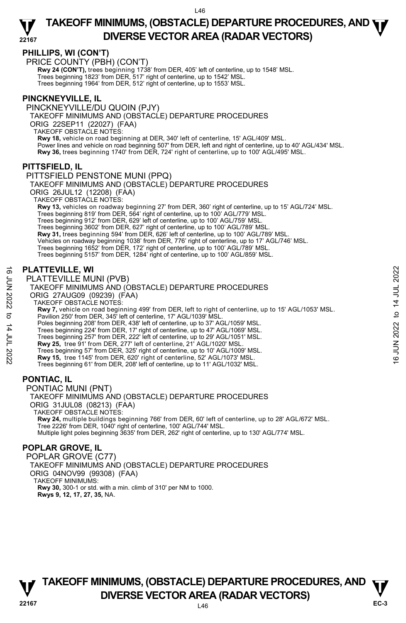

## **PHILLIPS, WI (CON'T)**

PRICE COUNTY (PBH) (CON'T)

**Rwy 24 (CON'T),** trees beginning 1738' from DER, 405' left of centerline, up to 1548' MSL.<br>Trees beginning 1823' from DER, 517' right of centerline, up to 1542' MSL. Trees beginning 1964' from DER, 512' right of centerline, up to 1553' MSL.

### **PINCKNEYVILLE, IL**

PINCKNEYVILLE/DU QUOIN (PJY) TAKEOFF MINIMUMS AND (OBSTACLE) DEPARTURE PROCEDURES ORIG 22SEP11 (22027) (FAA) TAKEOFF OBSTACLE NOTES: **Rwy 18,** vehicle on road beginning at DER, 340' left of centerline, 15' AGL/409' MSL. Power lines and vehicle on road beginning 507' from DER, left and right of centerline, up to 40' AGL/434' MSL. **Rwy 36,** trees beginning 1740' from DER, 724' right of centerline, up to 100' AGL/495' MSL.

#### **PITTSFIELD, IL**

PITTSFIELD PENSTONE MUNI (PPQ)

TAKEOFF MINIMUMS AND (OBSTACLE) DEPARTURE PROCEDURES ORIG 26JUL12 (12208) (FAA)

TAKEOFF OBSTACLE NOTES:

**Rwy 13,** vehicles on roadway beginning 27' from DER, 360' right of centerline, up to 15' AGL/724' MSL. Trees beginning 819' from DER, 564' right of centerline, up to 100' AGL/779' MSL. Trees beginning 912' from DER, 629' left of centerline, up to 100' AGL/759' MSL. Trees beginning 3602' from DER, 627' right of centerline, up to 100' AGL/789' MSL. **Rwy 31,** trees beginning 594' from DER, 626' left of centerline, up to 100' AGL/789' MSL. Vehicles on roadway beginning 1038' from DER, 776' right of centerline, up to 17' AGL/746' MSL. Trees beginning 1652' from DER, 172' right of centerline, up to 100' AGL/789' MSL. Trees beginning 5157' from DER, 1284' right of centerline, up to 100' AGL/859' MSL.

## **PLATTEVILLE, WI**

PLATTEVILLE MUNI (PVB) TAKEOFF MINIMUMS AND (OBSTACLE) DEPARTURE PROCEDURES ORIG 27AUG09 (09239) (FAA) TAKEOFF OBSTACLE NOTES: **Rwy 7,** vehicle on road beginning 499' from DER, left to right of centerline, up to 15' AGL/1053' MSL. Pavilion 250' from DER, 345' left of centerline, 17' AGL/1039' MSL. Poles beginning 208' from DER, 438' left of centerline, up to 37' AGL/1059' MSL Trees beginning 224' from DER, 17' right of centerline, up to 47' AGL/1069' MSL. Trees beginning 257' from DER, 222' left of centerline, up to 29' AGL/1051' MSL. **Rwy 25,** tree 91' from DER, 277' left of centerline, 21' AGL/1020' MSL. Trees beginning 57' from DER, 325' right of centerline, up to 10' AGL/1009' MSL. **Rwy 15,** tree 1145' from DER, 620' right of centerline, 52' AGL/1073' MSL. Trees beginning 61' from DER, 208' left of centerline, up to 11' AGL/1032' MSL. **PONTIAC, IL**  PONTIAC MUNI (PNT) **PLATTEVILLE, WI**<br>  $\frac{1}{2}$  PLATTEVILLE MUNII (PVB)<br>
TAKEOFF MINIMUMS AND (OBSTACLE) DEPARTURE PROCEDURES<br>
ORIG 27AUG09 (09239) (FAA)<br>
TAKEOFF OBSTACLE NOTES:<br>
THE CORRECT CONSISTING AND TAKEOFF OBSTACLE NOTES:<br>
THE COR

TAKEOFF MINIMUMS AND (OBSTACLE) DEPARTURE PROCEDURES ORIG 31JUL08 (08213) (FAA) TAKEOFF OBSTACLE NOTES: **Rwy 24,** multiple buildings beginning 766' from DER, 60' left of centerline, up to 28' AGL/672' MSL.<br>Tree 2226' from DER, 1040' right of centerline, 100' AGL/744' MSL. Multiple light poles beginning 3635' from DER, 262' right of centerline, up to 130' AGL/774' MSL.

## **POPLAR GROVE, IL**

POPLAR GROVE (C77) TAKEOFF MINIMUMS AND (OBSTACLE) DEPARTURE PROCEDURES ORIG 04NOV99 (99308) (FAA) TAKEOFF MINIMUMS: **Rwy 30,** 300-1 or std. with a min. climb of 310' per NM to 1000. **Rwys 9, 12, 17, 27, 35,** NA.

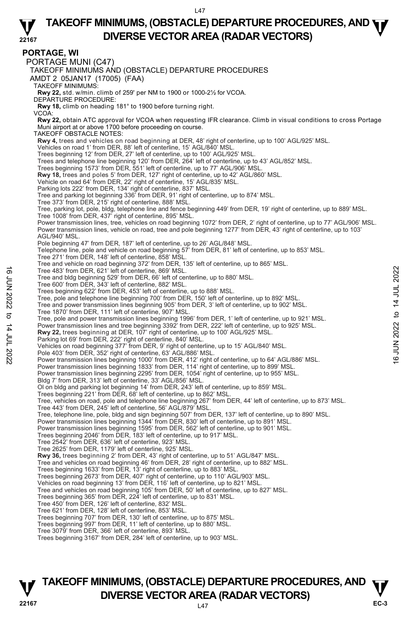## **TAKEOFF MINIMUMS, (OBSTACLE) DEPARTURE PROCEDURES, AND <b>WE**<br>DIVERSE VESTOR AREA (BARAR VESTORS) **DIVERSE VECTOR AREA (RADAR VECTORS)**

|                            | 22167 | DIVERSE VECTOR AREA (RADAR VECTORS)                                                                                                                                                                                                  |             |
|----------------------------|-------|--------------------------------------------------------------------------------------------------------------------------------------------------------------------------------------------------------------------------------------|-------------|
|                            |       | <b>PORTAGE, WI</b>                                                                                                                                                                                                                   |             |
|                            |       | PORTAGE MUNI (C47)                                                                                                                                                                                                                   |             |
|                            |       | TAKEOFF MINIMUMS AND (OBSTACLE) DEPARTURE PROCEDURES                                                                                                                                                                                 |             |
|                            |       | AMDT 2 05JAN17 (17005) (FAA)                                                                                                                                                                                                         |             |
|                            |       | <b>TAKEOFF MINIMUMS:</b><br>Rwy 22, std. w/min. climb of 259' per NM to 1900 or 1000-21/2 for VCOA.                                                                                                                                  |             |
|                            |       | DEPARTURE PROCEDURE:                                                                                                                                                                                                                 |             |
|                            |       | Rwy 18, climb on heading 181° to 1900 before turning right.                                                                                                                                                                          |             |
|                            | VCOA: | Rwy 22, obtain ATC approval for VCOA when requesting IFR clearance. Climb in visual conditions to cross Portage                                                                                                                      |             |
|                            |       | Muni airport at or above 1700 before proceeding on course.                                                                                                                                                                           |             |
|                            |       | <b>TAKEOFF OBSTACLE NOTES:</b><br>Rwy 4, trees and vehicles on road beginning at DER, 48' right of centerline, up to 100' AGL/925' MSL.                                                                                              |             |
|                            |       | Vehicles on road 1' from DER, 88' left of centerline, 15' AGL/840' MSL.                                                                                                                                                              |             |
|                            |       | Trees beginning 12' from DER, 27' left of centerline, up to 100' AGL/925' MSL.<br>Trees and telephone line beginning 120' from DER, 264' left of centerline, up to 43' AGL/852' MSL.                                                 |             |
|                            |       | Trees beginning 1573' from DER, 551' left of centerline, up to 77' AGL/906' MSL                                                                                                                                                      |             |
|                            |       | Rwy 18, trees and poles 5' from DER, 127' right of centerline, up to 42' AGL/860' MSL.                                                                                                                                               |             |
|                            |       | Vehicle on road 64' from DER, 22' right of centerline, 15' AGL/835' MSL.<br>Parking lots 222' from DER, 134' right of centerline, 837' MSL.                                                                                          |             |
|                            |       | Tree and parking lot beginning 336' from DER, 91' right of centerline, up to 874' MSL.<br>Tree 373' from DER, 215' right of centerline, 888' MSL.                                                                                    |             |
|                            |       | Tree, parking lot, pole, bldg, telephone line and fence beginning 449' from DER, 19' right of centerline, up to 889' MSL.                                                                                                            |             |
|                            |       | Tree 1008' from DER, 437' right of centerline, 895' MSL.<br>Power transmission lines, tree, vehicles on road beginning 1072' from DER, 2' right of centerline, up to 77' AGL/906' MSL.                                               |             |
|                            |       | Power transmission lines, vehicle on road, tree and pole beginning 1277' from DER, 43' right of centerline, up to 103'                                                                                                               |             |
|                            |       | AGL/940' MSL.<br>Pole beginning 47' from DER, 187' left of centerline, up to 26' AGL/848' MSL.                                                                                                                                       |             |
|                            |       | Telephone line, pole and vehicle on road beginning 57' from DER, 81' left of centerline, up to 853' MSL.                                                                                                                             |             |
|                            |       | Tree 271' from DER, 148' left of centerline, 858' MSL.                                                                                                                                                                               |             |
|                            |       | Tree and vehicle on road beginning 372' from DER, 135' left of centerline, up to 865' MSL.<br>Tree 483' from DER, 621' left of centerline, 869' MSL.                                                                                 |             |
| 2202 70F 24 04 202 202 202 |       | Tree and bldg beginning 529' from DER, 66' left of centerline, up to 880' MSL.                                                                                                                                                       | 2022        |
|                            |       | Tree 600' from DER, 343' left of centerline, 882' MSL.<br>Trees beginning 622' from DER, 453' left of centerline, up to 888' MSL.                                                                                                    |             |
|                            |       | Tree, pole and telephone line beginning 700' from DER, 150' left of centerline, up to 892' MSL.                                                                                                                                      |             |
|                            |       | Tree and power transmission lines beginning 905' from DER, 3' left of centerline, up to 902' MSL.<br>Tree 1870' from DER, 111' left of centerline, 907' MSL.                                                                         | to 14 JUL   |
|                            |       | Tree, pole and power transmission lines beginning 1996' from DER, 1' left of centerline, up to 921' MSL.                                                                                                                             |             |
|                            |       | Power transmission lines and tree beginning 3392' from DER, 222' left of centerline, up to 925' MSL.<br>Rwy 22, trees beginning at DER, 107' right of centerline, up to 100' AGL/925' MSL.                                           |             |
|                            |       | Parking lot 69' from DER, 222' right of centerline, 840' MSL.                                                                                                                                                                        |             |
|                            |       | Vehicles on road beginning 377' from DER, 9' right of centerline, up to 15' AGL/840' MSL.<br>Pole 403' from DER, 352' right of centerline, 63' AGL/886' MSL.                                                                         | 16 JUN 2022 |
|                            |       |                                                                                                                                                                                                                                      |             |
|                            |       | Power transmission lines beginning 1000' from DER, 412' right of centerline, up to 64' AGL/886' MSL.<br>Power transmission lines beginning 1000' from DER, 412' right of centerline, up to 899' MSL.<br>Power transmission lines beg |             |
|                            |       | Bldg 7' from DER, 313' left of centerline, 33' AGL/856' MSL.                                                                                                                                                                         |             |
|                            |       | OI on bldg and parking lot beginning 14' from DER, 243' left of centerline, up to 859' MSL.<br>Trees beginning 221' from DER, 68' left of centerline, up to 862' MSL.                                                                |             |
|                            |       | Tree, vehicles on road, pole and telephone line beginning 267' from DER, 44' left of centerline, up to 873' MSL.                                                                                                                     |             |
|                            |       | Tree 443' from DER, 245' left of centerline, 56' AGL/879' MSL.<br>Tree, telephone line, pole, bldg and sign beginning 507' from DER, 137' left of centerline, up to 890' MSL.                                                        |             |
|                            |       | Power transmission lines beginning 1344' from DER, 830' left of centerline, up to 891' MSL.                                                                                                                                          |             |
|                            |       | Power transmission lines beginning 1595' from DER, 562' left of centerline, up to 901' MSL.                                                                                                                                          |             |
|                            |       | Trees beginning 2046' from DER, 183' left of centerline, up to 917' MSL.<br>Tree 2542' from DER, 636' left of centerline, 923' MSL.                                                                                                  |             |
|                            |       | Tree 2625' from DER, 1179' left of centerline, 925' MSL.                                                                                                                                                                             |             |
|                            |       | Rwy 36, trees beginning 2' from DER, 43' right of centerline, up to 51' AGL/847' MSL.<br>Tree and vehicles on road beginning 46' from DER, 28' right of centerline, up to 882' MSL.                                                  |             |
|                            |       | Trees beginning 1633' from DER, 13' right of centerline, up to 883' MSL.                                                                                                                                                             |             |
|                            |       | Trees beginning 2673' from DER, 407' right of centerline, up to 110' AGL/903' MSL.<br>Vehicles on road beginning 13' from DER, 116' left of centerline, up to 821' MSL.                                                              |             |
|                            |       | Tree and vehicles on road beginning 105' from DER, 50' left of centerline, up to 827' MSL.                                                                                                                                           |             |
|                            |       | Trees beginning 365' from DER, 224' left of centerline, up to 831' MSL.<br>Tree 450' from DER, 126' left of centerline, 832' MSL.                                                                                                    |             |
|                            |       | Tree 621' from DER, 128' left of centerline, 853' MSL.                                                                                                                                                                               |             |
|                            |       | Trees beginning 707' from DER, 130' left of centerline, up to 875' MSL.<br>Trees beginning 997' from DER, 11' left of centerline, up to 880' MSL.                                                                                    |             |
|                            |       | Tree 3079' from DER, 366' left of centerline, 893' MSL.                                                                                                                                                                              |             |
|                            |       | Trees beginning 3167' from DER, 284' left of centerline, up to 903' MSL.                                                                                                                                                             |             |
|                            |       |                                                                                                                                                                                                                                      |             |
|                            |       |                                                                                                                                                                                                                                      |             |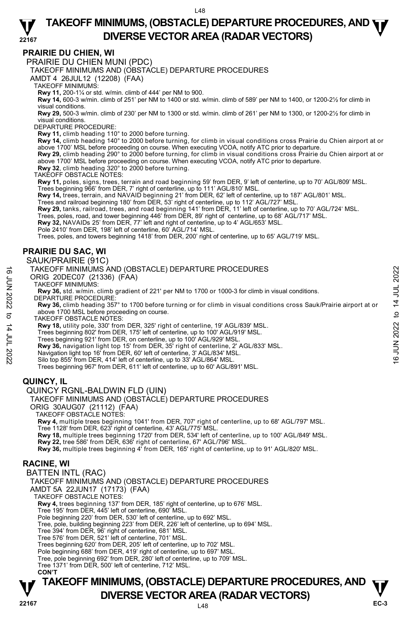#### **PRAIRIE DU CHIEN, WI**

PRAIRIE DU CHIEN MUNI (PDC)

TAKEOFF MINIMUMS AND (OBSTACLE) DEPARTURE PROCEDURES

AMDT 4 26JUL12 (12208) (FAA)

TAKEOFF MINIMUMS:

**Rwy 11,** 200-1¼ or std. w/min. climb of 444' per NM to 900.

**Rwy 14,** 600-3 w/min. climb of 251' per NM to 1400 or std. w/min. climb of 589' per NM to 1400, or 1200-2½ for climb in visual conditions.

**Rwy 29,** 500-3 w/min. climb of 230' per NM to 1300 or std. w/min. climb of 261' per NM to 1300, or 1200-2½ for climb in visual conditions.

DEPARTURE PROCEDURE:

**Rwy 11,** climb heading 110° to 2000 before turning.

**Rwy 14,** climb heading 140° to 2000 before turning, for climb in visual conditions cross Prairie du Chien airport at or above 1700' MSL before proceeding on course. When executing VCOA, notify ATC prior to departure.

**Rwy 29,** climb heading 290° to 2000 before turning, for climb in visual conditions cross Prairie du Chien airport at or above 1700' MSL before proceeding on course. When executing VCOA, notify ATC prior to departure. **Rwy 32**, climb heading 320° to 2000 before turning.

TAKEOFF OBSTACLE NOTES:

**Rwy 11,** poles, signs, trees, terrain and road beginning 59' from DER, 9' left of centerline, up to 70' AGL/809' MSL.

Trees beginning 966' from DER, 7' right of centerline, up to 111' AGL/810' MSL.<br>**Rwy 14,** trees, terrain, and NAVAID beginning 21' from DER, 62' left of centerline, up to 187' AGL/801' MSL.<br>Trees and railroad beginning 180

**Rwy 29,** tanks, raiIroad, trees, and road beginning 141' from DER, 11' left of centerline, up to 70' AGL/724' MSL.<br>Trees, poles, road, and tower beginning 446' from DER, 89' right of centerline, up to 68' AGL/717' MSL.

**Rwy 32,** NAVAIDs 25' from DER, 77' left and right of centerline, up to 4' AGL/653' MSL.

Pole 2410' from DER, 198' left of centerline, 60' AGL/714' MSL.

Trees, poles, and towers beginning 1418' from DER, 200' right of centerline, up to 65' AGL/719' MSL.

#### **PRAIRIE DU SAC, WI**

#### SAUK/PRAIRIE (91C)

#### TAKEOFF MINIMUMS AND (OBSTACLE) DEPARTURE PROCEDURES

ORIG 20DEC07 (21336) (FAA)

TAKEOFF MINIMUMS:

**Rwy 36,** std. w/min. climb gradient of 221' per NM to 1700 or 1000-3 for climb in visual conditions. DEPARTURE PROCEDURE:

**Rwy 36,** climb heading 357° to 1700 before turning or for climb in visual conditions cross Sauk/Prairie airport at or above 1700 MSL before proceeding on course. TAKEOFF MINIMUMS AND (OBSTACLE) DEPARTURE PROCEDURES<br>
ORIG 20DECOT (21336) (FAA)<br>
TAKEOFF MINIMUMS:<br>
TAKEOFF MINIMUMS:<br>
RWY 36, std. w/min. climb gradient of 221' per NM to 1700 or 1000-3 for climb in visual conditions.<br>

TAKEOFF OBSTACLE NOTES:

**Rwy 18,** utility pole, 330' from DER, 325' right of centerline, 19' AGL/839' MSL. Trees beginning 802' from DER, 175' left of centerline, up to 100' AGL/919' MSL.

Trees beginning 921' from DER, on centerline, up to 100' AGL/929' MSL.

**Rwy 36,** navigation light top 15' from DER, 35' right of centerline, 2' AGL/833' MSL.

Navigation light top 16' from DER, 60' left of centerline, 3' AGL/834' MSL. Silo top 855' from DER, 414' left of centerline, up to 33' AGL/864' MSL.

Trees beginning 967' from DER, 611' left of centerline, up to 60' AGL/891' MSL.

## **QUINCY, IL**

QUINCY RGNL-BALDWIN FLD (UIN)

TAKEOFF MINIMUMS AND (OBSTACLE) DEPARTURE PROCEDURES

ORIG 30AUG07 (21112) (FAA)

TAKEOFF OBSTACLE NOTES:

**Rwy 4,** multiple trees beginning 1041' from DER, 707' right of centerline, up to 68' AGL/797' MSL.<br>Tree 1128' from DER, 623' right of centerline, 43' AGL/775' MSL.

**Rwy 18,** multiple trees beginning 1720' from DER, 534' left of centerline, up to 100' AGL/849' MSL.

**Rwy 22,** tree 586' from DER, 636' right of centerline, 67' AGL/796' MSL.<br>**Rwy 36,** multiple trees beginning 4' from DER, 165' right of centerline, up to 91' AGL/820' MSL.

#### **RACINE, WI**

BATTEN INTL (RAC) TAKEOFF MINIMUMS AND (OBSTACLE) DEPARTURE PROCEDURES AMDT 5A 22JUN17 (17173) (FAA) TAKEOFF OBSTACLE NOTES: **Rwy 4,** trees beginning 137' from DER, 185' right of centerline, up to 676' MSL. Tree 195' from DER, 445' left of centerline, 690' MSL. Pole beginning 220' from DER, 530' left of centerline, up to 692' MSL. Tree, pole, building beginning 223' from DER, 226' left of centerline, up to 694' MSL. Tree 394' from DER, 96' right of centerline, 681' MSL. Tree 576' from DER, 521' left of centerline, 701' MSL. Trees beginning 620' from DER, 205' left of centerline, up to 702' MSL. Pole beginning 688' from DER, 419' right of centerline, up to 697' MSL. Tree, pole beginning 692' from DER, 280' left of centerline, up to 709' MSL. Tree 1371' from DER, 500' left of centerline, 712' MSL. **CON'T**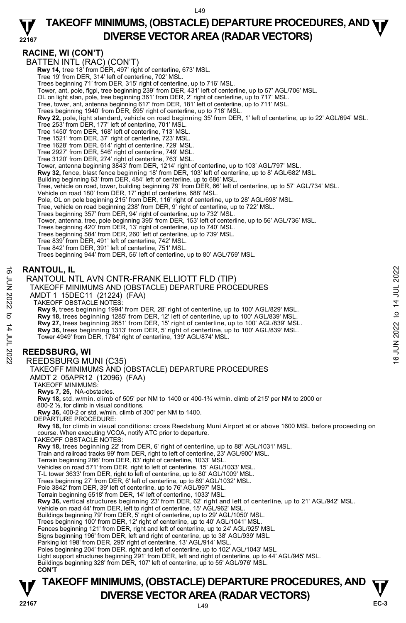#### **22167 TAKEOFF MINIMUMS, (OBSTACLE) DEPARTURE PROCEDURES, AND <b>WE**<br>DIVERSE VESTOR AREA (BARAR VESTORS) **DIVERSE VECTOR AREA (RADAR VECTORS)**

## **RACINE, WI (CON'T)**

BATTEN INTL (RAC) (CON'T)  **Rwy 14,** tree 18' from DER, 497' right of centerline, 673' MSL. Tree 19' from DER, 314' left of centerline, 702' MSL. Trees beginning 71' from DER, 315' right of centerline, up to 716' MSL. Tower, ant, pole, flgpl, tree beginning 239' from DER, 431' left of centerline, up to 57' AGL/706' MSL. OL on light stan, pole, tree beginning 361' from DER, 2' right of centerline, up to 717' MSL. Tree, tower, ant, antenna beginning 617' from DER, 181' left of centerline, up to 711' MSL. Trees beginning 1940' from DER, 695' right of centerline, up to 718' MSL. **Rwy 22,** pole, light standard, vehicle on road beginning 35' from DER, 1' left of centerline, up to 22' AGL/694' MSL.<br>Tree 253' from DER, 177' left of centerline, 701' MSL. Tree 1450' from DER, 168' left of centerline, 713' MSL. Tree 1521' from DER, 37' right of centerline, 723' MSL. Tree 1628' from DER, 614' right of centerline, 729' MSL. Tree 2927' from DER, 546' right of centerline, 749' MSL. Tree 3120' from DER, 274' right of centerline, 763' MSL. Tower, antenna beginning 3843' from DER, 1214' right of centerline, up to 103' AGL/797' MSL.<br>**Rwy 32,** fence, blast fence beginning 18' from DER, 103' left of centerline, up to 8' AGL/682' MSL. Building beginning 63' from DER, 484' left of centerline, up to 686' MSL. Tree, vehicle on road, tower, building beginning 79' from DER, 66' left of centerline, up to 57' AGL/734' MSL. Vehicle on road 180' from DER, 17' right of centerline, 688' MSL. Pole, OL on pole beginning 215' from DER, 116' right of centerline, up to 28' AGL/698' MSL. Tree, vehicle on road beginning 238' from DER, 9' right of centerline, up to 722' MSL. Trees beginning 357' from DER, 94' right of centerline, up to 732' MSL. Tower, antenna, tree, pole beginning 395' from DER, 153' left of centerline, up to 56' AGL/736' MSL. Trees beginning 420' from DER, 13' right of centerline, up to 740' MSL. Trees beginning 584' from DER, 260' left of centerline, up to 739' MSL. Tree 839' from DER, 491' left of centerline, 742' MSL. Tree 842' from DER, 391' left of centerline, 751' MSL. Trees beginning 944' from DER, 56' left of centerline, up to 80' AGL/759' MSL. **RANTOUL, IL**  RANTOUL NTL AVN CNTR-FRANK ELLIOTT FLD (TIP) TAKEOFF MINIMUMS AND (OBSTACLE) DEPARTURE PROCEDURES AMDT 1 15DEC11 (21224) (FAA) TAKEOFF OBSTACLE NOTES: **Rwy 9,** trees beginning 1994' from DER, 28' right of centerline, up to 100' AGL/829' MSL. **Rwy 18,** trees beginning 1285' from DER, 12' left of centerline, up to 100' AGL/839' MSL. **Rwy 27,** trees beginning 2651' from DER, 15' right of centerline, up to 100' AGL/839' MSL. **Rwy 36,** trees beginning 1313' from DER, 5' right of centerline, up to 100' AGL/839' MSL.<br>Tower 4949' from DER, 1784' right of centerline, 139' AGL/874' MSL. **REEDSBURG, WI**  REEDSBURG MUNI (C35) TAKEOFF MINIMUMS AND (OBSTACLE) DEPARTURE PROCEDURES AMDT 2 05APR12 (12096) (FAA) TAKEOFF MINIMUMS: **Rwys 7, 25,** NA-obstacles. **Rwy 18,** std. w/min. climb of 505' per NM to 1400 or 400-1¾ w/min. climb of 215' per NM to 2000 or 800-2 ½, for climb in visual conditions. **Rwy 36,** 400-2 or std. w/min. climb of 300' per NM to 1400. DEPARTURE PROCEDURE: **Rwy 18,** for climb in visual conditions: cross Reedsburg Muni Airport at or above 1600 MSL before proceeding on course. When executing VCOA, notify ATC prior to departure. TAKEOFF OBSTACLE NOTES: **Rwy 18,** trees beginning 22' from DER, 6' right of centerline, up to 88' AGL/1031' MSL.<br>Train and railroad tracks 99' from DER, right to left of centerline, 23' AGL/900' MSL. Terrain beginning 286' from DER, 83' right of centerline, 1033' MSL. Vehicles on road 571' from DER, right to left of centerline, 15' AGL/1033' MSL. T-L tower 3633' from DER, right to left of centerline, up to 80' AGL/1009' MSL. Trees beginning 27' from DER, 6' left of centerline, up to 89' AGL/1032' MSL. Pole 3842' from DER, 39' left of centerline, up to 76' AGL/997' MSL. Terrain beginning 5518' from DER, 14' left of centerline, 1033' MSL.<br>**Rwy 36,** vertical structures beginning 23' from DER, 62' right and left of centerline, up to 21' AGL/942' MSL. Vehicle on road 44' from DER, left to right of centerline, 15' AGL/962' MSL. Buildings beginning 79' from DER, 5' right of centerline, up to 29' AGL/1050' MSL. Trees beginning 100' from DER, 12' right of centerline, up to 40' AGL/1041' MSL. Fences beginning 121' from DER, right and left of centerline, up to 24' AGL/925' MSL. Signs beginning 196' from DER, left and right of centerline, up to 38' AGL/939' MSL. Parking lot 198' from DER, 295' right of centerline, 13' AGL/914' MSL. Poles beginning 204' from DER, right and left of centerline, up to 102' AGL/1043' MSL. Light support structures beginning 291' from DER, left and right of centerline, up to 44' AGL/945' MSL. Buildings beginning 328' from DER, 107' left of centerline, up to 55' AGL/976' MSL.  **CON'T EXANTOUL, IL**<br>
FRANTOUL NTL AVN CNTR-FRANK ELLIOTT FLD (TIP)<br>
TAKEOFF MINIMUMS AND (OBSTACLE) DEPARTURE PROCEDURES<br>
AMDT 1 15DEC11 (21224) (FAA)<br>
TAKEOFF OBSTACLE NOTES:<br>
TAKEOFF OBSTACLE NOTES:<br> **EVERT OBSTACLE NOTES:**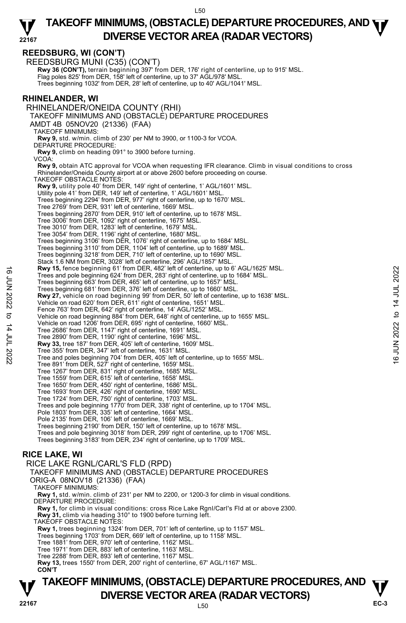## **REEDSBURG, WI (CON'T)**

REEDSBURG MUNI (C35) (CON'T) **Rwy 36 (CON'T),** terrain beginning 397' from DER, 176' right of centerline, up to 915' MSL.<br>Flag poles 825' from DER, 158' left of centerline, up to 37' AGL/978' MSL. Trees beginning 1032' from DER, 28' left of centerline, up to 40' AGL/1041' MSL. **RHINELANDER, WI**  RHINELANDER/ONEIDA COUNTY (RHI) TAKEOFF MINIMUMS AND (OBSTACLE) DEPARTURE PROCEDURES AMDT 4B 05NOV20 (21336) (FAA) TAKEOFF MINIMUMS: **Rwy 9,** std. w/min. climb of 230' per NM to 3900, or 1100-3 for VCOA. DEPARTURE PROCEDURE: **Rwy 9,** climb on heading 091° to 3900 before turning. VCOA: **Rwy 9,** obtain ATC approval for VCOA when requesting IFR clearance. Climb in visual conditions to cross Rhinelander/Oneida County airport at or above 2600 before proceeding on course. TAKEOFF OBSTACLE NOTES: **Rwy 9,** utility pole 40' from DER, 149' right of centerline, 1' AGL/1601' MSL.<br>Utility pole 41' from DER, 149' left of centerline, 1' AGL/1601' MSL. Trees beginning 2294' from DER, 977' right of centerline, up to 1670' MSL. Tree 2769' from DER, 931' left of centerline, 1669' MSL. Trees beginning 2870' from DER, 910' left of centerline, up to 1678' MSL. Tree 3006' from DER, 1092' right of centerline, 1675' MSL. Tree 3010' from DER, 1283' left of centerline, 1679' MSL. Tree 3054' from DER, 1196' right of centerline, 1680' MSL.<br>Trees beginning 3106' from DER, 1076' right of centerline, up to 1684' MSL.<br>Trees beginning 3110' from DER, 1104' left of centerline, up to 1689' MSL. Trees beginning 3218' from DER, 710' left of centerline, up to 1690' MSL. Stack 1.6 NM from DER, 3028' left of centerline, 296' AGL/1857' MSL. **Rwy 15,** fence beginning 61' from DER, 482' left of centerline, up to 6' AGL/1625' MSL. Trees and pole beginning 624' from DER, 283' right of centerline, up to 1684' MSL. Trees beginning 663' from DER, 465' left of centerline, up to 1657' MSL. Trees beginning 681' from DER, 376' left of centerline, up to 1660' MSL. **Rwy 27,** vehicle on road beginning 99' from DER, 50' left of centerline, up to 1638' MSL. Vehicle on road 620' from DER, 611' right of centerline, 1651' MSL. Fence 763' from DER, 642' right of centerline, 14' AGL/1252' MSL. Vehicle on road beginning 884' from DER, 648' right of centerline, up to 1655' MSL. Vehicle on road 1206' from DER, 695' right of centerline, 1660' MSL. Tree 2686' from DER, 1147' right of centerline, 1691' MSL. Tree 2890' from DER, 1190' right of centerline, 1696' MSL. **Rwy 33,** tree 187' from DER, 405' left of centerline, 1609' MSL. Tree 355' from DER, 347' left of centerline, 1631' MSL. Tree and poles beginning 704' from DER, 405' left of centerline, up to 1655' MSL. Tree 891' from DER, 527' right of centerline, 1659' MSL. Tree 1267' from DER, 831' right of centerline, 1685' MSL. Tree 1559' from DER, 615' left of centerline, 1658' MSL. Tree 1650' from DER, 450' right of centerline, 1686' MSL. Tree 1693' from DER, 426' right of centerline, 1690' MSL. Tree 1724' from DER, 750' right of centerline, 1703' MSL. Trees and pole beginning 1770' from DER, 338' right of centerline, up to 1704' MSL. Pole 1803' from DER, 335' left of centerline, 1664' MSL. Pole 2135' from DER, 106' left of centerline, 1669' MSL. Trees beginning 2190' from DER, 150' left of centerline, up to 1678' MSL. Trees and pole beginning 3018' from DER, 299' right of centerline, up to 1706' MSL. Trees beginning 3183' from DER, 234' right of centerline, up to 1709' MSL. **RICE LAKE, WI**  RICE LAKE RGNL/CARL'S FLD (RPD) TAKEOFF MINIMUMS AND (OBSTACLE) DEPARTURE PROCEDURES ORIG-A 08NOV18 (21336) (FAA) Free sad poles beginning 61' from DER, 482' ield to centerline, up to 1684' MSL.<br>
Trees beginning 683' from DER, 485' left of centerline, up to 1684' MSL.<br>
Trees beginning 683' from DER, 465' left of centerline, up to 168

TAKEOFF MINIMUMS:

**Rwy 1,** std. w/min. climb of 231' per NM to 2200, or 1200-3 for climb in visual conditions. DEPARTURE PROCEDURE:

**Rwy 1,** for climb in visual conditions: cross Rice Lake Rgnl/Carl's Fld at or above 2300. **Rwy 31,** climb via heading 310° to 1900 before turning left. TAKEOFF OBSTACLE NOTES:

**Rwy 1,** trees beginning 1324' from DER, 701' left of centerline, up to 1157' MSL. Trees beginning 1703' from DER, 669' left of centerline, up to 1158' MSL.

Tree 1881' from DER, 970' left of centerline, 1162' MSL.

- Tree 1971' from DER, 883' left of centerline, 1163' MSL.
- Tree 2288' from DER, 893' left of centerline, 1167' MSL.

**Rwy 13,** trees 1550' from DER, 200' right of centerline, 67' AGL/1167' MSL. **CON'T**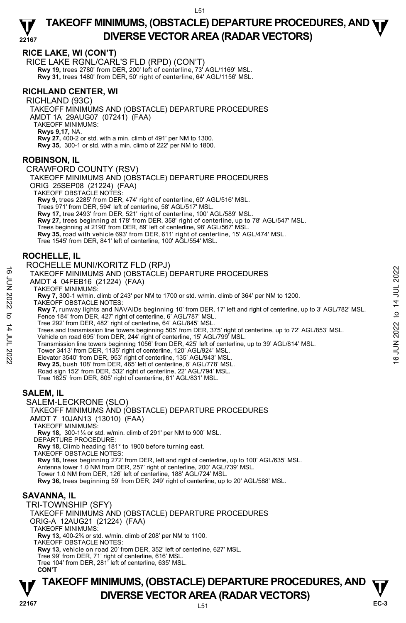### **RICE LAKE, WI (CON'T)**

RICE LAKE RGNL/CARL'S FLD (RPD) (CON'T) **Rwy 19,** trees 2780' from DER, 200' left of centerline, 73' AGL/1169' MSL. **Rwy 31,** trees 1480' from DER, 50' right of centerline, 64' AGL/1156' MSL.

## **RICHLAND CENTER, WI**

RICHLAND (93C) TAKEOFF MINIMUMS AND (OBSTACLE) DEPARTURE PROCEDURES AMDT 1A 29AUG07 (07241) (FAA) TAKEOFF MINIMUMS: **Rwys 9,17,** NA. **Rwy 27,** 400-2 or std. with a min. climb of 491' per NM to 1300. **Rwy 35,** 300-1 or std. with a min. climb of 222' per NM to 1800.

#### **ROBINSON, IL**

CRAWFORD COUNTY (RSV)

TAKEOFF MINIMUMS AND (OBSTACLE) DEPARTURE PROCEDURES

ORIG 25SEP08 (21224) (FAA)

TAKEOFF OBSTACLE NOTES:

**Rwy 9,** trees 2285' from DER, 474' right of centerline, 60' AGL/516' MSL.

Trees 971' from DER, 594' left of centerline, 58' AGL/517' MSL.

**Rwy 17,** tree 2493' from DER, 521' right of centerline, 100' AGL/589' MSL.

**Rwy 27,** trees beginning at 178' from DER, 358' right of centerline, up to 78' AGL/547' MSL.

Trees beginning at 2190' from DER, 89' left of centerline, 98' AGL/567' MSL.

**Rwy 35,** road with vehicle 693' from DER, 611' right of centerline, 15' AGL/474' MSL.

Tree 1545' from DER, 841' left of centerline, 100' AGL/554' MSL.

## **ROCHELLE, IL**

#### ROCHELLE MUNI/KORITZ FLD (RPJ)

TAKEOFF MINIMUMS AND (OBSTACLE) DEPARTURE PROCEDURES

AMDT 4 04FEB16 (21224) (FAA)

TAKEOFF MINIMUMS:

**Rwy 7,** 300-1 w/min. climb of 243' per NM to 1700 or std. w/min. climb of 364' per NM to 1200. TAKEOFF OBSTACLE NOTES:

- **Rwy 7,** runway lights and NAVAIDs beginning 10' from DER, 17' left and right of centerline, up to 3' AGL/782' MSL. Fence 184' from DER, 427' right of centerline, 6' AGL/787' MSL. 16<br>
TAKEOFF MINIMUMS AND (OBSTACLE) DEPARTURE PROCEDURES<br>
AMDT 4 04FEB16 (21224) (FAA)<br>
TAKEOFF MINIMUMS:<br>
TAKEOFF OBSTACLE NOTES:<br>
RWY 7, 300-1 w/min. climb of 243' per NM to 1700 or std. w/min. climb of 364' per NM to 1
	- Tree 292' from DER, 482' right of centerline, 64' AGL/845' MSL.

Trees and transmission line towers beginning 505' from DER, 375' right of centerline, up to 72' AGL/853' MSL.

- Vehicle on road 695' from DER, 244' right of centerline, 15' AGL/799' MSL.
- Transmission line towers beginning 1056' from DER, 425' left of centerline, up to 39' AGL/814' MSL.
- Tower 3413' from DER, 1135' right of centerline, 120' AGL/924' MSL.
- Elevator 3540' from DER, 953' right of centerline, 135' AGL/943' MSL.
- **Rwy 25,** bush 108' from DER, 465' left of centerline, 6' AGL/778' MSL.

Road sign 152' from DER, 532' right of centerline, 22' AGL/794' MSL.

Tree 1625' from DER, 805' right of centerline, 61' AGL/831' MSL.

## **SALEM, IL**

SALEM-LECKRONE (SLO)

TAKEOFF MINIMUMS AND (OBSTACLE) DEPARTURE PROCEDURES AMDT 7 10JAN13 (13010) (FAA)

TAKEOFF MINIMUMS:

**Rwy 18,** 300-1¼ or std. w/min. climb of 291' per NM to 900' MSL. DEPARTURE PROCEDURE:

**Rwy 18,** Climb heading 181° to 1900 before turning east. TAKEOFF OBSTACLE NOTES:

**Rwy 18,** trees beginning 272' from DER, left and right of centerline, up to 100' AGL/635' MSL.

Antenna tower 1.0 NM from DER, 257' right of centerline, 200' AGL/739' MSL.

Tower 1.0 NM from DER, 126' left of centerline, 188' AGL/724' MSL.

**Rwy 36,** trees beginning 59' from DER, 249' right of centerline, up to 20' AGL/588' MSL.

## **SAVANNA, IL**

TRI-TOWNSHIP (SFY) TAKEOFF MINIMUMS AND (OBSTACLE) DEPARTURE PROCEDURES ORIG-A 12AUG21 (21224) (FAA) TAKEOFF MINIMUMS: **Rwy 13,** 400-2¾ or std. w/min. climb of 208' per NM to 1100. TAKEOFF OBSTACLE NOTES: **Rwy 13,** vehicle on road 20' from DER, 352' left of centerline, 627' MSL. Tree 99' from DER, 71' right of centerline, 616' MSL. Tree 104' from DER, 281' left of centerline, 635' MSL. **CON'T**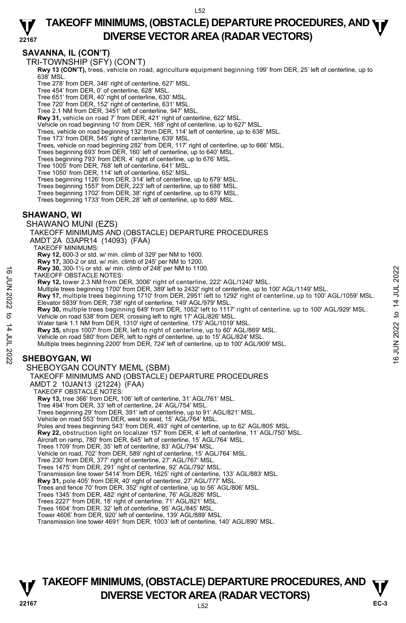#### **22167 TAKEOFF MINIMUMS, (OBSTACLE) DEPARTURE PROCEDURES, AND <b>WE**<br>DIVERSE VESTOR AREA (BARAR VESTORS) **DIVERSE VECTOR AREA (RADAR VECTORS)**

## **SAVANNA, IL (CON'T)**

TRI-TOWNSHIP (SFY) (CON'T)

**Rwy 13 (CON'T),** trees, vehicle on road, agriculture equipment beginning 199' from DER, 25' left of centerline, up to 638' MSL.

Tree 278' from DER, 346' right of centerline, 627' MSL.

- Tree 454' from DER, 0' of centerline, 628' MSL.
- Tree 651' from DER, 40' right of centerline, 630' MSL.
- Tree 720' from DER, 152' right of centerline, 631' MSL.
- Tree 2.1 NM from DER, 3451' left of centerline, 947' MSL.
- **Rwy 31,** vehicle on road 7' from DER, 421' right of centerline, 622' MSL.
- Vehicle on road beginning 10' from DER, 168' right of centerline, up to 627' MSL. Trees, vehicle on road beginning 132' from DER, 114' left of centerline, up to 638' MSL.
- Tree 173' from DER, 545' right of centerline, 639' MSL.
- Trees, vehicle on road beginning 282' from DER, 117' right of centerline, up to 666' MSL.
- Trees beginning 693' from DER, 160' left of centerline, up to 640' MSL.
- Trees beginning 793' from DER, 4' right of centerline, up to 676' MSL.
- 
- Tree 1005' from DER, 768' left of centerline, 641' MSL. Tree 1050' from DER, 114' left of centerline, 652' MSL.
- Trees beginning 1126' from DER, 314' left of centerline, up to 679' MSL.
- Trees beginning 1557' from DER, 223' left of centerline, up to 688' MSL. Trees beginning 1702' from DER, 38' right of centerline, up to 679' MSL.
- 
- Trees beginning 1733' from DER, 28' left of centerline, up to 689' MSL.

#### **SHAWANO, WI**

- SHAWANO MUNI (EZS)
- TAKEOFF MINIMUMS AND (OBSTACLE) DEPARTURE PROCEDURES
- AMDT 2A 03APR14 (14093) (FAA)
	- TAKEOFF MINIMUMS:
	- **Rwy 12,** 600-3 or std. w/ min. climb of 329' per NM to 1600.
	-
	- **Rwy 17,** 300-2 or std. w/ min. climb of 245' per NM to 1200. **Rwy 30,** 300-1½ or std. w/ min. climb of 248' per NM to 1100.
	- TAKEOFF OBSTACLE NOTES:
		- **Rwy 12,** tower 2.3 NM from DER, 3006' right of centerline, 222' AGL/1240' MSL.
	- Multiple trees beginning 1700' from DER, 389' left to 2432' right of centerline, up to 100' AGL/1149' MSL.
- **Rwy 17,** multiple trees beginning 1710' from DER, 2951' left to 1292' right of centerline, up to 100' AGL/1059' MSL. Elevator 5839' from DER, 738' right of centerline, 149' AGL/979' MSL.
- **Rwy 30,** multiple trees beginning 649' from DER, 1052' left to 1117' right of centerline, up to 100' AGL/929' MSL. Vehicle on road 538' from DER, crossing left to right 17' AGL/826' MSL. TAWE 30, 300-1% or std. w/ min. climb of 248' per NM to 1100.<br>
TAKEOFF OBSTACLE NOTES:<br>
Rwy 12, tower 2.3 NM from DER, 3006' right of centerline, 222' AGL/1240' MSL.<br>
Multiple trees beginning 1700' from DER, 2951' left t
	- Water tank 1.1 NM from DER, 1310' right of centerline, 175' AGL/1019' MSL.
	- **Rwy 35,** ships 1007' from DER, left to right of centerline, up to 60' AGL/869' MSL.
	- Vehicle on road 580' from DER, left to right of centerline, up to 15' AGL/824' MSL.
	- Multiple trees beginning 2200' from DER, 724' left of centerline, up to 100' AGL/909' MSL.

## **SHEBOYGAN, WI**

- SHEBOYGAN COUNTY MEML (SBM)
- TAKEOFF MINIMUMS AND (OBSTACLE) DEPARTURE PROCEDURES
- AMDT 2 10JAN13 (21224) (FAA)
- TAKEOFF OBSTACLE NOTES:
- **Rwy 13,** tree 366' from DER, 106' left of centerline, 31' AGL/761' MSL.
- Tree 494' from DER, 33' left of centerline, 24' AGL/754' MSL.
- Trees beginning 29' from DER, 391' left of centerline, up to 91' AGL/821' MSL.
- Vehicle on road 553' from DER, west to east, 15' AGL/764' MSL.
- Poles and trees beginning 543' from DER, 493' right of centerline, up to 62' AGL/805' MSL.
- **Rwy 22,** obstruction light on localizer 157' from DER, 4' left of centerline, 11' AGL/750' MSL.
- Aircraft on ramp, 780' from DER, 645' left of centerline, 15' AGL/764' MSL. Trees 1709' from DER, 35' left of centerline, 83' AGL/794' MSL.
- Vehicle on road, 702' from DER, 589' right of centerline, 15' AGL/764' MSL.
- Tree 230' from DER, 377' right of centerline, 27' AGL/767' MSL.
- Trees 1475' from DER, 291' right of centerline, 92' AGL/792' MSL.
- Transmission line tower 5414' from DER, 1625' right of centerline, 133' AGL/883' MSL.
- **Rwy 31,** pole 405' from DER, 40' right of centerline, 27' AGL/777' MSL.
- Trees and fence 70' from DER, 352' right of centerline, up to 56' AGL/806' MSL.
- Trees 1345' from DER, 482' right of centerline, 76' AGL/826' MSL. Trees 2227' from DER, 18' right of centerline, 71' AGL/821' MSL.
- 
- Trees 1604' from DER, 32' left of centerline, 95' AGL/845' MSL. Tower 4606' from DER, 920' left of centerline, 139' AGL/889' MSL.
- Transmission line tower 4691' from DER, 1003' left of centerline, 140' AGL/890' MSL.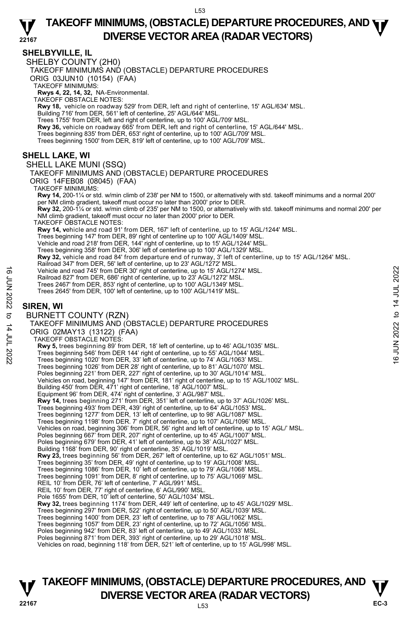#### **22167 TAKEOFF MINIMUMS, (OBSTACLE) DEPARTURE PROCEDURES, AND <b>WE**<br>DIVERSE VESTOR AREA (BARAR VESTORS) **DIVERSE VECTOR AREA (RADAR VECTORS)**

## **SHELBYVILLE, IL**

SHELBY COUNTY (2H0)

TAKEOFF MINIMUMS AND (OBSTACLE) DEPARTURE PROCEDURES

ORIG 03JUN10 (10154) (FAA)

TAKEOFF MINIMUMS:

**Rwys 4, 22, 14, 32,** NA-Environmental. TAKEOFF OBSTACLE NOTES:

**Rwy 18,** vehicle on roadway 529' from DER, left and right of centerline, 15' AGL/634' MSL.

Building 716' from DER, 561' left of centerline, 25' AGL/644' MSL.

Trees 1755' from DER, left and right of centerline, up to 100' AGL/709' MSL.<br>**Rwy 36,** vehicle on roadway 665' from DER, left and right of centerline, 15' AGL/644' MSL.

Trees beginning 835' from DER, 653' right of centerline, up to 100' AGL/709' MSL.

Trees beginning 1500' from DER, 819' left of centerline, up to 100' AGL/709' MSL.

## **SHELL LAKE, WI**

SHELL LAKE MUNI (SSQ)

TAKEOFF MINIMUMS AND (OBSTACLE) DEPARTURE PROCEDURES ORIG 14FEB08 (08045) (FAA) TAKEOFF MINIMUMS:

**Rwy 14,** 200-1¼ or std. w/min climb of 238' per NM to 1500, or alternatively with std. takeoff minimums and a normal 200' per NM climb gradient, takeoff must occur no later than 2000' prior to DER.

**Rwy 32,** 200-1¼ or std. w/min climb of 235' per NM to 1500, or alternatively with std. takeoff minimums and normal 200' per NM climb gradient, takeoff must occur no later than 2000' prior to DER.

TAKEOFF OBSTACLE NOTES:

**Rwy 14, v**ehicle and road 91' from DER, 167' left of centerline, up to 15' AGL/1244' MSL.

Trees beginning 147' from DER, 89' right of centerline up to 100' AGL/1409' MSL.<br>Vehicle and road 218' from DER, 144' right of centerline, up to 15' AGL/1244' MSL.

Trees beginning 358' from DER, 306' left of centerline up to 100' AGL/1329' MSL.

**Rwy 32,** vehicle and road 84' from departure end of runway, 3' left of centerline, up to 15' AGL/1264' MSL.<br>Railroad 347' from DER, 56' left of centerline, up to 23' AGL/1272' MSL.

Vehicle and road 745' from DER 30' right of centerline, up to 15' AGL/1274' MSL.

Railroad 827' from DER, 686' right of centerline, up to 23' AGL/1272' MSL. Trees 2467' from DER, 853' right of centerline, up to 100' AGL/1349' MSL.

Trees 2645' from DER, 100' left of centerline, up to 100' AGL/1419' MSL.

## **SIREN, WI**

BURNETT COUNTY (RZN) TAKEOFF MINIMUMS AND (OBSTACLE) DEPARTURE PROCEDURES ORIG 02MAY13 (13122) (FAA) TAKEOFF OBSTACLE NOTES: **Rwy 5,** trees beginning 89' from DER, 18' left of centerline, up to 46' AGL/1035' MSL. Trees beginning 546' from DER 144' right of centerline, up to 55' AGL/1044' MSL. Trees beginning 1020' from DER, 33' left of centerline, up to 74' AGL/1063' MSL. Trees beginning 1026' from DER 28' right of centerline, up to 81' AGL/1070' MSL. Vehicle and road 745' from DER 30' right of centerline, up to 15' AGL/1274' MSL.<br>
Frees 2467' from DER, 683' right of centerline, up to 100' AGL/1272' MSL.<br>
Trees 2645' from DER, 683' right of centerline, up to 100' AGL/1

Poles beginning 221' from DER, 227' right of centerline, up to 30' AGL/1014' MSL.<br>Vehicles on road, beginning 147' from DER, 181' right of centerline, up to 15' AGL/1002' MSL.<br>Building 450' from DER, 471' right of centerli

Equipment 96' from DER, 474' right of centerline, 3' AGL/987' MSL.

**Rwy 14,** trees beginning 271' from DER, 351' left of centerline, up to 37' AGL/1026' MSL.

Trees beginning 493' from DER, 439' right of centerline, up to 64' AGL/1053' MSL.

Trees beginning 1277' from DER, 13' left of centerline, up to 98' AGL/1087' MSL.

Trees beginning 1198' from DER. 7' right of centerline, up to 107' AGL/1096' MSL.<br>Vehicles on road, beginning 306' from DER, 56' right and left of centerline, up to 15' AGL/' MSL.

Poles beginning 667' from DER, 207' right of centerline, up to 45' AGL/1007' MSL.

Poles beginning 679' from DER, 41' left of centerline, up to 38' AGL/1027' MSL. Building 1168' from DER, 90' right of centerline, 35' AGL/1019' MSL.

**Rwy 23,** trees beginning 56' from DER, 267' left of centerline, up to 62' AGL/1051' MSL.

Trees beginning 35' from DER, 49' right of centerline, up to 19' AGL/1008' MSL.

Trees beginning 1086' from DER, 10' left of centerline, up to 79' AGL/1068' MSL. Trees beginning 1091' from DER, 8' right of centerline, up to 75' AGL/1069' MSL.

REIL 10' from DER, 76' left of centerline, 7' AGL/991' MSL.

REIL 10' from DER, 77' right of centerline, 6' AGL/990' MSL. Pole 1655' from DER, 10' left of centerline, 50' AGL/1034' MSL.

**Rwy 32,** trees beginning 1174' from DER, 449' left of centerline, up to 45' AGL/1029' MSL.

Trees beginning 297' from DER, 522' right of centerline, up to 50' AGL/1039' MSL.

Trees beginning 1400' from DER, 23' left of centerline, up to 78' AGL/1062' MSL. Trees beginning 1057' from DER, 23' right of centerline, up to 72' AGL/1056' MSL.

Poles beginning 942' from DER, 83' left of centerline, up to 49' AGL/1033' MSL.

Poles beginning 871' from DER, 393' right of centerline, up to 29' AGL/1018' MSL

Vehicles on road, beginning 118' from DER, 521' left of centerline, up to 15' AGL/998' MSL.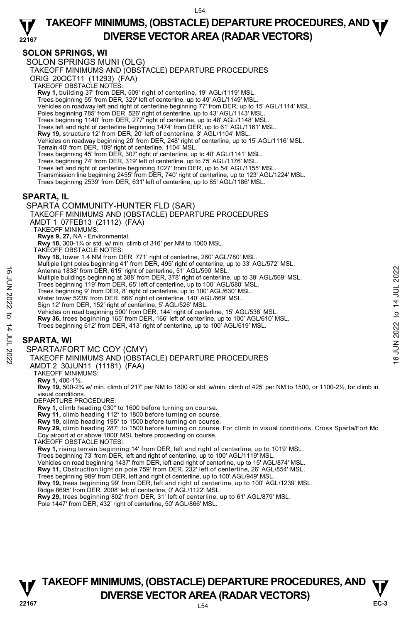**22167 TAKEOFF MINIMUMS, (OBSTACLE) DEPARTURE PROCEDURES, AND <b>WE**<br>DIVERSE VESTOR AREA (BARAR VESTORS) **DIVERSE VECTOR AREA (RADAR VECTORS)** 

## **SOLON SPRINGS, WI**

SOLON SPRINGS MUNI (OLG)

TAKEOFF MINIMUMS AND (OBSTACLE) DEPARTURE PROCEDURES

ORIG 20OCT11 (11293) (FAA)

TAKEOFF OBSTACLE NOTES:

**Rwy 1,** building 37' from DER, 509' right of centerline, 19' AGL/1119' MSL.

Trees beginning 55' from DER, 329' left of centerline, up to 49' AGL/1149' MSL.

Vehicles on roadway left and right of centerline beginning 77' from DER, up to 15' AGL/1114' MSL.

Poles beginning 785' from DER, 526' right of centerline, up to 43' AGL/1143' MSL.

Trees beginning 1140' from DER, 277' right of centerline, up to 48' AGL/1148' MSL. Trees left and right of centerline beginning 1474' from DER, up to 61' AGL/1161' MSL.

**Rwy 19,** structure 12' from DER, 20' left of centerline, 3' AGL/1104' MSL.

Vehicles on roadway beginning 20' from DER, 248' right of centerline, up to 15' AGL/1116' MSL.

Terrain 40' from DER, 109' right of centerline, 1104' MSL.

Trees beginning 45' from DER, 307' right of centerline, up to 40' AGL/1141' MSL.

Trees beginning 74' from DER, 319' left of centerline, up to 75' AGL/1176' MSL.

Trees left and right of centerline beginning 1027' from DER, up to 54' AGL/1155' MSL.

Transmission line beginning 2455' from DER, 740' right of centerline, up to 123' AGL/1224' MSL.

Trees beginning 2539' from DER, 631' left of centerline, up to 85' AGL/1186' MSL.

## **SPARTA, IL**

#### SPARTA COMMUNITY-HUNTER FLD (SAR)

TAKEOFF MINIMUMS AND (OBSTACLE) DEPARTURE PROCEDURES

AMDT 1 07FEB13 (21112) (FAA)

TAKEOFF MINIMUMS:

**Rwys 9, 27,** NA - Environmental. **Rwy 18,** 300-1¾ or std. w/ min. climb of 316' per NM to 1000 MSL.

TAKEOFF OBSTACLE NOTES:

**Rwy 18,** tower 1.4 NM from DER, 771' right of centerline, 260' AGL/780' MSL.

Multiple light poles beginning 41' from DER, 495' right of centerline, up to 33' AGL/572' MSL.

Antenna 1838' from DER, 615' right of centerline, 51' AGL/590' MSL.

Multiple buildings beginning at 388' from DER, 378' right of centerline, up to 38' AGL/569' MSL.<br>Trees beginning 119' from DER, 65' left of centerline, up to 100' AGL/580' MSL.

Trees beginning 9' from DER, 8' right of centerline, up to 100' AGL/630' MSL.

Water tower 5238' from DER, 666' right of centerline, 140' AGL/669' MSL.

Sign 12' from DER, 152' right of centerline, 5' AGL/526' MSL.

Vehicles on road beginning 500' from DER, 144' right of centerline, 15' AGL/536' MSL.

**Rwy 36,** trees beginning 165' from DER, 166' left of centerline, up to 100' AGL/610' MSL.

Trees beginning 612' from DER, 413' right of centerline, up to 100' AGL/619' MSL.

#### **SPARTA, WI**

SPARTA/FORT MC COY (CMY)

TAKEOFF MINIMUMS AND (OBSTACLE) DEPARTURE PROCEDURES Antenna 1838' from DER, 615' right of centerline, 51' AGL/590' MSL.<br>
Multiple buildings beginning 119' from DER, 63' first of centerline, up to 100' AGL/580' MSL.<br>
Trees beginning 919' from DER, 66' right of centerline, u

AMDT 2 30JUN11 (11181) (FAA)

TAKEOFF MINIMUMS:

**Rwy 1,** 400-1½.

**Rwy 19,** 500-2¾ w/ min. climb of 217' per NM to 1800 or std. w/min. climb of 425' per NM to 1500, or 1100-2½, for climb in visual conditions.

DEPARTURE PROCEDURE:

**Rwy 1,** climb heading 030° to 1600 before turning on course.

**Rwy 11,** climb heading 112° to 1800 before turning on course.

**Rwy 19,** climb heading 195° to 1500 before turning on course. **Rwy 29,** climb heading 287° to 1500 before turning on course. For climb in visual conditions. Cross Sparta/Fort Mc Coy airport at or above 1800' MSL before proceeding on course.

TAKEOFF OBSTACLE NOTES:

**Rwy 1,** rising terrain beginning 14' from DER, left and right of centerline, up to 1019' MSL.

Trees beginning 73' from DER, left and right of centerline, up to 100' AGL/1119' MSL.

Vehicles on road beginning 1437' from DER, left and right of centerline, up to 15' AGL/874' MSL.

**Rwy 11,** Obstruction light on pole 759' from DER, 232' left of centerline, 26' AGL/854' MSL.<br>Trees beginning 989' from DER, left and right of centerline, up to 100' AGL/949' MSL.

**Rwy 19,** trees beginning 99' from DER, left and right of centerline, up to 100' AGL/1239' MSL.

Ridge 8695' from DER, 2008' left of centerline, 0' AGL/1122' MSL.

**Rwy 29,** trees beginning 802' from DER, 31' left of centerline, up to 61' AGL/879' MSL.

Pole 1447' from DER, 432' right of centerline, 50' AGL/866' MSL.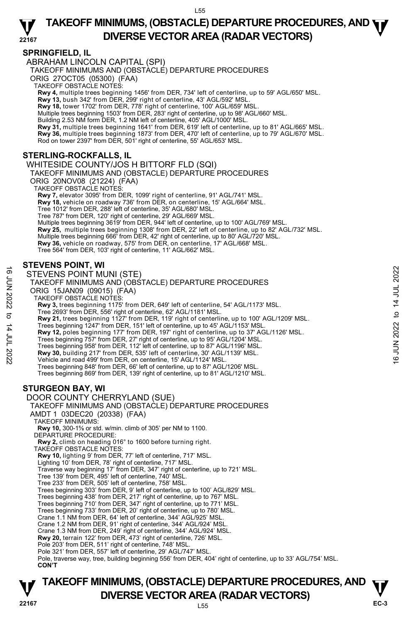### **SPRINGFIELD, IL**

ABRAHAM LINCOLN CAPITAL (SPI)

TAKEOFF MINIMUMS AND (OBSTACLE) DEPARTURE PROCEDURES

ORIG 27OCT05 (05300) (FAA)

TAKEOFF OBSTACLE NOTES:

**Rwy 4,** multiple trees beginning 1456' from DER, 734' left of centerline, up to 59' AGL/650' MSL.<br>**Rwy 13,** bush 342' from DER, 299' right of centerline, 43' AGL/592' MSL.

**Rwy 18,** tower 1702' from DER, 778' right of centerline, 100' AGL/659' MSL. Multiple trees beginning 1503' from DER, 283' right of centerline, up to 98' AGL/660' MSL.

Building 2.53 NM form DER, 1.2 NM left of centerline, 405' AGL/1000' MSL.<br>**Rwy 31,** multiple trees beginning 1641' from DER, 619' left of centerline, up to 81' AGL/665' MSL.

**Rwy 36,** multiple trees beginning 1873' from DER, 470' left of centerline, up to 79' AGL/670' MSL.

Rod on tower 2397' from DER, 501' right of centerline, 55' AGL/653' MSL.

## **STERLING-ROCKFALLS, IL**

WHITESIDE COUNTY/JOS H BITTORF FLD (SQI) TAKEOFF MINIMUMS AND (OBSTACLE) DEPARTURE PROCEDURES ORIG 20NOV08 (21224) (FAA) TAKEOFF OBSTACLE NOTES: **Rwy 7,** elevator 3095' from DER, 1099' right of centerline, 91' AGL/741' MSL. **Rwy 18,** vehicle on roadway 736' from DER, on centerline, 15' AGL/664' MSL. Tree 1012' from DER, 288' left of centerline, 35' AGL/680' MSL. Tree 787' from DER, 120' right of centerline, 29' AGL/669' MSL. Multiple trees beginning 3619' from DER, 944' left of centerline, up to 100' AGL/769' MSL. **Rwy 25,** multiple trees beginning 1308' from DER, 22' left of centerline, up to 82' AGL/732' MSL. Multiple trees beginning 666' from DER, 42' right of centerline, up to 80' AGL/720' MSL. **Rwy 36,** vehicle on roadway, 575' from DER, on centerline, 17' AGL/668' MSL. Tree 564' from DER, 103' right of centerline, 11' AGL/662' MSL.

### **STEVENS POINT, WI**

STEVENS POINT MUNI (STE) TAKEOFF MINIMUMS AND (OBSTACLE) DEPARTURE PROCEDURES ORIG 15JAN09 (09015) (FAA) TAKEOFF OBSTACLE NOTES: **Rwy 3,** trees beginning 1175' from DER, 649' left of centerline, 54' AGL/1173' MSL.<br>Tree 2693' from DER, 556' right of centerline, 62' AGL/1181' MSL. **Rwy 21,** trees beginning 1127' from DER, 119' right of centerline, up to 100' AGL/1209' MSL. Trees beginning 1247' from DER, 151' left of centerline, up to 45' AGL/1153' MSL. **Rwy 12,** poles beginning 177' from DER, 197' right of centerline, up to 37' AGL/1126' MSL. Trees beginning 757' from DER, 27' right of centerline, up to 95' AGL/1204' MSL. Trees beginning 958' from DER, 112' left of centerline, up to 87' AGL/1196' MSL. **Rwy 30,** building 217' from DER, 535' left of centerline, 30' AGL/1139' MSL.<br>Vehicle and road 499' from DER, on centerline, 15' AGL/1124' MSL. Trees beginning 848' from DER, 66' left of centerline, up to 87' AGL/1206' MSL. Trees beginning 869' from DER, 139' right of centerline, up to 81' AGL/1210' MSL. **STURGEON BAY, WI**  DOOR COUNTY CHERRYLAND (SUE) TAKEOFF MINIMUMS AND (OBSTACLE) DEPARTURE PROCEDURES AMDT 1 03DEC20 (20338) (FAA) TAKEOFF MINIMUMS: **Rwy 10,** 300-1⅝ or std. w/min. climb of 305' per NM to 1100. DEPARTURE PROCEDURE: **Rwy 2,** climb on heading 016° to 1600 before turning right. TAKEOFF OBSTACLE NOTES: **Rwy 10,** lighting 9' from DER, 77' left of centerline, 717' MSL. Lighting 10' from DER, 78' right of centerline, 717' MSL. Traverse way beginning 17' from DER, 347' right of centerline, up to 721' MSL. Tree 139' from DER, 495' left of centerline, 740' MSL. Tree 233' from DER, 505' left of centerline, 758' MSL. Trees beginning 303' from DER, 9' left of centerline, up to 100' AGL/829' MSL. Trees beginning 438' from DER, 217' right of centerline, up to 767' MSL. Trees beginning 710' from DER, 347' right of centerline, up to 771' MSL. Trees beginning 733' from DER, 20' right of centerline, up to 780' MSL. Crane 1.1 NM from DER, 64' left of centerline, 344' AGL/925' MSL. Crane 1.2 NM from DER, 91' right of centerline, 344' AGL/924' MSL. Crane 1.3 NM from DER, 249' right of centerline, 344' AGL/924' MSL. **Rwy 20,** terrain 122' from DER, 473' right of centerline, 726' MSL. Pole 203' from DER, 511' right of centerline, 748' MSL. 16 CHEVENS POINT MUNI (STE)<br>
TAKEOFF MINIMUMS AND (OBSTACLE) DEPARTURE PROCEDURES<br>
ORIG 15JAN09 (09015) (FAA)<br>
NAVE OF A AND (OBSTACLE) DEPARTURE PROCEDURES<br>
TAKEOFF MINIMUMS AND (OBSTACLE) DEPARTURE PROCEDURES<br>
THE 2693'

Pole 321' from DER, 557' left of centerline, 29' AGL/747' MSL.

 Pole, traverse way, tree, building beginning 556' from DER, 404' right of centerline, up to 33' AGL/754' MSL. **CON'T**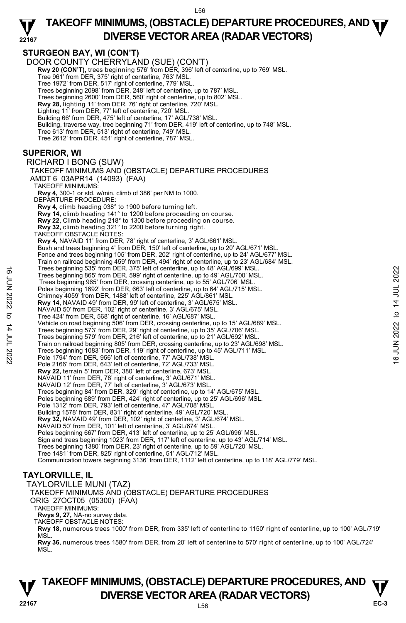#### **22167 TAKEOFF MINIMUMS, (OBSTACLE) DEPARTURE PROCEDURES, AND <b>WE**<br>DIVERSE VESTOR AREA (RADAR VESTORS) **DIVERSE VECTOR AREA (RADAR VECTORS)**

**STURGEON BAY, WI (CON'T)**  DOOR COUNTY CHERRYLAND (SUE) (CON'T) **Rwy 20 (CON'T),** trees beginning 576' from DER, 396' left of centerline, up to 769' MSL. Tree 961' from DER, 375' right of centerline, 763' MSL. Tree 1972' from DER, 517' right of centerline, 779' MSL. Trees beginning 2098' from DER, 248' left of centerline, up to 787' MSL. Trees beginning 2600' from DER, 560' right of centerline, up to 802' MSL. **Rwy 28,** lighting 11' from DER, 76' right of centerline, 720' MSL. Lighting 11' from DER, 77' left of centerline, 720' MSL. Building 66' from DER, 475' left of centerline, 17' AGL/738' MSL. Building, traverse way, tree beginning 71' from DER, 419' left of centerline, up to 748' MSL. Tree 613' from DER, 513' right of centerline, 749' MSL. Tree 2612' from DER, 451' right of centerline, 787' MSL. **SUPERIOR, WI**  RICHARD I BONG (SUW) TAKEOFF MINIMUMS AND (OBSTACLE) DEPARTURE PROCEDURES AMDT 6 03APR14 (14093) (FAA) TAKEOFF MINIMUMS: **Rwy 4,** 300-1 or std. w/min. climb of 386' per NM to 1000. DEPARTURE PROCEDURE: **Rwy 4,** climb heading 038° to 1900 before turning left. **Rwy 14,** climb heading 141° to 1200 before proceeding on course. **Rwy 22,** Climb heading 218° to 1300 before proceeding on course. **Rwy 32,** climb heading 321° to 2200 before turning right. TAKEOFF OBSTACLE NOTES: **Rwy 4,** NAVAID 11' from DER, 78' right of centerline, 3' AGL/661' MSL. Bush and trees beginning 4' from DER, 150' left of centerline, up to 20' AGL/671' MSL. Fence and trees beginning 105' from DER, 202' right of centerline, up to 24' AGL/677' MSL. Train on railroad beginning 459' from DER, 494' right of centerline, up to 23' AGL/684' MSL.<br>Trees beginning 535' from DER, 375' left of centerline, up to 48' AGL/699' MSL. Trees beginning 865' from DER, 599' right of centerline, up to 49' AGL/700' MSL. Trees beginning 965' from DER, crossing centerline, up to 55' AGL/706' MSL. Poles beginning 1692' from DER, 663' left of centerline, up to 64' AGL/715' MSL. Chimney 4059' from DER, 1488' left of centerline, 225' AGL/861' MSL. **Rwy 14,** NAVAID 49' from DER, 99' left of centerline, 3' AGL/675' MSL. NAVAID 50' from DER, 102' right of centerline, 3' AGL/675' MSL. Tree 424' from DER, 568' right of centerline, 16' AGL/687' MSL. Vehicle on road beginning 506' from DER, crossing centerline, up to 15' AGL/689' MSL. Trees beginning 573' from DER, 29' right of centerline, up to 35' AGL/706' MSL. Trees beginning 579' from DER, 216' left of centerline, up to 21' AGL/692' MSL. Train on railroad beginning 805' from DER, crossing centerline, up to 23' AGL/698' MSL. Trees beginning 1083' from DER, 119' right of centerline, up to 45' AGL/711' MSL. Pole 1794' from DER, 956' left of centerline, 77' AGL/738' MSL. Pole 2166' from DER, 643' left of centerline, 72' AGL/733' MSL. **Rwy 22,** terrain 5' from DER, 380' left of centerline, 673' MSL. NAVAID 11' from DER, 78' right of centerline, 3' AGL/671' MSL. NAVAID 12' from DER, 77' left of centerline, 3' AGL/673' MSL. Trees beginning 84' from DER, 329' right of centerline, up to 14' AGL/675' MSL. Poles beginning 689' from DER, 424' right of centerline, up to 25' AGL/696' MSL. Pole 1312' from DER, 793' left of centerline, 47' AGL/708' MSL. Building 1578' from DER, 831' right of centerline, 49' AGL/720' MSL.  **Rwy 32,** NAVAID 49' from DER, 102' right of centerline, 3' AGL/674' MSL. NAVAID 50' from DER, 101' left of centerline, 3' AGL/674' MSL. Poles beginning 667' from DER, 413' left of centerline, up to 25' AGL/696' MSL. Sign and trees beginning 1023' from DER, 117' left of centerline, up to 43' AGL/714' MSL. Trees beginning 1380' from DER, 23' right of centerline, up to 59' AGL/720' MSL. Tree 1481' from DER, 825' right of centerline, 51' AGL/712' MSL. Communication towers beginning 3136' from DER, 1112' left of centerline, up to 118' AGL/779' MSL. **TAYLORVILLE, IL**  TAYLORVILLE MUNI (TAZ) TAKEOFF MINIMUMS AND (OBSTACLE) DEPARTURE PROCEDURES ORIG 27OCT05 (05300) (FAA) Trees beginning 935' from DER, 39° left of centerline, up to 48' AGL/700' MSL.<br>
Trees beginning 1865' from DER, crossing centerline, up to 49' AGL/700' MSL.<br>
Poles beginning 1865' from DER, crossing centerline, up to 55' A

TAKEOFF MINIMUMS:

**Rwys 9, 27,** NA-no survey data. TAKEOFF OBSTACLE NOTES:

**Rwy 18,** numerous trees 1000' from DER, from 335' left of centerline to 1150' right of centerline, up to 100' AGL/719' **MSL** 

**Rwy 36,** numerous trees 1580' from DER, from 20' left of centerline to 570' right of centerline, up to 100' AGL/724' MSİ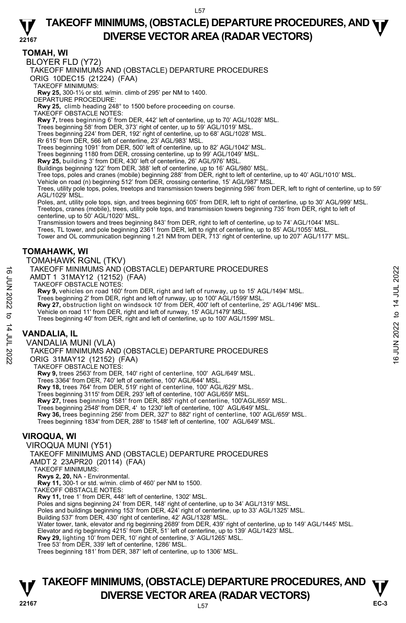#### **22167 TAKEOFF MINIMUMS, (OBSTACLE) DEPARTURE PROCEDURES, AND <b>WE**<br>DIVERSE VESTOR AREA (RADAR VESTORS) **DIVERSE VECTOR AREA (RADAR VECTORS)**

## **TOMAH, WI**

BLOYER FLD (Y72)

TAKEOFF MINIMUMS AND (OBSTACLE) DEPARTURE PROCEDURES ORIG 10DEC15 (21224) (FAA)

TAKEOFF MINIMUMS:

**Rwy 25,** 300-1½ or std. w/min. climb of 295' per NM to 1400. DEPARTURE PROCEDURE:

**Rwy 25,** climb heading 248° to 1500 before proceeding on course.

TAKEOFF OBSTACLE NOTES:

**Rwy 7,** trees beginning 6' from DER, 442' left of centerline, up to 70' AGL/1028' MSL.<br>Trees beginning 58' from DER, 373' right of center, up to 59' AGL/1019' MSL.

Trees beginning 224' from DER, 192' right of centerline, up to 68' AGL/1028' MSL.

Rr 615' from DER, 566 left of centerline, 23' AGL/983' MSL. Trees beginning 1091' from DER, 500' left of centerline, up to 82' AGL/1042' MSL.

Trees beginning 1180 from DER, crossing centerline, up to 99' AGL/1049' MSL.

**Rwy 25,** building 3' from DER, 430' left of centerline, 26' AGL/976' MSL.

Buildings beginning 122' from DER, 388' left of centerline, up to 16' AGL/980' MSL.

Tree tops, poles and cranes (mobile) beginning 288' from DER, right to left of centerline, up to 40' AGL/1010' MSL.

Vehicle on road (n) beginning 512' from DER, crossing centerline, 15' AGL/987' MSL.

Trees, utility pole tops, poles, treetops and transmission towers beginning 596' from DER, left to right of centerline, up to 59' AGL/1029' MSL.

Poles, ant, utility pole tops, sign, and trees beginning 605' from DER, left to right of centerline, up to 30' AGL/999' MSL. Treetops, cranes (mobile), trees, utility pole tops, and transmission towers beginning 735' from DER, right to left of centerline, up to 50' AGL/1020' MSL.

Transmission towers and trees beginning 843' from DER, right to left of centerline, up to 74' AGL/1044' MSL.

Trees, TL tower, and pole beginning 2361' from DER, left to right of centerline, up to 85' AGL/1055' MSL.

Tower and OL communication beginning 1.21 NM from DER, 713' right of centerline, up to 207' AGL/1177' MSL.

#### **TOMAHAWK, WI**

TOMAHAWK RGNL (TKV)

TAKEOFF MINIMUMS AND (OBSTACLE) DEPARTURE PROCEDURES

AMDT 1 31MAY12 (12152) (FAA)

TAKEOFF OBSTACLE NOTES:

**Rwy 9,** vehicles on road 160' from DER, right and left of runway, up to 15' AGL/1494' MSL.

Trees beginning 2' from DER, right and left of runway, up to 100' AGL/1599' MSL.

**Rwy 27,** obstruction light on windsock 10' from DER, 400' left of centerline, 25' AGL/1496' MSL.

Vehicle on road 11' from DER, right and left of runway, 15' AGL/1479' MSL.

Trees beginning 40' from DER, right and left of centerline, up to 100' AGL/1599' MSL.

## **VANDALIA, IL**

VANDALIA MUNI (VLA) TAKEOFF MINIMUMS AND (OBSTACLE) DEPARTURE PROCEDURES ORIG 31MAY12 (12152) (FAA) TAKEOFF OBSTACLE NOTES: **Rwy 9,** trees 2563' from DER, 140' right of centerline, 100' AGL/649' MSL.<br>Trees 3364' from DER, 740' left of centerline, 100' AGL/644' MSL. **Rwy 18,** trees 764' from DER, 519' right of centerline, 100' AGL/629' MSL. Trees beginning 3115' from DER, 293' left of centerline, 100' AGL/659' MSL. **Rwy 27,** trees beginning 1581' from DER, 885' right of centerline, 100'AGL/659' MSL. Trees beginning 2548' from DER, 4' to 1230' left of centerline, 100' AGL/649' MSL. **Rwy 36,** trees beginning 256' from DER, 327' to 882' right of centerline, 100' AGL/659' MSL. TAKEOFF MINIMUMS AND (OBSTACLE) DEPARTURE PROCEDURES<br>
AMDT 1 31MAY12 (12152) (FAA)<br>  $\frac{1}{2}$  TAKEOFF OBSTACLE NOTES:<br> **RWY 9,** vehicles on road 160' from DER, right and left of runway, up to 15' AGL/1494' MSL.<br> **RWY 9, v** 

Trees beginning 1834' from DER, 288' to 1548' left of centerline, 100' AGL/649' MSL.

## **VIROQUA, WI**

VIROQUA MUNI (Y51) TAKEOFF MINIMUMS AND (OBSTACLE) DEPARTURE PROCEDURES AMDT 2 23APR20 (20114) (FAA) TAKEOFF MINIMUMS: **Rwys 2, 20,** NA - Environmental. **Rwy 11,** 300-1 or std. w/min. climb of 460' per NM to 1500. TAKEOFF OBSTACLE NOTES: **Rwy 11,** tree 1' from DER, 448' left of centerline, 1302' MSL. Poles and signs beginning 24' from DER, 148' right of centerline, up to 34' AGL/1319' MSL. Poles and buildings beginning 153' from DER, 424' right of centerline, up to 33' AGL/1325' MSL. Building 537' from DER, 430' right of centerline, 42' AGL/1328' MSL. Water tower, tank, elevator and rig beginning 2689' from DER, 439' right of centerline, up to 149' AGL/1445' MSL. Elevator and rig beginning 4215' from DER, 51' left of centerline, up to 139' AGL/1423' MSL. **Rwy 29,** lighting 10' from DER, 10' right of centerline, 3' AGL/1265' MSL.<br>Tree 53' from DER, 339' left of centerline, 1286' MSL. Trees beginning 181' from DER, 387' left of centerline, up to 1306' MSL.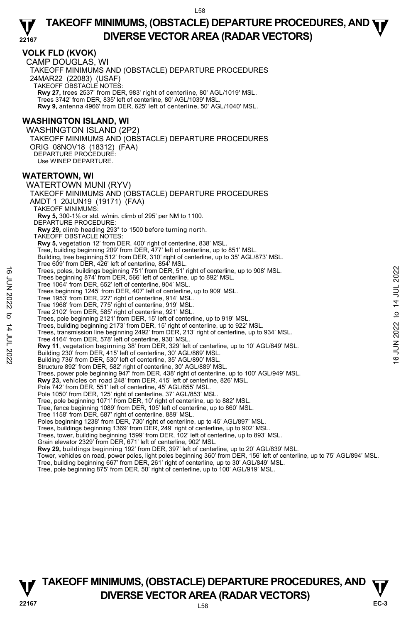**22167** 

## **TAKEOFF MINIMUMS, (OBSTACLE) DEPARTURE PROCEDURES, AND <b>WE**<br>DIVERSE VESTOR AREA (RADAR VESTORS) **DIVERSE VECTOR AREA (RADAR VECTORS)**

### **VOLK FLD (KVOK)**

CAMP DOUGLAS, WI TAKEOFF MINIMUMS AND (OBSTACLE) DEPARTURE PROCEDURES 24MAR22 (22083) (USAF) TAKEOFF OBSTACLE NOTES: **Rwy 27,** trees 2537' from DER, 983' right of centerline, 80' AGL/1019' MSL. Trees 3742' from DER, 835' left of centerline, 80' AGL/1039' MSL. **Rwy 9,** antenna 4966' from DER, 625' left of centerline, 50' AGL/1040' MSL.

## **WASHINGTON ISLAND, WI**

WASHINGTON ISLAND (2P2) TAKEOFF MINIMUMS AND (OBSTACLE) DEPARTURE PROCEDURES ORIG 08NOV18 (18312) (FAA) DEPARTURE PROCEDURE: Use WINEP DEPARTURE.

#### **WATERTOWN, WI**

WATERTOWN MUNI (RYV) TAKEOFF MINIMUMS AND (OBSTACLE) DEPARTURE PROCEDURES AMDT 1 20JUN19 (19171) (FAA) TAKEOFF MINIMUMS: **Rwy 5,** 300-1⅛ or std. w/min. climb of 295' per NM to 1100. DEPARTURE PROCEDURE: **Rwy 29,** climb heading 293° to 1500 before turning north. TAKEOFF OBSTACLE NOTES: **Rwy 5,** vegetation 12' from DER, 400' right of centerline, 838' MSL. Tree, building beginning 209' from DER, 477' left of centerline, up to 851' MSL. Building, tree beginning 512' from DER, 310' right of centerline, up to 35' AGL/873' MSL. Tree 609' from DER, 426' left of centerline, 854' MSL. Trees, poles, buildings beginning 751' from DER, 51' right of centerline, up to 908' MSL. Trees beginning 874' from DER, 566' left of centerline, up to 892' MSL. Tree 1064' from DER, 652' left of centerline, 904' MSL. Trees beginning 1245' from DER, 407' left of centerline, up to 909' MSL. Tree 1953' from DER, 227' right of centerline, 914' MSL. Tree 1968' from DER, 775' right of centerline, 919' MSL. Tree 2102' from DER, 585' right of centerline, 921' MSL. Trees, pole beginning 2121' from DER, 15' left of centerline, up to 919' MSL. Trees, building beginning 2173' from DER, 15' right of centerline, up to 922' MSL. Trees, transmission line beginning 2492' from DER, 213' right of centerline, up to 934' MSL. Tree 4164' from DER, 578' left of centerline, 930' MSL.  **Rwy 11**, vegetation beginning 38' from DER, 329' left of centerline, up to 10' AGL/849' MSL. Building 230' from DER, 415' left of centerline, 30' AGL/869' MSL. Building 736' from DER, 530' left of centerline, 35' AGL/890' MSL. Structure 892' from DER, 582' right of centerline, 30' AGL/889' MSL. Trees, power pole beginning 947' from DER, 438' right of centerline, up to 100' AGL/949' MSL.<br>**Rwy 23,** vehicles on road 248' from DER, 415' left of centerline, 826' MSL. Pole 742' from DER, 551' left of centerline, 45' AGL/855' MSL. Pole 1050' from DER, 125' right of centerline, 37' AGL/853' MSL.<br>Tree, pole beginning 1071' from DER, 10' right of centerline, up to 882' MSL.<br>Tree, fence beginning 1089' from DER, 105' left of centerline, up to 860' MSL. Tree 1158' from DER, 687' right of centerline, 889' MSL. Poles beginning 1238' from DER, 730' right of centerline, up to 45' AGL/897' MSL. Trees, buildings beginning 1369' from DER, 249' right of centerline, up to 902' MSL. Trees, tower, building beginning 1599' from DER, 102' left of centerline, up to 893' MSL. Grain elevator 2329' from DER, 671' left of centerline, 902' MSL. **Rwy 29,** buildings beginning 192' from DER, 397' left of centerline, up to 20' AGL/839' MSL. Tower, vehicles on road, power poles, light poles beginning 360' from DER, 156' left of centerline, up to 75' AGL/894' MSL. Tree, building beginning 667' from DER, 261' right of centerline, up to 30' AGL/849' MSL. Tree, pole beginning 875' from DER, 50' right of centerline, up to 100' AGL/919' MSL. Trees, poles, buildings beginning 751' from DER, 51' right of centerline, up to 908' MSL.<br>
Tree 1064' from DER, 402' left of centerline, up to 892' MSL.<br>
Tree 1064' from DER, 22' right of centerline, 904' MSL.<br>
Tree 1963'

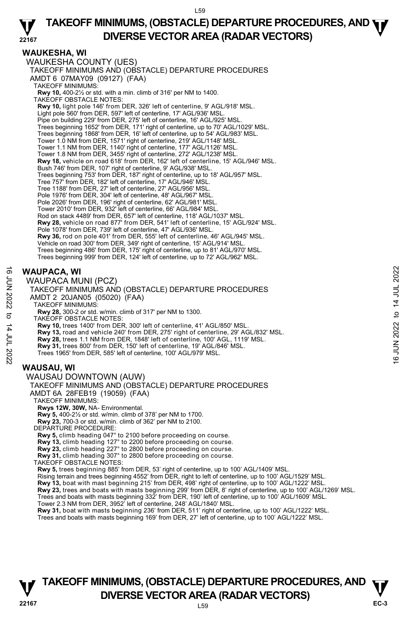## **WAUKESHA, WI**

WAUKESHA COUNTY (UES) TAKEOFF MINIMUMS AND (OBSTACLE) DEPARTURE PROCEDURES AMDT 6 07MAY09 (09127) (FAA) TAKEOFF MINIMUMS: **Rwy 10,** 400-2½ or std. with a min. climb of 316' per NM to 1400. TAKEOFF OBSTACLE NOTES: **Rwy 10,** light pole 146' from DER, 326' left of centerline, 9' AGL/918' MSL. Light pole 560' from DER, 597' left of centerline, 17' AGL/936' MSL. Pipe on building 229' from DER, 275' left of centerline, 16' AGL/925' MSL. Trees beginning 1652' from DER, 171' right of centerline, up to 70' AGL/1029' MSL. Trees beginning 1868' from DER, 16' left of centerline, up to 54' AGL/983' MSL. Tower 1.0 NM from DER, 1571' right of centerline, 219' AGL/1148' MSL. Tower 1.1 NM from DER, 1140' right of centerline, 177' AGL/1126' MSL. Tower 1.8 NM from DER, 3455' right of centerline, 272' AGL/1238' MSL. **Rwy 18,** vehicle on road 618' from DER, 162' left of centerline, 15' AGL/946' MSL. Bush 746' from DER, 107' right of centerline, 9' AGL/938' MSL. Trees beginning 753' from DER, 187' right of centerline, up to 18' AGL/957' MSL. Tree 757' from DER, 182' left of centerline, 17' AGL/946' MSL. Tree 1188' from DER, 27' left of centerline, 27' AGL/956' MSL. Pole 1976' from DER, 304' left of centerline, 48' AGL/967' MSL. Pole 2026' from DER, 196' right of centerline, 62' AGL/981' MSL. Tower 2010' from DER, 932' left of centerline, 66' AGL/984' MSI Rod on stack 4489' from DER, 657' left of centerline, 118' AGL/1037' MSL. **Rwy 28,** vehicle on road 877' from DER, 541' left of centerline, 15' AGL/924' MSL. Pole 1078' from DER, 739' left of centerline, 47' AGL/936' MSL. **Rwy 36,** rod on pole 401' from DER, 555' left of centerline, 46' AGL/945' MSL.<br>Vehicle on road 300' from DER, 349' right of centerline, 15' AGL/914' MSL. Trees beginning 486' from DER, 175' right of centerline, up to 81' AGL/970' MSL. Trees beginning 999' from DER, 124' left of centerline, up to 72' AGL/962' MSL.

## **WAUPACA, WI**

WAUPACA MUNI (PCZ)

TAKEOFF MINIMUMS AND (OBSTACLE) DEPARTURE PROCEDURES AMDT 2 20JAN05 (05020) (FAA) TAKEOFF MINIMUMS: **Rwy 28,** 300-2 or std. w/min. climb of 317' per NM to 1300.  $\overrightarrow{B}$  WAUPACA, WI<br>  $\overrightarrow{C}$  WAUPACA MUNI (PCZ)<br>
TAKEOFF MINIMUMS AND (OBSTACLE) DEPARTURE PROCEDURES<br>
AMDT 2 20JAN05 (05020) (FAA)<br>
TAKEOFF MINIMUMS:<br>
TAKEOFF MINIMUMS:<br>
TAKEOFF OBSTACLE NOTES:<br>
TAKEOFF OBSTACLE NOTE

TAKEOFF OBSTACLE NOTES:

**Rwy 10,** trees 1400' from DER, 300' left of centerline, 41' AGL/850' MSL.

**Rwy 13,** road and vehicle 240' from DER, 275' right of centerline, 29' AGL/832' MSL.

**Rwy 28,** trees 1.1 NM from DER, 1848' left of centerline, 100' AGL, 1119' MSL.

**Rwy 31,** trees 800' from DER, 150' left of centerline, 19' AGL/846' MSL.

Trees 1965' from DER, 585' left of centerline, 100' AGL/979' MSL.

## **WAUSAU, WI**

WAUSAU DOWNTOWN (AUW) TAKEOFF MINIMUMS AND (OBSTACLE) DEPARTURE PROCEDURES AMDT 6A 28FEB19 (19059) (FAA) TAKEOFF MINIMUMS: **Rwys 12W, 30W,** NA- Environmental. **Rwy 5,** 400-2½ or std. w/min. climb of 378' per NM to 1700. **Rwy 23,** 700-3 or std. w/min. climb of 362' per NM to 2100. DEPARTURE PROCEDURE: **Rwy 5,** climb heading 047° to 2100 before proceeding on course. **Rwy 13,** climb heading 127° to 2200 before proceeding on course. **Rwy 23,** climb heading 227° to 2800 before proceeding on course. **Rwy 31,** climb heading 307° to 2800 before proceeding on course. TAKEOFF OBSTACLE NOTES: **Rwy 5,** trees beginning 885' from DER, 53' right of centerline, up to 100' AGL/1409' MSL.<br>Rising terrain and trees beginning 4552' from DER, right to left of centerline, up to 100' AGL/1529' MSL. **Rwy 13,** boat with mast beginning 215' from DER, 498' right of centerline, up to 100' AGL/1222' MSL. **Rwy 23,** trees and boats with masts beginning 299' from DER, 8' right of centerline, up to 100' AGL/1269' MSL.<br>Trees and boats with masts beginning 332' from DER, 190' left of centerline, up to 100' AGL/1609' MSL.

Tower 2.3 NM from DER, 3952' left of centerline, 248' AGL/1840' MSL.

**Rwy 31,** boat with masts beginning 236' from DER, 511' right of centerline, up to 100' AGL/1222' MSL.

Trees and boats with masts beginning 169' from DER, 27' left of centerline, up to 100' AGL/1222' MSL.